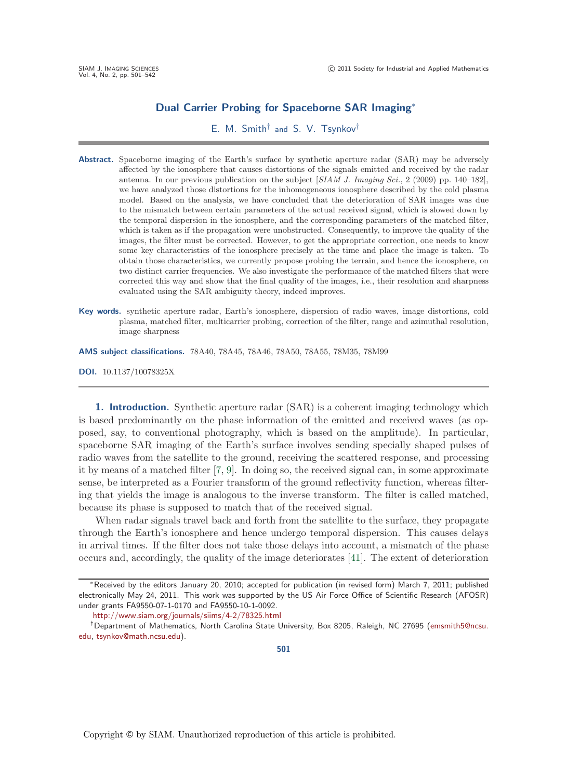# **Dual Carrier Probing for Spaceborne SAR Imaging**<sup>∗</sup>

E. M. Smith† and S. V. Tsynkov†

- **Abstract.** Spaceborne imaging of the Earth's surface by synthetic aperture radar (SAR) may be adversely affected by the ionosphere that causes distortions of the signals emitted and received by the radar antenna. In our previous publication on the subject [SIAM J. Imaging Sci., 2 (2009) pp. 140–182], we have analyzed those distortions for the inhomogeneous ionosphere described by the cold plasma model. Based on the analysis, we have concluded that the deterioration of SAR images was due to the mismatch between certain parameters of the actual received signal, which is slowed down by the temporal dispersion in the ionosphere, and the corresponding parameters of the matched filter, which is taken as if the propagation were unobstructed. Consequently, to improve the quality of the images, the filter must be corrected. However, to get the appropriate correction, one needs to know some key characteristics of the ionosphere precisely at the time and place the image is taken. To obtain those characteristics, we currently propose probing the terrain, and hence the ionosphere, on two distinct carrier frequencies. We also investigate the performance of the matched filters that were corrected this way and show that the final quality of the images, i.e., their resolution and sharpness evaluated using the SAR ambiguity theory, indeed improves.
- **Key words.** synthetic aperture radar, Earth's ionosphere, dispersion of radio waves, image distortions, cold plasma, matched filter, multicarrier probing, correction of the filter, range and azimuthal resolution, image sharpness

**AMS subject classifications.** 78A40, 78A45, 78A46, 78A50, 78A55, 78M35, 78M99

**DOI.** 10.1137/10078325X

<span id="page-0-0"></span>**1.** Introduction. Synthetic aperture radar (SAR) is a coherent imaging technology which is based predominantly on the phase information of the emitted and received waves (as opposed, say, to conventional photography, which is based on the amplitude). In particular, spaceborne SAR imaging of the Earth's surface involves sending specially shaped pulses of radio waves from the satellite to the ground, receiving the scattered response, and processing it by means of a matched filter [\[7,](#page-40-0) [9\]](#page-40-1). In doing so, the received signal can, in some approximate sense, be interpreted as a Fourier transform of the ground reflectivity function, whereas filtering that yields the image is analogous to the inverse transform. The filter is called matched, because its phase is supposed to match that of the received signal.

When radar signals travel back and forth from the satellite to the surface, they propagate through the Earth's ionosphere and hence undergo temporal dispersion. This causes delays in arrival times. If the filter does not take those delays into account, a mismatch of the phase occurs and, accordingly, the quality of the image deteriorates [\[41\]](#page-41-0). The extent of deterioration

<http://www.siam.org/journals/siims/4-2/78325.html>

†Department of Mathematics, North Carolina State University, Box 8205, Raleigh, NC 27695 [\(emsmith5@ncsu.](mailto:emsmith5@ncsu.edu) [edu,](mailto:emsmith5@ncsu.edu) [tsynkov@math.ncsu.edu\)](mailto:tsynkov@math.ncsu.edu).

<sup>∗</sup>Received by the editors January 20, 2010; accepted for publication (in revised form) March 7, 2011; published electronically May 24, 2011. This work was supported by the US Air Force Office of Scientific Research (AFOSR) under grants FA9550-07-1-0170 and FA9550-10-1-0092.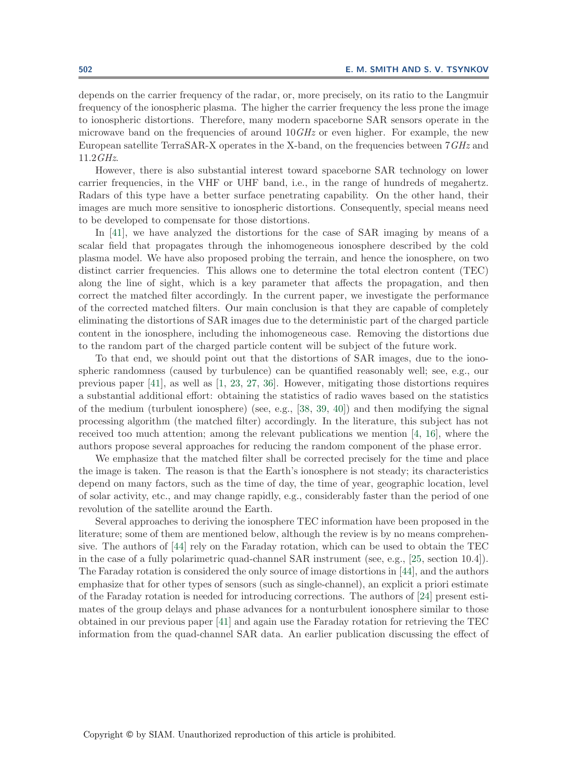depends on the carrier frequency of the radar, or, more precisely, on its ratio to the Langmuir frequency of the ionospheric plasma. The higher the carrier frequency the less prone the image to ionospheric distortions. Therefore, many modern spaceborne SAR sensors operate in the microwave band on the frequencies of around 10*GHz* or even higher. For example, the new European satellite TerraSAR-X operates in the X-band, on the frequencies between 7*GHz* and 11.2*GHz*.

However, there is also substantial interest toward spaceborne SAR technology on lower carrier frequencies, in the VHF or UHF band, i.e., in the range of hundreds of megahertz. Radars of this type have a better surface penetrating capability. On the other hand, their images are much more sensitive to ionospheric distortions. Consequently, special means need to be developed to compensate for those distortions.

In [\[41\]](#page-41-0), we have analyzed the distortions for the case of SAR imaging by means of a scalar field that propagates through the inhomogeneous ionosphere described by the cold plasma model. We have also proposed probing the terrain, and hence the ionosphere, on two distinct carrier frequencies. This allows one to determine the total electron content (TEC) along the line of sight, which is a key parameter that affects the propagation, and then correct the matched filter accordingly. In the current paper, we investigate the performance of the corrected matched filters. Our main conclusion is that they are capable of completely eliminating the distortions of SAR images due to the deterministic part of the charged particle content in the ionosphere, including the inhomogeneous case. Removing the distortions due to the random part of the charged particle content will be subject of the future work.

To that end, we should point out that the distortions of SAR images, due to the ionospheric randomness (caused by turbulence) can be quantified reasonably well; see, e.g., our previous paper [\[41\]](#page-41-0), as well as [\[1,](#page-40-2) [23,](#page-40-3) [27,](#page-41-1) [36\]](#page-41-2). However, mitigating those distortions requires a substantial additional effort: obtaining the statistics of radio waves based on the statistics of the medium (turbulent ionosphere) (see, e.g., [\[38,](#page-41-3) [39,](#page-41-4) [40\]](#page-41-5)) and then modifying the signal processing algorithm (the matched filter) accordingly. In the literature, this subject has not received too much attention; among the relevant publications we mention [\[4,](#page-40-4) [16\]](#page-40-5), where the authors propose several approaches for reducing the random component of the phase error.

We emphasize that the matched filter shall be corrected precisely for the time and place the image is taken. The reason is that the Earth's ionosphere is not steady; its characteristics depend on many factors, such as the time of day, the time of year, geographic location, level of solar activity, etc., and may change rapidly, e.g., considerably faster than the period of one revolution of the satellite around the Earth.

Several approaches to deriving the ionosphere TEC information have been proposed in the literature; some of them are mentioned below, although the review is by no means comprehensive. The authors of [\[44\]](#page-41-6) rely on the Faraday rotation, which can be used to obtain the TEC in the case of a fully polarimetric quad-channel SAR instrument (see, e.g., [\[25,](#page-41-7) section 10.4]). The Faraday rotation is considered the only source of image distortions in [\[44\]](#page-41-6), and the authors emphasize that for other types of sensors (such as single-channel), an explicit a priori estimate of the Faraday rotation is needed for introducing corrections. The authors of [\[24\]](#page-40-6) present estimates of the group delays and phase advances for a nonturbulent ionosphere similar to those obtained in our previous paper [\[41\]](#page-41-0) and again use the Faraday rotation for retrieving the TEC information from the quad-channel SAR data. An earlier publication discussing the effect of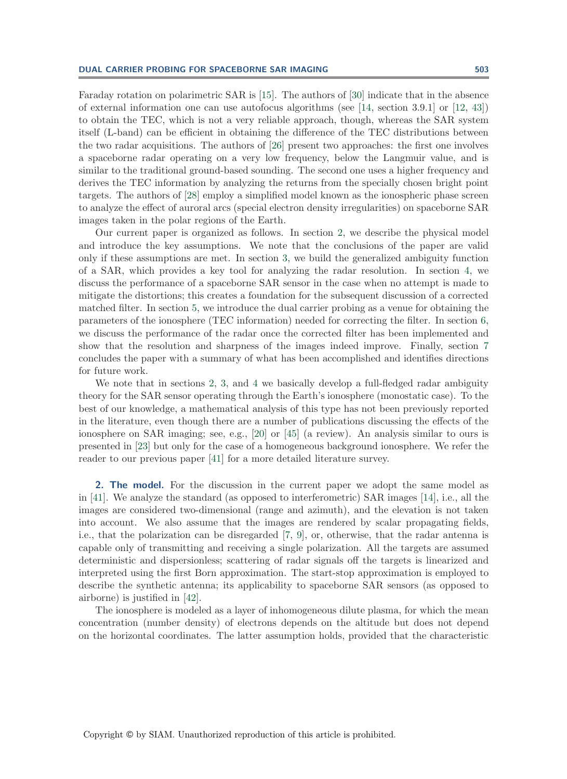Faraday rotation on polarimetric SAR is [\[15\]](#page-40-7). The authors of [\[30\]](#page-41-8) indicate that in the absence of external information one can use autofocus algorithms (see [\[14,](#page-40-8) section 3.9.1] or [\[12,](#page-40-9) [43\]](#page-41-9)) to obtain the TEC, which is not a very reliable approach, though, whereas the SAR system itself (L-band) can be efficient in obtaining the difference of the TEC distributions between the two radar acquisitions. The authors of [\[26\]](#page-41-10) present two approaches: the first one involves a spaceborne radar operating on a very low frequency, below the Langmuir value, and is similar to the traditional ground-based sounding. The second one uses a higher frequency and derives the TEC information by analyzing the returns from the specially chosen bright point targets. The authors of [\[28\]](#page-41-11) employ a simplified model known as the ionospheric phase screen to analyze the effect of auroral arcs (special electron density irregularities) on spaceborne SAR images taken in the polar regions of the Earth.

Our current paper is organized as follows. In section [2,](#page-2-0) we describe the physical model and introduce the key assumptions. We note that the conclusions of the paper are valid only if these assumptions are met. In section [3,](#page-5-0) we build the generalized ambiguity function of a SAR, which provides a key tool for analyzing the radar resolution. In section [4,](#page-13-0) we discuss the performance of a spaceborne SAR sensor in the case when no attempt is made to mitigate the distortions; this creates a foundation for the subsequent discussion of a corrected matched filter. In section [5,](#page-18-0) we introduce the dual carrier probing as a venue for obtaining the parameters of the ionosphere (TEC information) needed for correcting the filter. In section [6,](#page-20-0) we discuss the performance of the radar once the corrected filter has been implemented and show that the resolution and sharpness of the images indeed improve. Finally, section [7](#page-25-0) concludes the paper with a summary of what has been accomplished and identifies directions for future work.

We note that in sections [2,](#page-2-0) [3,](#page-5-0) and [4](#page-13-0) we basically develop a full-fledged radar ambiguity theory for the SAR sensor operating through the Earth's ionosphere (monostatic case). To the best of our knowledge, a mathematical analysis of this type has not been previously reported in the literature, even though there are a number of publications discussing the effects of the ionosphere on SAR imaging; see, e.g., [\[20\]](#page-40-10) or [\[45\]](#page-41-12) (a review). An analysis similar to ours is presented in [\[23\]](#page-40-3) but only for the case of a homogeneous background ionosphere. We refer the reader to our previous paper [\[41\]](#page-41-0) for a more detailed literature survey.

<span id="page-2-0"></span>**2. The model.** For the discussion in the current paper we adopt the same model as in [\[41\]](#page-41-0). We analyze the standard (as opposed to interferometric) SAR images [\[14\]](#page-40-8), i.e., all the images are considered two-dimensional (range and azimuth), and the elevation is not taken into account. We also assume that the images are rendered by scalar propagating fields, i.e., that the polarization can be disregarded [\[7,](#page-40-0) [9\]](#page-40-1), or, otherwise, that the radar antenna is capable only of transmitting and receiving a single polarization. All the targets are assumed deterministic and dispersionless; scattering of radar signals off the targets is linearized and interpreted using the first Born approximation. The start-stop approximation is employed to describe the synthetic antenna; its applicability to spaceborne SAR sensors (as opposed to airborne) is justified in [\[42\]](#page-41-13).

The ionosphere is modeled as a layer of inhomogeneous dilute plasma, for which the mean concentration (number density) of electrons depends on the altitude but does not depend on the horizontal coordinates. The latter assumption holds, provided that the characteristic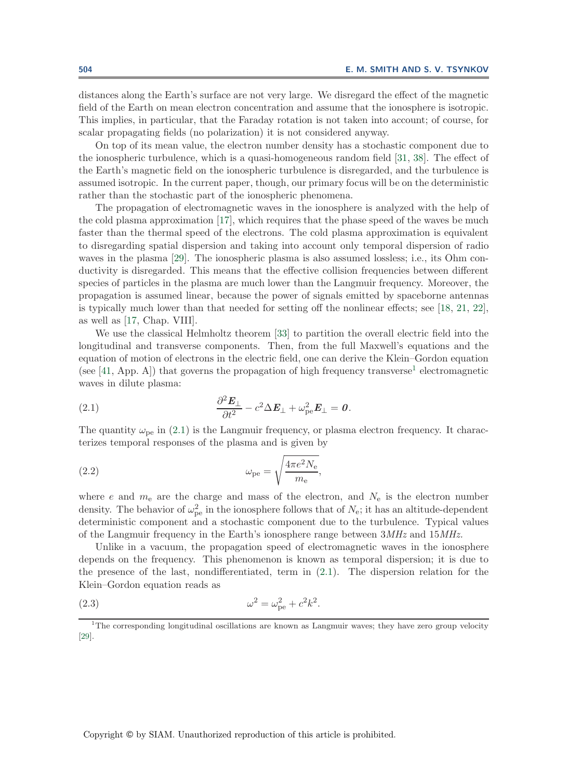distances along the Earth's surface are not very large. We disregard the effect of the magnetic field of the Earth on mean electron concentration and assume that the ionosphere is isotropic. This implies, in particular, that the Faraday rotation is not taken into account; of course, for scalar propagating fields (no polarization) it is not considered anyway.

On top of its mean value, the electron number density has a stochastic component due to the ionospheric turbulence, which is a quasi-homogeneous random field [\[31,](#page-41-14) [38\]](#page-41-3). The effect of the Earth's magnetic field on the ionospheric turbulence is disregarded, and the turbulence is assumed isotropic. In the current paper, though, our primary focus will be on the deterministic rather than the stochastic part of the ionospheric phenomena.

The propagation of electromagnetic waves in the ionosphere is analyzed with the help of the cold plasma approximation [\[17\]](#page-40-11), which requires that the phase speed of the waves be much faster than the thermal speed of the electrons. The cold plasma approximation is equivalent to disregarding spatial dispersion and taking into account only temporal dispersion of radio waves in the plasma [\[29\]](#page-41-15). The ionospheric plasma is also assumed lossless; i.e., its Ohm conductivity is disregarded. This means that the effective collision frequencies between different species of particles in the plasma are much lower than the Langmuir frequency. Moreover, the propagation is assumed linear, because the power of signals emitted by spaceborne antennas is typically much lower than that needed for setting off the nonlinear effects; see [\[18,](#page-40-12) [21,](#page-40-13) [22\]](#page-40-14), as well as [\[17,](#page-40-11) Chap. VIII].

We use the classical Helmholtz theorem [\[33\]](#page-41-16) to partition the overall electric field into the longitudinal and transverse components. Then, from the full Maxwell's equations and the equation of motion of electrons in the electric field, one can derive the Klein–Gordon equation (see [\[41,](#page-41-0) App. A]) that governs the propagation of high frequency transverse<sup>[1](#page-3-0)</sup> electromagnetic waves in dilute plasma:

<span id="page-3-1"></span>(2.1) 
$$
\frac{\partial^2 \boldsymbol{E}_{\perp}}{\partial t^2} - c^2 \Delta \boldsymbol{E}_{\perp} + \omega_{\text{pe}}^2 \boldsymbol{E}_{\perp} = \boldsymbol{0}.
$$

The quantity  $\omega_{\text{pe}}$  in [\(2.1\)](#page-3-1) is the Langmuir frequency, or plasma electron frequency. It characterizes temporal responses of the plasma and is given by

(2.2) 
$$
\omega_{\rm pe} = \sqrt{\frac{4\pi e^2 N_{\rm e}}{m_{\rm e}}},
$$

where e and  $m_e$  are the charge and mass of the electron, and  $N_e$  is the electron number density. The behavior of  $\omega_{\rm pe}^2$  in the ionosphere follows that of  $N_{\rm e}$ ; it has an altitude-dependent deterministic component and a stochastic component due to the turbulence. Typical values of the Langmuir frequency in the Earth's ionosphere range between 3*MHz* and 15*MHz.*

Unlike in a vacuum, the propagation speed of electromagnetic waves in the ionosphere depends on the frequency. This phenomenon is known as temporal dispersion; it is due to the presence of the last, nondifferentiated, term in [\(2.1\)](#page-3-1). The dispersion relation for the Klein–Gordon equation reads as

<span id="page-3-2"></span>(2.3) 
$$
\omega^2 = \omega_{\rm pe}^2 + c^2 k^2.
$$

<span id="page-3-0"></span><sup>1</sup>The corresponding longitudinal oscillations are known as Langmuir waves; they have zero group velocity [\[29\]](#page-41-15).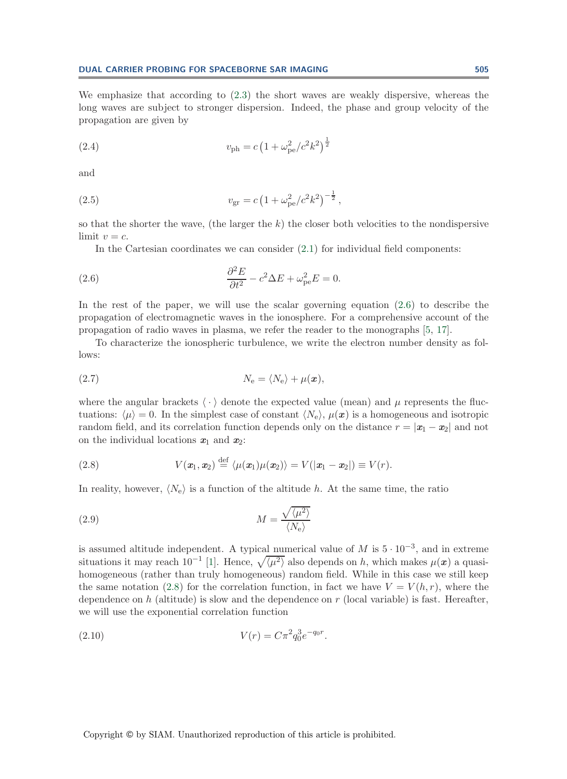We emphasize that according to [\(2.3\)](#page-3-2) the short waves are weakly dispersive, whereas the long waves are subject to stronger dispersion. Indeed, the phase and group velocity of the propagation are given by

<span id="page-4-6"></span>(2.4) 
$$
v_{\rm ph} = c \left( 1 + \omega_{\rm pe}^2 / c^2 k^2 \right)^{\frac{1}{2}}
$$

and

<span id="page-4-3"></span>(2.5) 
$$
v_{\rm gr} = c \left( 1 + \omega_{\rm pe}^2 / c^2 k^2 \right)^{-\frac{1}{2}},
$$

so that the shorter the wave, (the larger the  $k$ ) the closer both velocities to the nondispersive limit  $v = c$ .

<span id="page-4-0"></span>In the Cartesian coordinates we can consider [\(2.1\)](#page-3-1) for individual field components:

(2.6) 
$$
\frac{\partial^2 E}{\partial t^2} - c^2 \Delta E + \omega_{\rm pe}^2 E = 0.
$$

In the rest of the paper, we will use the scalar governing equation [\(2.6\)](#page-4-0) to describe the propagation of electromagnetic waves in the ionosphere. For a comprehensive account of the propagation of radio waves in plasma, we refer the reader to the monographs [\[5,](#page-40-15) [17\]](#page-40-11).

<span id="page-4-4"></span>To characterize the ionospheric turbulence, we write the electron number density as follows:

(2.7) 
$$
N_{\rm e} = \langle N_{\rm e} \rangle + \mu(\boldsymbol{x}),
$$

where the angular brackets  $\langle \cdot \rangle$  denote the expected value (mean) and  $\mu$  represents the fluctuations:  $\langle \mu \rangle = 0$ . In the simplest case of constant  $\langle N_e \rangle$ ,  $\mu(\boldsymbol{x})$  is a homogeneous and isotropic random field, and its correlation function depends only on the distance  $r = |\mathbf{x}_1 - \mathbf{x}_2|$  and not on the individual locations  $x_1$  and  $x_2$ :

<span id="page-4-1"></span>(2.8) 
$$
V(\boldsymbol{x}_1,\boldsymbol{x}_2) \stackrel{\text{def}}{=} \langle \mu(\boldsymbol{x}_1)\mu(\boldsymbol{x}_2) \rangle = V(|\boldsymbol{x}_1-\boldsymbol{x}_2|) \equiv V(r).
$$

<span id="page-4-5"></span>In reality, however,  $\langle N_e \rangle$  is a function of the altitude h. At the same time, the ratio

(2.9) 
$$
M = \frac{\sqrt{\langle \mu^2 \rangle}}{\langle N_e \rangle}
$$

is assumed altitude independent. A typical numerical value of  $M$  is  $5 \cdot 10^{-3}$ , and in extreme situations it may reach  $10^{-1}$  [\[1\]](#page-40-2). Hence,  $\sqrt{\langle \mu^2 \rangle}$  also depends on h, which makes  $\mu(x)$  a quasihomogeneous (rather than truly homogeneous) random field. While in this case we still keep the same notation [\(2.8\)](#page-4-1) for the correlation function, in fact we have  $V = V(h,r)$ , where the dependence on h (altitude) is slow and the dependence on r (local variable) is fast. Hereafter, we will use the exponential correlation function

<span id="page-4-2"></span>(2.10) 
$$
V(r) = C\pi^2 q_0^3 e^{-q_0 r}.
$$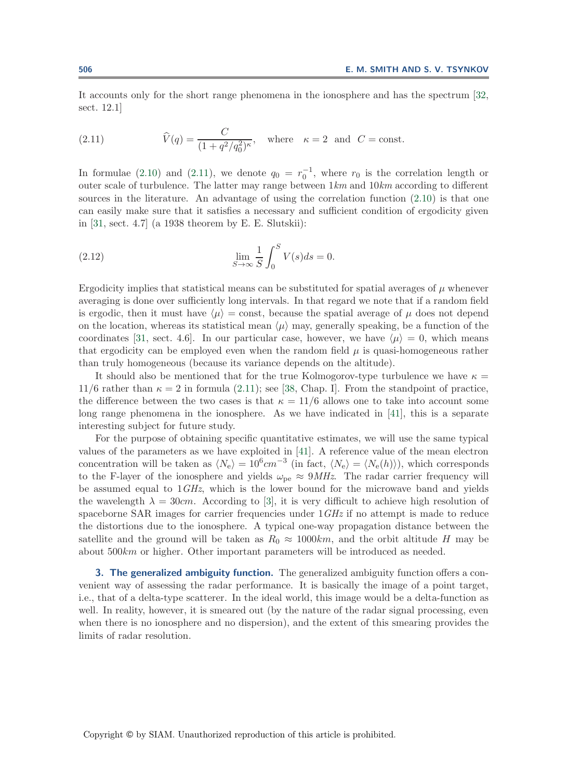<span id="page-5-1"></span>It accounts only for the short range phenomena in the ionosphere and has the spectrum [\[32,](#page-41-17) sect. 12.1]

(2.11) 
$$
\widehat{V}(q) = \frac{C}{(1 + q^2/q_0^2)^{\kappa}}, \text{ where } \kappa = 2 \text{ and } C = \text{const.}
$$

In formulae [\(2.10\)](#page-4-2) and [\(2.11\)](#page-5-1), we denote  $q_0 = r_0^{-1}$ , where  $r_0$  is the correlation length or outer scale of turbulence. The latter may range between 1*km* and 10*km* according to different sources in the literature. An advantage of using the correlation function  $(2.10)$  is that one can easily make sure that it satisfies a necessary and sufficient condition of ergodicity given in [\[31,](#page-41-14) sect. 4.7] (a 1938 theorem by E. E. Slutskii):

(2.12) 
$$
\lim_{S \to \infty} \frac{1}{S} \int_0^S V(s) ds = 0.
$$

Ergodicity implies that statistical means can be substituted for spatial averages of  $\mu$  whenever averaging is done over sufficiently long intervals. In that regard we note that if a random field is ergodic, then it must have  $\langle \mu \rangle$  = const, because the spatial average of  $\mu$  does not depend on the location, whereas its statistical mean  $\langle \mu \rangle$  may, generally speaking, be a function of the coordinates [\[31,](#page-41-14) sect. 4.6]. In our particular case, however, we have  $\langle \mu \rangle = 0$ , which means that ergodicity can be employed even when the random field  $\mu$  is quasi-homogeneous rather than truly homogeneous (because its variance depends on the altitude).

It should also be mentioned that for the true Kolmogorov-type turbulence we have  $\kappa =$ 11/6 rather than  $\kappa = 2$  in formula [\(2.11\)](#page-5-1); see [\[38,](#page-41-3) Chap. I]. From the standpoint of practice, the difference between the two cases is that  $\kappa = 11/6$  allows one to take into account some long range phenomena in the ionosphere. As we have indicated in [\[41\]](#page-41-0), this is a separate interesting subject for future study.

For the purpose of obtaining specific quantitative estimates, we will use the same typical values of the parameters as we have exploited in [\[41\]](#page-41-0). A reference value of the mean electron concentration will be taken as  $\langle N_e \rangle = 10^6 cm^{-3}$  (in fact,  $\langle N_e \rangle = \langle N_e(h) \rangle$ ), which corresponds to the F-layer of the ionosphere and yields  $\omega_{pe} \approx 9MHz$ . The radar carrier frequency will be assumed equal to 1*GHz*, which is the lower bound for the microwave band and yields the wavelength  $\lambda = 30$ cm. According to [\[3\]](#page-40-16), it is very difficult to achieve high resolution of spaceborne SAR images for carrier frequencies under 1*GHz* if no attempt is made to reduce the distortions due to the ionosphere. A typical one-way propagation distance between the satellite and the ground will be taken as  $R_0 \approx 1000km$ , and the orbit altitude H may be about 500km or higher. Other important parameters will be introduced as needed.

<span id="page-5-0"></span>**3. The generalized ambiguity function.** The generalized ambiguity function offers a convenient way of assessing the radar performance. It is basically the image of a point target, i.e., that of a delta-type scatterer. In the ideal world, this image would be a delta-function as well. In reality, however, it is smeared out (by the nature of the radar signal processing, even when there is no ionosphere and no dispersion), and the extent of this smearing provides the limits of radar resolution.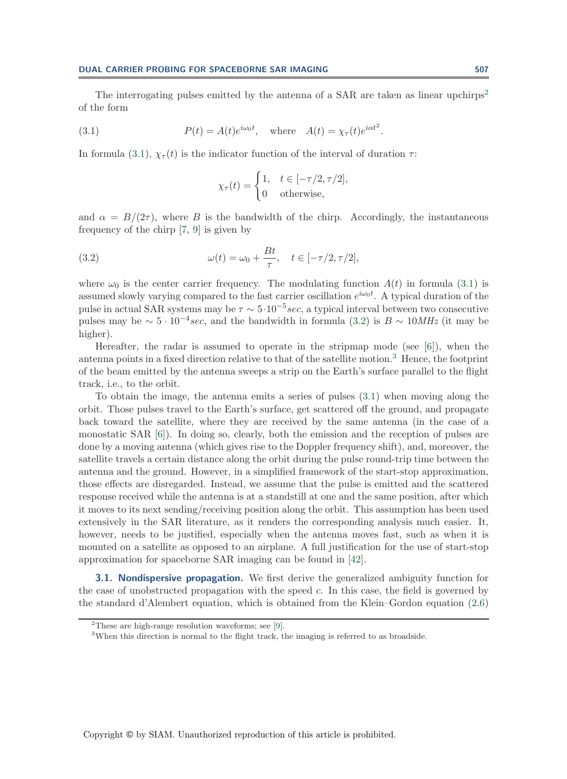<span id="page-6-1"></span>The interrogating pulses emitted by the antenna of a SAR are taken as linear upchirps<sup>[2](#page-6-0)</sup> of the form

(3.1) 
$$
P(t) = A(t)e^{i\omega_0 t}, \text{ where } A(t) = \chi_\tau(t)e^{i\alpha t^2}.
$$

In formula [\(3.1\)](#page-6-1),  $\chi_{\tau}(t)$  is the indicator function of the interval of duration  $\tau$ :

<span id="page-6-2"></span>
$$
\chi_{\tau}(t) = \begin{cases} 1, & t \in [-\tau/2, \tau/2], \\ 0 & \text{otherwise}, \end{cases}
$$

and  $\alpha = B/(2\tau)$ , where B is the bandwidth of the chirp. Accordingly, the instantaneous frequency of the chirp [\[7,](#page-40-0) [9\]](#page-40-1) is given by

(3.2) 
$$
\omega(t) = \omega_0 + \frac{Bt}{\tau}, \quad t \in [-\tau/2, \tau/2],
$$

where  $\omega_0$  is the center carrier frequency. The modulating function  $A(t)$  in formula [\(3.1\)](#page-6-1) is assumed slowly varying compared to the fast carrier oscillation  $e^{i\omega_0 t}$ . A typical duration of the pulse in actual SAR systems may be  $\tau \sim 5 \cdot 10^{-5} sec$ , a typical interval between two consecutive pulses may be  $\sim 5 \cdot 10^{-4}$  sec, and the bandwidth in formula [\(3.2\)](#page-6-2) is  $B \sim 10 MHz$  (it may be higher).

Hereafter, the radar is assumed to operate in the stripmap mode (see  $[6]$ ), when the antenna points in a fixed direction relative to that of the satellite motion.[3](#page-6-3) Hence, the footprint of the beam emitted by the antenna sweeps a strip on the Earth's surface parallel to the flight track, i.e., to the orbit.

To obtain the image, the antenna emits a series of pulses [\(3.1\)](#page-6-1) when moving along the orbit. Those pulses travel to the Earth's surface, get scattered off the ground, and propagate back toward the satellite, where they are received by the same antenna (in the case of a monostatic SAR [\[6\]](#page-40-17)). In doing so, clearly, both the emission and the reception of pulses are done by a moving antenna (which gives rise to the Doppler frequency shift), and, moreover, the satellite travels a certain distance along the orbit during the pulse round-trip time between the antenna and the ground. However, in a simplified framework of the start-stop approximation, those effects are disregarded. Instead, we assume that the pulse is emitted and the scattered response received while the antenna is at a standstill at one and the same position, after which it moves to its next sending/receiving position along the orbit. This assumption has been used extensively in the SAR literature, as it renders the corresponding analysis much easier. It, however, needs to be justified, especially when the antenna moves fast, such as when it is mounted on a satellite as opposed to an airplane. A full justification for the use of start-stop approximation for spaceborne SAR imaging can be found in [\[42\]](#page-41-13).

<span id="page-6-4"></span>**3.1. Nondispersive propagation.** We first derive the generalized ambiguity function for the case of unobstructed propagation with the speed c. In this case, the field is governed by the standard d'Alembert equation, which is obtained from the Klein–Gordon equation [\(2.6\)](#page-4-0)

<sup>&</sup>lt;sup>2</sup>These are high-range resolution waveforms; see [\[9\]](#page-40-1).

<span id="page-6-3"></span><span id="page-6-0"></span><sup>&</sup>lt;sup>3</sup>When this direction is normal to the flight track, the imaging is referred to as broadside.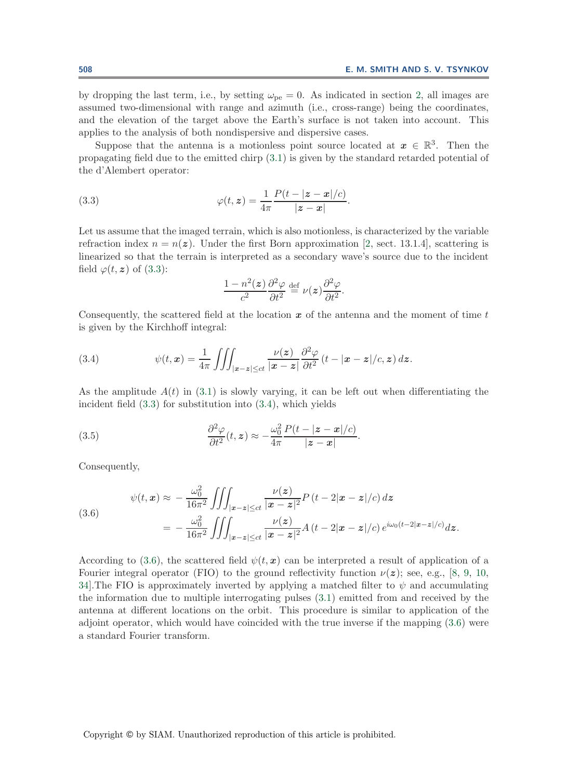by dropping the last term, i.e., by setting  $\omega_{pe} = 0$ . As indicated in section [2,](#page-2-0) all images are assumed two-dimensional with range and azimuth (i.e., cross-range) being the coordinates, and the elevation of the target above the Earth's surface is not taken into account. This applies to the analysis of both nondispersive and dispersive cases.

Suppose that the antenna is a motionless point source located at  $x \in \mathbb{R}^3$ . Then the propagating field due to the emitted chirp [\(3.1\)](#page-6-1) is given by the standard retarded potential of the d'Alembert operator:

<span id="page-7-0"></span>(3.3) 
$$
\varphi(t, z) = \frac{1}{4\pi} \frac{P(t - |z - x|/c)}{|z - x|}.
$$

Let us assume that the imaged terrain, which is also motionless, is characterized by the variable refraction index  $n = n(z)$ . Under the first Born approximation [\[2,](#page-40-18) sect. 13.1.4], scattering is linearized so that the terrain is interpreted as a secondary wave's source due to the incident field  $\varphi(t, z)$  of [\(3.3\)](#page-7-0):

<span id="page-7-1"></span>
$$
\frac{1 - n^2(z)}{c^2} \frac{\partial^2 \varphi}{\partial t^2} \stackrel{\text{def}}{=} \nu(z) \frac{\partial^2 \varphi}{\partial t^2}.
$$

Consequently, the scattered field at the location  $x$  of the antenna and the moment of time  $t$ is given by the Kirchhoff integral:

(3.4) 
$$
\psi(t, x) = \frac{1}{4\pi} \iiint_{|x-z| \le ct} \frac{\nu(z)}{|x-z|} \frac{\partial^2 \varphi}{\partial t^2} (t - |x-z|/c, z) dz.
$$

As the amplitude  $A(t)$  in [\(3.1\)](#page-6-1) is slowly varying, it can be left out when differentiating the incident field [\(3.3\)](#page-7-0) for substitution into [\(3.4\)](#page-7-1), which yields

(3.5) 
$$
\frac{\partial^2 \varphi}{\partial t^2}(t, z) \approx -\frac{\omega_0^2}{4\pi} \frac{P(t - |z - x|/c)}{|z - x|}.
$$

<span id="page-7-2"></span>Consequently,

(3.6) 
$$
\psi(t, x) \approx -\frac{\omega_0^2}{16\pi^2} \iiint_{|x-z| \le ct} \frac{\nu(z)}{|x-z|^2} P(t-2|x-z|/c) dz
$$

$$
= -\frac{\omega_0^2}{16\pi^2} \iiint_{|x-z| \le ct} \frac{\nu(z)}{|x-z|^2} A(t-2|x-z|/c) e^{i\omega_0(t-2|x-z|/c)} dz.
$$

According to [\(3.6\)](#page-7-2), the scattered field  $\psi(t, x)$  can be interpreted a result of application of a Fourier integral operator (FIO) to the ground reflectivity function  $\nu(z)$ ; see, e.g., [\[8,](#page-40-19) [9,](#page-40-1) [10,](#page-40-20) [34\]](#page-41-18). The FIO is approximately inverted by applying a matched filter to  $\psi$  and accumulating the information due to multiple interrogating pulses [\(3.1\)](#page-6-1) emitted from and received by the antenna at different locations on the orbit. This procedure is similar to application of the adjoint operator, which would have coincided with the true inverse if the mapping [\(3.6\)](#page-7-2) were a standard Fourier transform.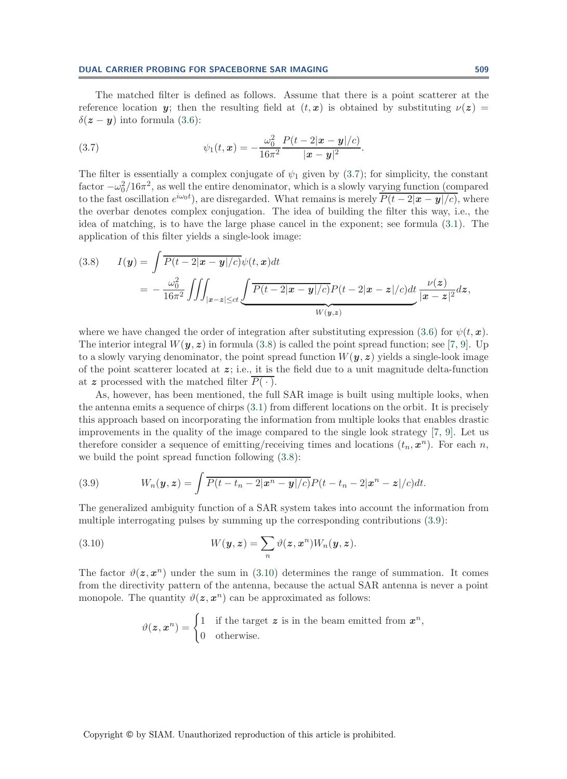The matched filter is defined as follows. Assume that there is a point scatterer at the reference location **y**; then the resulting field at  $(t, x)$  is obtained by substituting  $\nu(z)$  =  $\delta(z - y)$  into formula [\(3.6\)](#page-7-2):

<span id="page-8-0"></span>(3.7) 
$$
\psi_1(t, \mathbf{x}) = -\frac{\omega_0^2}{16\pi^2} \frac{P(t - 2|\mathbf{x} - \mathbf{y}|/c)}{|\mathbf{x} - \mathbf{y}|^2}.
$$

The filter is essentially a complex conjugate of  $\psi_1$  given by [\(3.7\)](#page-8-0); for simplicity, the constant factor  $-\omega_0^2/16\pi^2$ , as well the entire denominator, which is a slowly varying function (compared to the fast oscillation  $e^{i\omega_0 t}$ , are disregarded. What remains is merely  $\overline{P(t-2|\mathbf{x}-\mathbf{y}|/c)}$ , where the overbar denotes complex conjugation. The idea of building the filter this way, i.e., the idea of matching, is to have the large phase cancel in the exponent; see formula [\(3.1\)](#page-6-1). The application of this filter yields a single-look image:

<span id="page-8-1"></span>(3.8) 
$$
I(\mathbf{y}) = \int \overline{P(t-2|\mathbf{x}-\mathbf{y}|/c)} \psi(t,\mathbf{x}) dt
$$
  
= 
$$
-\frac{\omega_0^2}{16\pi^2} \iiint_{|\mathbf{x}-\mathbf{z}| \leq ct} \underbrace{\int \overline{P(t-2|\mathbf{x}-\mathbf{y}|/c)} P(t-2|\mathbf{x}-\mathbf{z}|/c)}_{W(\mathbf{y},\mathbf{z})} \frac{\nu(\mathbf{z})}{|\mathbf{x}-\mathbf{z}|^2} d\mathbf{z},
$$

where we have changed the order of integration after substituting expression [\(3.6\)](#page-7-2) for  $\psi(t, x)$ . The interior integral  $W(\mathbf{y}, \mathbf{z})$  in formula [\(3.8\)](#page-8-1) is called the point spread function; see [\[7,](#page-40-0) [9\]](#page-40-1). Up to a slowly varying denominator, the point spread function  $W(y, z)$  yields a single-look image of the point scatterer located at *z* ; i.e., it is the field due to a unit magnitude delta-function at z processed with the matched filter  $\overline{P(\cdot)}$ .

As, however, has been mentioned, the full SAR image is built using multiple looks, when the antenna emits a sequence of chirps [\(3.1\)](#page-6-1) from different locations on the orbit. It is precisely this approach based on incorporating the information from multiple looks that enables drastic improvements in the quality of the image compared to the single look strategy [\[7,](#page-40-0) [9\]](#page-40-1). Let us therefore consider a sequence of emitting/receiving times and locations  $(t_n, x^n)$ . For each n, we build the point spread function following [\(3.8\)](#page-8-1):

<span id="page-8-2"></span>(3.9) 
$$
W_n(\boldsymbol{y}, \boldsymbol{z}) = \int \overline{P(t - t_n - 2|\boldsymbol{x}^n - \boldsymbol{y}|/c)} P(t - t_n - 2|\boldsymbol{x}^n - \boldsymbol{z}|/c) dt.
$$

The generalized ambiguity function of a SAR system takes into account the information from multiple interrogating pulses by summing up the corresponding contributions [\(3.9\)](#page-8-2):

(3.10) 
$$
W(\mathbf{y}, \mathbf{z}) = \sum_{n} \vartheta(\mathbf{z}, \mathbf{x}^{n}) W_{n}(\mathbf{y}, \mathbf{z}).
$$

The factor  $\vartheta(z, x^n)$  under the sum in [\(3.10\)](#page-8-3) determines the range of summation. It comes from the directivity pattern of the antenna, because the actual SAR antenna is never a point monopole. The quantity  $\vartheta(z, x^n)$  can be approximated as follows:

<span id="page-8-3"></span>
$$
\vartheta(\mathbf{z}, \mathbf{x}^n) = \begin{cases} 1 & \text{if the target } \mathbf{z} \text{ is in the beam emitted from } \mathbf{x}^n, \\ 0 & \text{otherwise.} \end{cases}
$$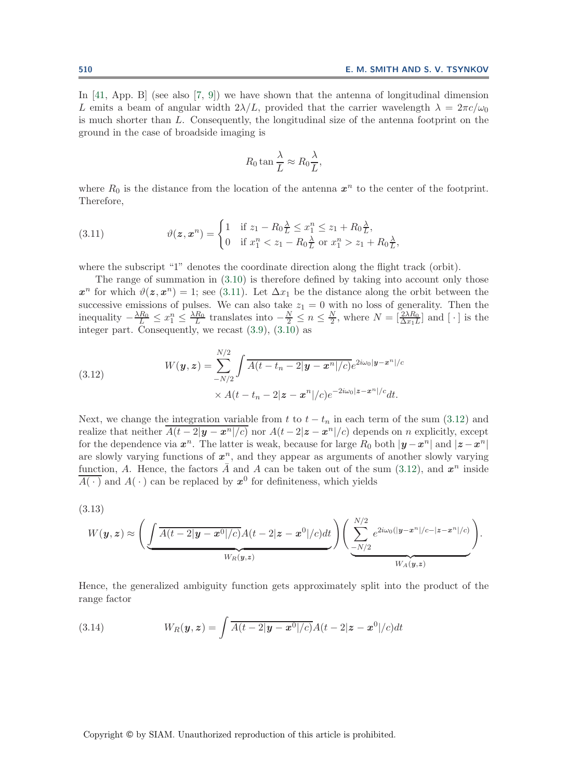In [\[41,](#page-41-0) App. B] (see also [\[7,](#page-40-0) [9\]](#page-40-1)) we have shown that the antenna of longitudinal dimension L emits a beam of angular width  $2\lambda/L$ , provided that the carrier wavelength  $\lambda = 2\pi c/\omega_0$ is much shorter than L. Consequently, the longitudinal size of the antenna footprint on the ground in the case of broadside imaging is

<span id="page-9-1"></span>
$$
R_0 \tan \frac{\lambda}{L} \approx R_0 \frac{\lambda}{L},
$$

<span id="page-9-0"></span>where  $R_0$  is the distance from the location of the antenna  $x^n$  to the center of the footprint. Therefore,

(3.11) 
$$
\vartheta(z, x^n) = \begin{cases} 1 & \text{if } z_1 - R_0 \frac{\lambda}{L} \le x_1^n \le z_1 + R_0 \frac{\lambda}{L}, \\ 0 & \text{if } x_1^n < z_1 - R_0 \frac{\lambda}{L} \text{ or } x_1^n > z_1 + R_0 \frac{\lambda}{L}, \end{cases}
$$

where the subscript "1" denotes the coordinate direction along the flight track (orbit).

The range of summation in [\(3.10\)](#page-8-3) is therefore defined by taking into account only those  $x^n$  for which  $\vartheta(z, x^n) = 1$ ; see [\(3.11\)](#page-9-0). Let  $\Delta x_1$  be the distance along the orbit between the successive emissions of pulses. We can also take  $z_1 = 0$  with no loss of generality. Then the inequality  $-\frac{\lambda R_0}{L} \le x_1^n \le \frac{\lambda R_0}{L}$  translates into  $-\frac{N}{2} \le n \le \frac{N}{2}$ , where  $N = \left[\frac{2\lambda R_0}{\Delta x_1 L}\right]$  and  $[\cdot]$  is the integer part. Consequently, we recast  $(3.9)$ ,  $(3.10)$  as

(3.12) 
$$
W(\mathbf{y}, \mathbf{z}) = \sum_{-N/2}^{N/2} \int \overline{A(t - t_n - 2|\mathbf{y} - \mathbf{x}^n|/c)} e^{2i\omega_0|\mathbf{y} - \mathbf{x}^n|/c} \times A(t - t_n - 2|\mathbf{z} - \mathbf{x}^n|/c) e^{-2i\omega_0|\mathbf{z} - \mathbf{x}^n|/c} dt.
$$

Next, we change the integration variable from t to  $t - t_n$  in each term of the sum [\(3.12\)](#page-9-1) and realize that neither  $\overline{A(t-2|y-x^n|/c)}$  nor  $A(t-2|z-x^n|/c)$  depends on n explicitly, except for the dependence via  $x^n$ . The latter is weak, because for large  $R_0$  both  $|\mathbf{y}-x^n|$  and  $|z-x^n|$ are slowly varying functions of  $x^n$ , and they appear as arguments of another slowly varying function, A. Hence, the factors  $\overline{A}$  and A can be taken out of the sum [\(3.12\)](#page-9-1), and  $x^n$  inside  $\overline{A(\cdot)}$  and  $A(\cdot)$  can be replaced by  $x^0$  for definiteness, which yields

<span id="page-9-2"></span>
$$
(3.13)
$$

$$
W(\mathbf{y},\mathbf{z}) \approx \left(\underbrace{\int \overline{A(t-2|\mathbf{y}-\mathbf{x}^0|/c)}A(t-2|\mathbf{z}-\mathbf{x}^0|/c)dt}_{W_R(\mathbf{y},\mathbf{z})}\right)\left(\underbrace{\sum_{-N/2}^{N/2}e^{2i\omega_0(|\mathbf{y}-\mathbf{x}^n|/c-|\mathbf{z}-\mathbf{x}^n|/c)}_{W_A(\mathbf{y},\mathbf{z})}\right).
$$

<span id="page-9-3"></span>Hence, the generalized ambiguity function gets approximately split into the product of the range factor

(3.14) 
$$
W_R(\boldsymbol{y}, \boldsymbol{z}) = \int \overline{A(t-2|\boldsymbol{y}-\boldsymbol{x}^0|/c)} A(t-2|\boldsymbol{z}-\boldsymbol{x}^0|/c) dt
$$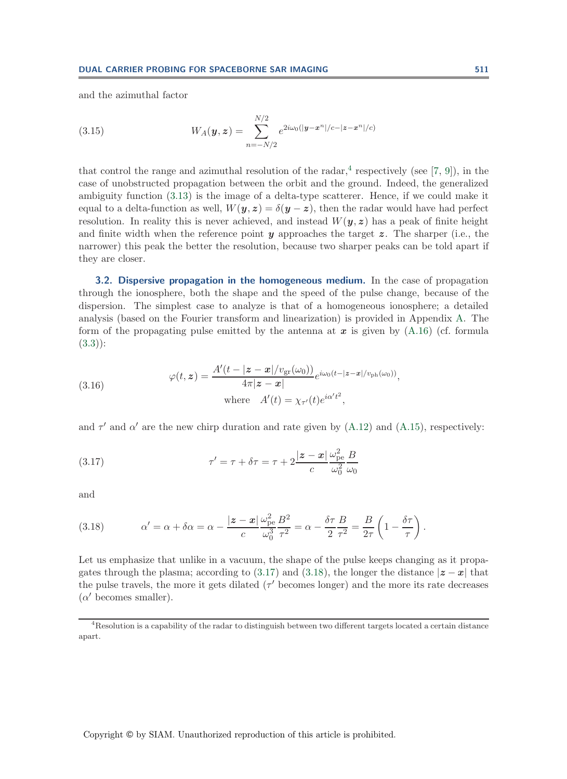<span id="page-10-4"></span>and the azimuthal factor

(3.15) 
$$
W_A(\mathbf{y}, \mathbf{z}) = \sum_{n=-N/2}^{N/2} e^{2i\omega_0(|\mathbf{y}-\mathbf{x}^n|/c-|\mathbf{z}-\mathbf{x}^n|/c)}
$$

that control the range and azimuthal resolution of the radar,  $\frac{4}{3}$  $\frac{4}{3}$  $\frac{4}{3}$  respectively (see [\[7,](#page-40-0) [9\]](#page-40-1)), in the case of unobstructed propagation between the orbit and the ground. Indeed, the generalized ambiguity function [\(3.13\)](#page-9-2) is the image of a delta-type scatterer. Hence, if we could make it equal to a delta-function as well,  $W(\mathbf{y}, \mathbf{z}) = \delta(\mathbf{y} - \mathbf{z})$ , then the radar would have had perfect resolution. In reality this is never achieved, and instead  $W(\mathbf{y}, \mathbf{z})$  has a peak of finite height and finite width when the reference point  $y$  approaches the target  $z$ . The sharper (i.e., the narrower) this peak the better the resolution, because two sharper peaks can be told apart if they are closer.

**3.2. Dispersive propagation in the homogeneous medium.** In the case of propagation through the ionosphere, both the shape and the speed of the pulse change, because of the dispersion. The simplest case to analyze is that of a homogeneous ionosphere; a detailed analysis (based on the Fourier transform and linearization) is provided in Appendix [A.](#page-26-0) The form of the propagating pulse emitted by the antenna at  $x$  is given by  $(A.16)$  (cf. formula [\(3.3\)](#page-7-0)):

<span id="page-10-3"></span>(3.16) 
$$
\varphi(t, \mathbf{z}) = \frac{A'(t - |\mathbf{z} - \mathbf{x}|/v_{\text{gr}}(\omega_0))}{4\pi |\mathbf{z} - \mathbf{x}|} e^{i\omega_0(t - |\mathbf{z} - \mathbf{x}|/v_{\text{ph}}(\omega_0))},
$$
  
where 
$$
A'(t) = \chi_{\tau'}(t)e^{i\alpha' t^2},
$$

<span id="page-10-1"></span>and  $\tau'$  and  $\alpha'$  are the new chirp duration and rate given by [\(A.12\)](#page-29-0) and [\(A.15\)](#page-30-1), respectively:

(3.17) 
$$
\tau' = \tau + \delta \tau = \tau + 2 \frac{|z - x|}{c} \frac{\omega_{\text{pe}}^2}{\omega_0^2} \frac{B}{\omega_0}
$$

<span id="page-10-2"></span>and

(3.18) 
$$
\alpha' = \alpha + \delta\alpha = \alpha - \frac{|z - x|}{c} \frac{\omega_{\rm pe}^2}{\omega_0^3} \frac{B^2}{\tau^2} = \alpha - \frac{\delta\tau}{2} \frac{B}{\tau^2} = \frac{B}{2\tau} \left( 1 - \frac{\delta\tau}{\tau} \right).
$$

Let us emphasize that unlike in a vacuum, the shape of the pulse keeps changing as it propa-gates through the plasma; according to [\(3.17\)](#page-10-1) and [\(3.18\)](#page-10-2), the longer the distance  $|\mathbf{z} - \mathbf{x}|$  that the pulse travels, the more it gets dilated  $(\tau')$  becomes longer) and the more its rate decreases  $(\alpha'$  becomes smaller).

<span id="page-10-0"></span> $4$ Resolution is a capability of the radar to distinguish between two different targets located a certain distance apart.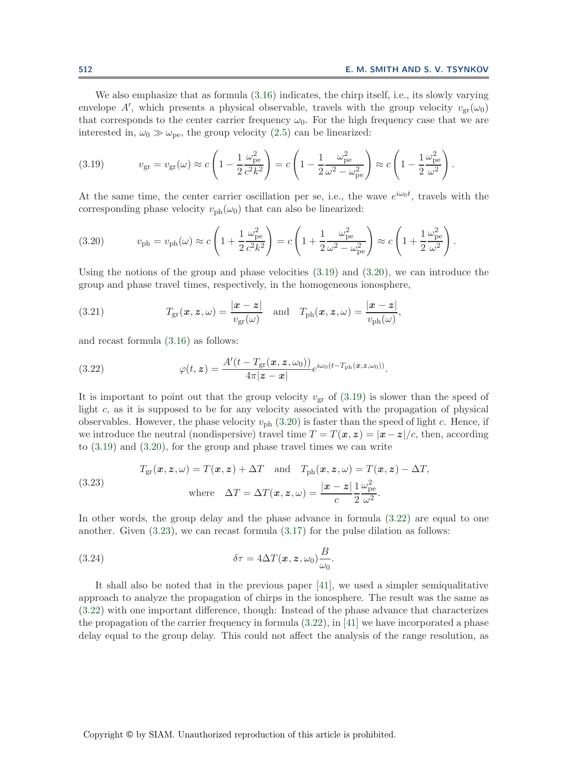We also emphasize that as formula  $(3.16)$  indicates, the chirp itself, i.e., its slowly varying envelope A', which presents a physical observable, travels with the group velocity  $v_{\rm gr}(\omega_0)$ that corresponds to the center carrier frequency  $\omega_0$ . For the high frequency case that we are interested in,  $\omega_0 \gg \omega_{\text{pe}}$ , the group velocity [\(2.5\)](#page-4-3) can be linearized:

<span id="page-11-0"></span>(3.19) 
$$
v_{\rm gr} = v_{\rm gr}(\omega) \approx c \left( 1 - \frac{1}{2} \frac{\omega_{\rm pe}^2}{c^2 k^2} \right) = c \left( 1 - \frac{1}{2} \frac{\omega_{\rm pe}^2}{\omega^2 - \omega_{\rm pe}^2} \right) \approx c \left( 1 - \frac{1}{2} \frac{\omega_{\rm pe}^2}{\omega^2} \right).
$$

<span id="page-11-1"></span>At the same time, the center carrier oscillation per se, i.e., the wave  $e^{i\omega_0 t}$ , travels with the corresponding phase velocity  $v_{\text{ph}}(\omega_0)$  that can also be linearized:

(3.20) 
$$
v_{\text{ph}} = v_{\text{ph}}(\omega) \approx c \left( 1 + \frac{1}{2} \frac{\omega_{\text{pe}}^2}{c^2 k^2} \right) = c \left( 1 + \frac{1}{2} \frac{\omega_{\text{pe}}^2}{\omega^2 - \omega_{\text{pe}}^2} \right) \approx c \left( 1 + \frac{1}{2} \frac{\omega_{\text{pe}}^2}{\omega^2} \right).
$$

<span id="page-11-4"></span>Using the notions of the group and phase velocities  $(3.19)$  and  $(3.20)$ , we can introduce the group and phase travel times, respectively, in the homogeneous ionosphere,

(3.21) 
$$
T_{\rm gr}(\boldsymbol{x}, \boldsymbol{z}, \omega) = \frac{|\boldsymbol{x} - \boldsymbol{z}|}{v_{\rm gr}(\omega)} \quad \text{and} \quad T_{\rm ph}(\boldsymbol{x}, \boldsymbol{z}, \omega) = \frac{|\boldsymbol{x} - \boldsymbol{z}|}{v_{\rm ph}(\omega)},
$$

<span id="page-11-2"></span>and recast formula [\(3.16\)](#page-10-3) as follows:

(3.22) 
$$
\varphi(t,z) = \frac{A'(t - T_{\text{gr}}(\boldsymbol{x}, \boldsymbol{z}, \omega_0))}{4\pi|\boldsymbol{z} - \boldsymbol{x}|} e^{i\omega_0(t - T_{\text{ph}}(\boldsymbol{x}, \boldsymbol{z}, \omega_0))}.
$$

It is important to point out that the group velocity  $v_{\rm gr}$  of  $(3.19)$  is slower than the speed of light c, as it is supposed to be for any velocity associated with the propagation of physical observables. However, the phase velocity  $v_{\text{ph}}$  [\(3.20\)](#page-11-1) is faster than the speed of light c. Hence, if we introduce the neutral (nondispersive) travel time  $T = T(\mathbf{x}, \mathbf{z}) = |\mathbf{x} - \mathbf{z}|/c$ , then, according to [\(3.19\)](#page-11-0) and [\(3.20\)](#page-11-1), for the group and phase travel times we can write

<span id="page-11-3"></span>(3.23) 
$$
T_{\rm gr}(\boldsymbol{x}, \boldsymbol{z}, \omega) = T(\boldsymbol{x}, \boldsymbol{z}) + \Delta T \text{ and } T_{\rm ph}(\boldsymbol{x}, \boldsymbol{z}, \omega) = T(\boldsymbol{x}, \boldsymbol{z}) - \Delta T,
$$
  
where 
$$
\Delta T = \Delta T(\boldsymbol{x}, \boldsymbol{z}, \omega) = \frac{|\boldsymbol{x} - \boldsymbol{z}|}{c} \frac{1}{2} \frac{\omega_{\rm pe}^2}{\omega^2}.
$$

In other words, the group delay and the phase advance in formula [\(3.22\)](#page-11-2) are equal to one another. Given [\(3.23\)](#page-11-3), we can recast formula [\(3.17\)](#page-10-1) for the pulse dilation as follows:

<span id="page-11-5"></span>(3.24) 
$$
\delta \tau = 4 \Delta T(\boldsymbol{x}, \boldsymbol{z}, \omega_0) \frac{B}{\omega_0}.
$$

It shall also be noted that in the previous paper [\[41\]](#page-41-0), we used a simpler semiqualitative approach to analyze the propagation of chirps in the ionosphere. The result was the same as [\(3.22\)](#page-11-2) with one important difference, though: Instead of the phase advance that characterizes the propagation of the carrier frequency in formula [\(3.22\)](#page-11-2), in [\[41\]](#page-41-0) we have incorporated a phase delay equal to the group delay. This could not affect the analysis of the range resolution, as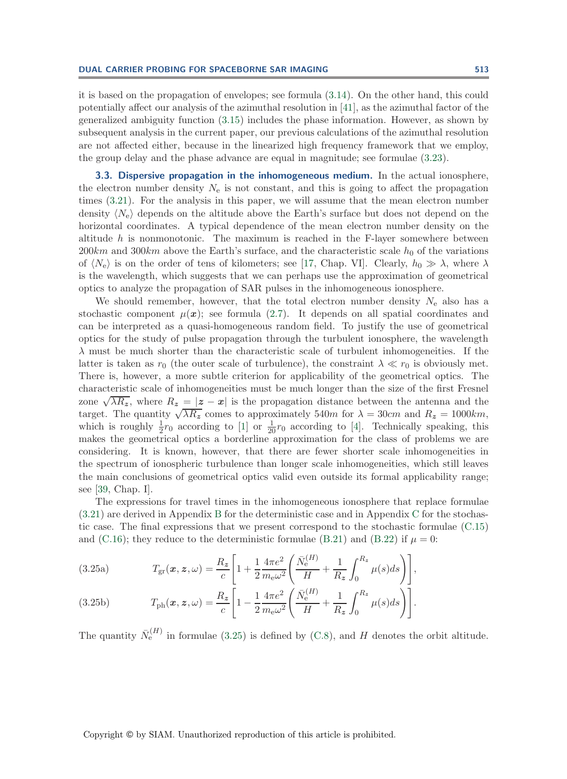it is based on the propagation of envelopes; see formula [\(3.14\)](#page-9-3). On the other hand, this could potentially affect our analysis of the azimuthal resolution in [\[41\]](#page-41-0), as the azimuthal factor of the generalized ambiguity function [\(3.15\)](#page-10-4) includes the phase information. However, as shown by subsequent analysis in the current paper, our previous calculations of the azimuthal resolution are not affected either, because in the linearized high frequency framework that we employ, the group delay and the phase advance are equal in magnitude; see formulae [\(3.23\)](#page-11-3).

**3.3. Dispersive propagation in the inhomogeneous medium.** In the actual ionosphere, the electron number density  $N_e$  is not constant, and this is going to affect the propagation times [\(3.21\)](#page-11-4). For the analysis in this paper, we will assume that the mean electron number density  $\langle N_{\rm e} \rangle$  depends on the altitude above the Earth's surface but does not depend on the horizontal coordinates. A typical dependence of the mean electron number density on the altitude  $h$  is nonmonotonic. The maximum is reached in the F-layer somewhere between 200km and 300km above the Earth's surface, and the characteristic scale  $h_0$  of the variations of  $\langle N_e \rangle$  is on the order of tens of kilometers; see [\[17,](#page-40-11) Chap. VI]. Clearly,  $h_0 \gg \lambda$ , where  $\lambda$ is the wavelength, which suggests that we can perhaps use the approximation of geometrical optics to analyze the propagation of SAR pulses in the inhomogeneous ionosphere.

We should remember, however, that the total electron number density  $N_e$  also has a stochastic component  $\mu(x)$ ; see formula [\(2.7\)](#page-4-4). It depends on all spatial coordinates and can be interpreted as a quasi-homogeneous random field. To justify the use of geometrical optics for the study of pulse propagation through the turbulent ionosphere, the wavelength  $\lambda$  must be much shorter than the characteristic scale of turbulent inhomogeneities. If the latter is taken as  $r_0$  (the outer scale of turbulence), the constraint  $\lambda \ll r_0$  is obviously met. There is, however, a more subtle criterion for applicability of the geometrical optics. The characteristic scale of inhomogeneities must be much longer than the size of the first Fresnel zone  $\sqrt{\lambda R_z}$ , where  $R_z = |z - x|$  is the propagation distance between the antenna and the target. The quantity  $\sqrt{\lambda R_z}$  comes to approximately 540m for  $\lambda = 30$ cm and  $R_z = 1000$ km, which is roughly  $\frac{1}{2}r_0$  according to [\[1\]](#page-40-2) or  $\frac{1}{20}r_0$  according to [\[4\]](#page-40-4). Technically speaking, this makes the geometrical optics a borderline approximation for the class of problems we are considering. It is known, however, that there are fewer shorter scale inhomogeneities in the spectrum of ionospheric turbulence than longer scale inhomogeneities, which still leaves the main conclusions of geometrical optics valid even outside its formal applicability range; see [\[39,](#page-41-4) Chap. I].

The expressions for travel times in the inhomogeneous ionosphere that replace formulae [\(3.21\)](#page-11-4) are derived in Appendix [B](#page-31-0) for the deterministic case and in Appendix [C](#page-35-0) for the stochastic case. The final expressions that we present correspond to the stochastic formulae [\(C.15\)](#page-38-0) and [\(C.16\)](#page-38-1); they reduce to the deterministic formulae [\(B.21\)](#page-35-1) and [\(B.22\)](#page-35-2) if  $\mu = 0$ :

<span id="page-12-0"></span>(3.25a) 
$$
T_{\rm gr}(\mathbf{x}, \mathbf{z}, \omega) = \frac{R_z}{c} \left[ 1 + \frac{1}{2} \frac{4\pi e^2}{m_{\rm e} \omega^2} \left( \frac{\bar{N}_{\rm e}^{(H)}}{H} + \frac{1}{R_z} \int_0^{R_z} \mu(s) ds \right) \right],
$$

(3.25b) 
$$
T_{\rm ph}(\mathbf{x}, \mathbf{z}, \omega) = \frac{R_z}{c} \left[ 1 - \frac{1}{2} \frac{4\pi e^2}{m_{\rm e} \omega^2} \left( \frac{\bar{N}_{\rm e}^{(H)}}{H} + \frac{1}{R_z} \int_0^{R_z} \mu(s) ds \right) \right].
$$

The quantity  $\bar{N}_e^{(H)}$  in formulae [\(3.25\)](#page-12-0) is defined by [\(C.8\)](#page-37-0), and H denotes the orbit altitude.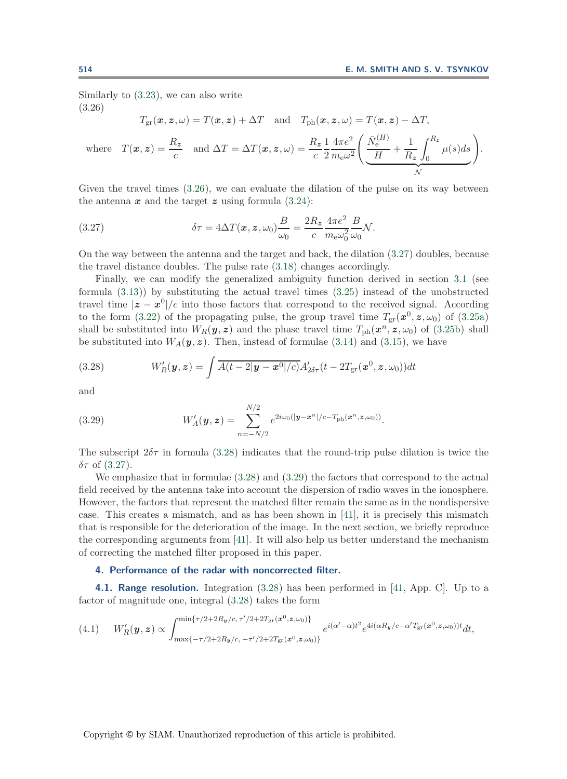Similarly to [\(3.23\)](#page-11-3), we can also write (3.26)

<span id="page-13-1"></span>
$$
T_{\rm gr}(\mathbf{x}, \mathbf{z}, \omega) = T(\mathbf{x}, \mathbf{z}) + \Delta T \text{ and } T_{\rm ph}(\mathbf{x}, \mathbf{z}, \omega) = T(\mathbf{x}, \mathbf{z}) - \Delta T,
$$
  
where  $T(\mathbf{x}, \mathbf{z}) = \frac{R_{\mathbf{z}}}{c}$  and  $\Delta T = \Delta T(\mathbf{x}, \mathbf{z}, \omega) = \frac{R_{\mathbf{z}}}{c} \frac{1}{2} \frac{4\pi e^2}{m_{\rm e} \omega^2} \left( \underbrace{\frac{\bar{N}_{\rm e}^{(H)}}{H} + \frac{1}{R_{\mathbf{z}}}}_{\mathcal{N}} \int_{0}^{R_{\mathbf{z}}} \mu(s) ds \right).$ 

<span id="page-13-2"></span>Given the travel times [\(3.26\)](#page-13-1), we can evaluate the dilation of the pulse on its way between the antenna  $x$  and the target  $z$  using formula  $(3.24)$ :

(3.27) 
$$
\delta \tau = 4 \Delta T(\boldsymbol{x}, \boldsymbol{z}, \omega_0) \frac{B}{\omega_0} = \frac{2R_z}{c} \frac{4\pi e^2}{m_e \omega_0^2} \frac{B}{\omega_0} \mathcal{N}.
$$

On the way between the antenna and the target and back, the dilation [\(3.27\)](#page-13-2) doubles, because the travel distance doubles. The pulse rate [\(3.18\)](#page-10-2) changes accordingly.

Finally, we can modify the generalized ambiguity function derived in section [3.1](#page-6-4) (see formula [\(3.13\)](#page-9-2)) by substituting the actual travel times [\(3.25\)](#page-12-0) instead of the unobstructed travel time  $|z - x^0|/c$  into those factors that correspond to the received signal. According to the form [\(3.22\)](#page-11-2) of the propagating pulse, the group travel time  $T_{\rm gr}(\bm{x}^0, \bm{z}, \omega_0)$  of [\(3.25a\)](#page-6-1) shall be substituted into  $W_R(\bm{y}, \bm{z})$  and the phase travel time  $T_{\text{ph}}(\bm{x}^n, \bm{z}, \omega_0)$  of [\(3.25b\)](#page-6-2) shall be substituted into  $W_A(\mathbf{y}, \mathbf{z})$ . Then, instead of formulae [\(3.14\)](#page-9-3) and [\(3.15\)](#page-10-4), we have

<span id="page-13-3"></span>(3.28) 
$$
W'_R(\boldsymbol{y}, \boldsymbol{z}) = \int \overline{A(t-2|\boldsymbol{y}-\boldsymbol{x}^0|/c)} A'_{2\delta\tau}(t-2T_{\rm gr}(\boldsymbol{x}^0, \boldsymbol{z}, \omega_0))dt
$$

<span id="page-13-4"></span>and

(3.29) 
$$
W'_{A}(\boldsymbol{y}, \boldsymbol{z}) = \sum_{n=-N/2}^{N/2} e^{2i\omega_0(|\boldsymbol{y}-\boldsymbol{x}^n|/c-T_{\text{ph}}(\boldsymbol{x}^n, \boldsymbol{z}, \omega_0))}.
$$

The subscript  $2\delta\tau$  in formula [\(3.28\)](#page-13-3) indicates that the round-trip pulse dilation is twice the  $\delta\tau$  of [\(3.27\)](#page-13-2).

We emphasize that in formulae [\(3.28\)](#page-13-3) and [\(3.29\)](#page-13-4) the factors that correspond to the actual field received by the antenna take into account the dispersion of radio waves in the ionosphere. However, the factors that represent the matched filter remain the same as in the nondispersive case. This creates a mismatch, and as has been shown in [\[41\]](#page-41-0), it is precisely this mismatch that is responsible for the deterioration of the image. In the next section, we briefly reproduce the corresponding arguments from [\[41\]](#page-41-0). It will also help us better understand the mechanism of correcting the matched filter proposed in this paper.

# <span id="page-13-5"></span><span id="page-13-0"></span>**4. Performance of the radar with noncorrected filter.**

<span id="page-13-6"></span>**4.1. Range resolution.** Integration [\(3.28\)](#page-13-3) has been performed in [\[41,](#page-41-0) App. C]. Up to a factor of magnitude one, integral [\(3.28\)](#page-13-3) takes the form

$$
(4.1) \qquad W_R'(\mathbf{y},\mathbf{z}) \propto \int_{\max\{-\tau/2+2R_{\mathbf{y}}/c,-\tau'/2+2T_{\rm gr}(\mathbf{x}^0,\mathbf{z},\omega_0)\}}^{\min\{\tau/2+2R_{\mathbf{y}}/c,\tau'/2+2T_{\rm gr}(\mathbf{x}^0,\mathbf{z},\omega_0)\}} e^{i(\alpha'-\alpha)t^2} e^{4i(\alpha R_{\mathbf{y}}/c-\alpha'T_{\rm gr}(\mathbf{x}^0,\mathbf{z},\omega_0))t} dt,
$$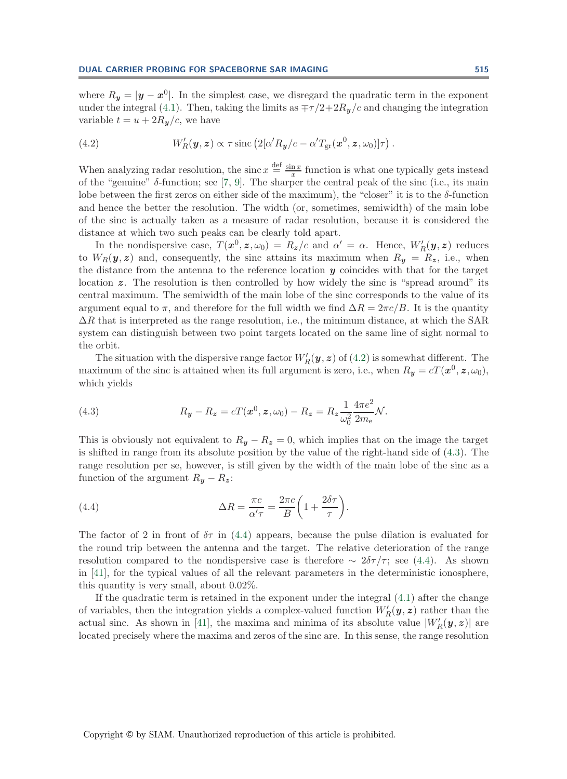where  $R_y = |\mathbf{y} - \mathbf{x}^0|$ . In the simplest case, we disregard the quadratic term in the exponent under the integral [\(4.1\)](#page-13-5). Then, taking the limits as  $\mp \tau/2 + 2R_y/c$  and changing the integration variable  $t = u + 2R_{\mathbf{y}}/c$ , we have

<span id="page-14-0"></span>(4.2) 
$$
W'_R(\boldsymbol{y},\boldsymbol{z}) \propto \tau \operatorname{sinc} \left( 2[\alpha'R_{\boldsymbol{y}}/c - \alpha'T_{\mathrm{gr}}(\boldsymbol{x}^0,\boldsymbol{z},\omega_0)]\tau \right).
$$

When analyzing radar resolution, the sinc  $x \stackrel{\text{def}}{=} \frac{\sin x}{x}$  function is what one typically gets instead of the "genuine"  $\delta$ -function; see [\[7,](#page-40-0) [9\]](#page-40-1). The sharper the central peak of the sinc (i.e., its main lobe between the first zeros on either side of the maximum), the "closer" it is to the  $\delta$ -function and hence the better the resolution. The width (or, sometimes, semiwidth) of the main lobe of the sinc is actually taken as a measure of radar resolution, because it is considered the distance at which two such peaks can be clearly told apart.

In the nondispersive case,  $T(\mathbf{x}^0, \mathbf{z}, \omega_0) = R_{\mathbf{z}}/c$  and  $\alpha' = \alpha$ . Hence,  $W_R'(\mathbf{y}, \mathbf{z})$  reduces to  $W_R(\mathbf{y}, \mathbf{z})$  and, consequently, the sinc attains its maximum when  $R_\mathbf{y} = R_\mathbf{z}$ , i.e., when the distance from the antenna to the reference location *y* coincides with that for the target location **z**. The resolution is then controlled by how widely the sinc is "spread around" its central maximum. The semiwidth of the main lobe of the sinc corresponds to the value of its argument equal to  $\pi$ , and therefore for the full width we find  $\Delta R = 2\pi c/B$ . It is the quantity  $\Delta R$  that is interpreted as the range resolution, i.e., the minimum distance, at which the SAR system can distinguish between two point targets located on the same line of sight normal to the orbit.

The situation with the dispersive range factor  $W_R'(\bm{y}, \bm{z})$  of [\(4.2\)](#page-14-0) is somewhat different. The maximum of the sinc is attained when its full argument is zero, i.e., when  $R_y = cT(x^0, z, \omega_0)$ , which yields

<span id="page-14-1"></span>(4.3) 
$$
R_{y} - R_{z} = cT(x^{0}, z, \omega_{0}) - R_{z} = R_{z} \frac{1}{\omega_{0}^{2}} \frac{4\pi e^{2}}{2m_{e}} \mathcal{N}.
$$

This is obviously not equivalent to  $R_y - R_z = 0$ , which implies that on the image the target is shifted in range from its absolute position by the value of the right-hand side of [\(4.3\)](#page-14-1). The range resolution per se, however, is still given by the width of the main lobe of the sinc as a function of the argument  $R_y - R_z$ :

<span id="page-14-2"></span>(4.4) 
$$
\Delta R = \frac{\pi c}{\alpha' \tau} = \frac{2\pi c}{B} \left( 1 + \frac{2\delta \tau}{\tau} \right).
$$

The factor of 2 in front of  $\delta\tau$  in [\(4.4\)](#page-14-2) appears, because the pulse dilation is evaluated for the round trip between the antenna and the target. The relative deterioration of the range resolution compared to the nondispersive case is therefore  $\sim 2\delta\tau/\tau$ ; see [\(4.4\)](#page-14-2). As shown in [\[41\]](#page-41-0), for the typical values of all the relevant parameters in the deterministic ionosphere, this quantity is very small, about 0.02%.

If the quadratic term is retained in the exponent under the integral [\(4.1\)](#page-13-5) after the change of variables, then the integration yields a complex-valued function  $W'_{R}(\boldsymbol{y}, \boldsymbol{z})$  rather than the actual sinc. As shown in [\[41\]](#page-41-0), the maxima and minima of its absolute value  $|W'_R(\boldsymbol{y}, \boldsymbol{z})|$  are located precisely where the maxima and zeros of the sinc are. In this sense, the range resolution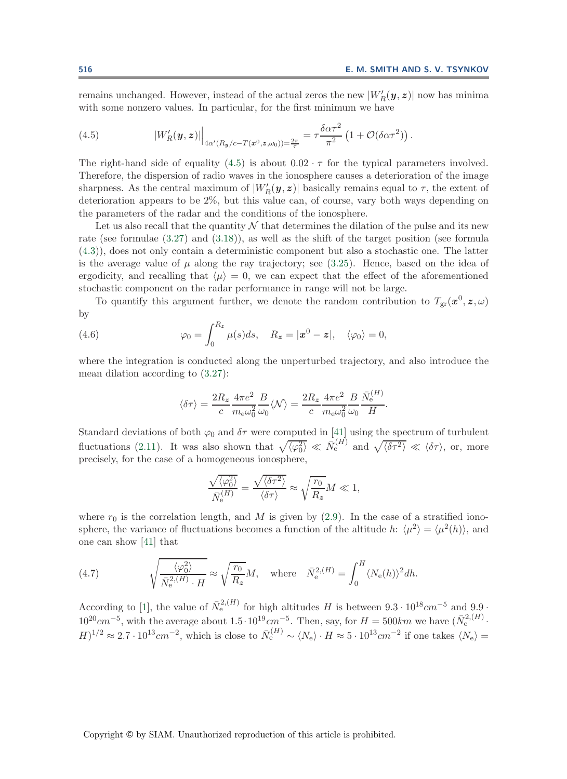<span id="page-15-0"></span>remains unchanged. However, instead of the actual zeros the new  $|W_R'(\bm{y}, \bm{z})|$  now has minima with some nonzero values. In particular, for the first minimum we have

(4.5) 
$$
|W'_{R}(\boldsymbol{y},\boldsymbol{z})|\Big|_{4\alpha'(R_{\boldsymbol{y}}/c-T(\boldsymbol{x}^{0},\boldsymbol{z},\omega_{0}))=\frac{2\pi}{\tau}}=\tau\frac{\delta\alpha\tau^{2}}{\pi^{2}}\left(1+\mathcal{O}(\delta\alpha\tau^{2})\right).
$$

The right-hand side of equality [\(4.5\)](#page-15-0) is about  $0.02 \cdot \tau$  for the typical parameters involved. Therefore, the dispersion of radio waves in the ionosphere causes a deterioration of the image sharpness. As the central maximum of  $|W_R'(\bm{y}, \bm{z})|$  basically remains equal to  $\tau$ , the extent of deterioration appears to be 2%, but this value can, of course, vary both ways depending on the parameters of the radar and the conditions of the ionosphere.

Let us also recall that the quantity  $\mathcal N$  that determines the dilation of the pulse and its new rate (see formulae [\(3.27\)](#page-13-2) and [\(3.18\)](#page-10-2)), as well as the shift of the target position (see formula [\(4.3\)](#page-14-1)), does not only contain a deterministic component but also a stochastic one. The latter is the average value of  $\mu$  along the ray trajectory; see [\(3.25\)](#page-12-0). Hence, based on the idea of ergodicity, and recalling that  $\langle \mu \rangle = 0$ , we can expect that the effect of the aforementioned stochastic component on the radar performance in range will not be large.

To quantify this argument further, we denote the random contribution to  $T_{\rm gr}(\bm{x}^0, \bm{z}, \omega)$ by

<span id="page-15-1"></span>(4.6) 
$$
\varphi_0 = \int_0^{R_z} \mu(s) ds, \quad R_z = |\boldsymbol{x}^0 - \boldsymbol{z}|, \quad \langle \varphi_0 \rangle = 0,
$$

where the integration is conducted along the unperturbed trajectory, and also introduce the mean dilation according to [\(3.27\)](#page-13-2):

$$
\langle \delta \tau \rangle = \frac{2R_z}{c} \frac{4\pi e^2}{m_{\rm e}\omega_0^2}\frac{B}{\omega_0}\langle \mathcal{N} \rangle = \frac{2R_z}{c}\frac{4\pi e^2}{m_{\rm e}\omega_0^2}\frac{B}{\omega_0}\frac{\bar{N}_{\rm e}^{(H)}}{H}.
$$

Standard deviations of both  $\varphi_0$  and  $\delta\tau$  were computed in [\[41\]](#page-41-0) using the spectrum of turbulent fluctuations [\(2.11\)](#page-5-1). It was also shown that  $\sqrt{\langle \varphi_0^2 \rangle} \ll \overline{N}_e^{(\vec{H})}$  and  $\sqrt{\langle \delta \tau^2 \rangle} \ll \langle \delta \tau \rangle$ , or, more precisely, for the case of a homogeneous ionosphere,

<span id="page-15-2"></span>
$$
\frac{\sqrt{\langle \varphi_0^2 \rangle}}{\bar{N}_{\rm e}^{(H)}} = \frac{\sqrt{\langle \delta \tau^2 \rangle}}{\langle \delta \tau \rangle} \approx \sqrt{\frac{r_0}{R_z}} M \ll 1,
$$

where  $r_0$  is the correlation length, and M is given by [\(2.9\)](#page-4-5). In the case of a stratified ionosphere, the variance of fluctuations becomes a function of the altitude h:  $\langle \mu^2 \rangle = \langle \mu^2(h) \rangle$ , and one can show [\[41\]](#page-41-0) that

(4.7) 
$$
\sqrt{\frac{\langle \varphi_0^2 \rangle}{\bar{N}_{\rm e}^{2,(H)} \cdot H}} \approx \sqrt{\frac{r_0}{R_z}} M, \text{ where } \bar{N}_{\rm e}^{2,(H)} = \int_0^H \langle N_{\rm e}(h) \rangle^2 dh.
$$

According to [\[1\]](#page-40-2), the value of  $\bar{N}_{e}^{2,(H)}$  for high altitudes H is between  $9.3 \cdot 10^{18} cm^{-5}$  and  $9.9 \cdot$  $10^{20}cm^{-5}$ , with the average about  $1.5\cdot 10^{19}cm^{-5}$ . Then, say, for  $H = 500km$  we have  $(\bar{N}_{\rm e}^{2,(H)}$ .  $(H)^{1/2} \approx 2.7 \cdot 10^{13} cm^{-2}$ , which is close to  $\bar{N}_{\rm e}^{(H)} \sim \langle N_{\rm e} \rangle \cdot H \approx 5 \cdot 10^{13} cm^{-2}$  if one takes  $\langle N_{\rm e} \rangle =$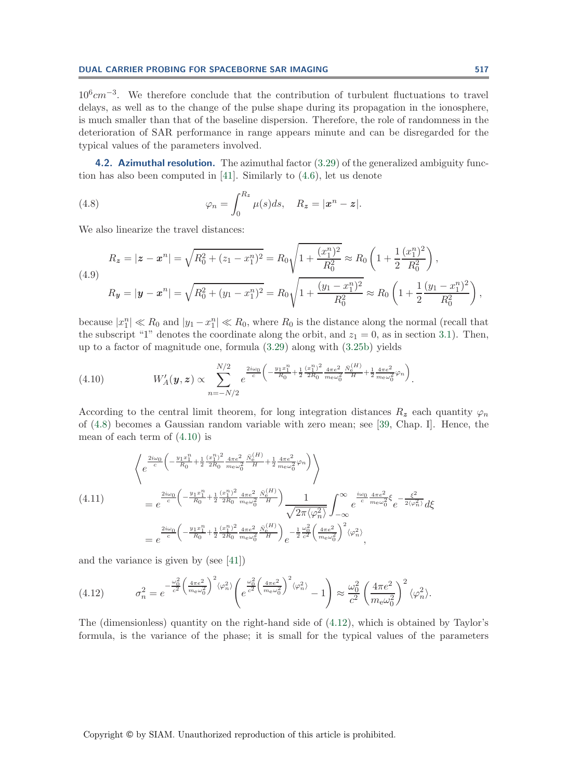$10^6$ cm<sup>-3</sup>. We therefore conclude that the contribution of turbulent fluctuations to travel delays, as well as to the change of the pulse shape during its propagation in the ionosphere, is much smaller than that of the baseline dispersion. Therefore, the role of randomness in the deterioration of SAR performance in range appears minute and can be disregarded for the typical values of the parameters involved.

<span id="page-16-5"></span>**4.2. Azimuthal resolution.** The azimuthal factor [\(3.29\)](#page-13-4) of the generalized ambiguity function has also been computed in [\[41\]](#page-41-0). Similarly to [\(4.6\)](#page-15-1), let us denote

<span id="page-16-0"></span>(4.8) 
$$
\varphi_n = \int_0^{R_z} \mu(s) ds, \quad R_z = |\boldsymbol{x}^n - \boldsymbol{z}|.
$$

<span id="page-16-4"></span>We also linearize the travel distances:

$$
R_z = |\mathbf{z} - \mathbf{x}^n| = \sqrt{R_0^2 + (z_1 - x_1^n)^2} = R_0 \sqrt{1 + \frac{(x_1^n)^2}{R_0^2}} \approx R_0 \left(1 + \frac{1}{2} \frac{(x_1^n)^2}{R_0^2}\right),
$$
  
(4.9)  

$$
R_y = |\mathbf{y} - \mathbf{x}^n| = \sqrt{R_0^2 + (y_1 - x_1^n)^2} = R_0 \sqrt{1 + \frac{(y_1 - x_1^n)^2}{R_0^2}} \approx R_0 \left(1 + \frac{1}{2} \frac{(y_1 - x_1^n)^2}{R_0^2}\right),
$$

because  $|x_1^n| \ll R_0$  and  $|y_1 - x_1^n| \ll R_0$ , where  $R_0$  is the distance along the normal (recall that the subscript "1" denotes the coordinate along the orbit, and  $z_1 = 0$ , as in section [3.1\)](#page-6-4). Then, up to a factor of magnitude one, formula [\(3.29\)](#page-13-4) along with [\(3.25b\)](#page-6-2) yields

<span id="page-16-1"></span>(4.10) 
$$
W'_{A}(\mathbf{y}, \mathbf{z}) \propto \sum_{n=-N/2}^{N/2} e^{\frac{2i\omega_0}{c} \left(-\frac{y_1 x_1^n}{R_0} + \frac{1}{2}\frac{(x_1^n)^2}{2R_0}\frac{4\pi e^2}{m_e\omega_0^2}\frac{\bar{N}_e^{(H)}}{H} + \frac{1}{2}\frac{4\pi e^2}{m_e\omega_0^2}\varphi_n\right)}.
$$

According to the central limit theorem, for long integration distances  $R_z$  each quantity  $\varphi_n$ of [\(4.8\)](#page-16-0) becomes a Gaussian random variable with zero mean; see [\[39,](#page-41-4) Chap. I]. Hence, the mean of each term of  $(4.10)$  is

<span id="page-16-3"></span>
$$
\begin{split} \left\langle e^{\frac{2i\omega_{0}}{c}\left(-\frac{y_{1}x_{1}^{n}}{R_{0}}+\frac{1}{2}\frac{(x_{1}^{n})^{2}}{2R_{0}}\frac{4\pi e^{2}}{m_{e}\omega_{0}^{2}}\frac{\bar{N}_{e}^{(H)}}{H}+\frac{1}{2}\frac{4\pi e^{2}}{m_{e}\omega_{0}^{2}}\varphi_{n}\right)}{m_{e}\omega_{0}^{2}}\right\rangle \\ =e^{\frac{2i\omega_{0}}{c}\left(-\frac{y_{1}x_{1}^{n}}{R_{0}}+\frac{1}{2}\frac{(x_{1}^{n})^{2}}{2R_{0}}\frac{4\pi e^{2}}{m_{e}\omega_{0}^{2}}\frac{\bar{N}_{e}^{(H)}}{H}\right)}{\sqrt{2\pi\langle\varphi_{n}^{2}\rangle}}\frac{1}{\int_{-\infty}^{\infty}e^{\frac{i\omega_{0}}{c}\frac{4\pi e^{2}}{m_{e}\omega_{0}^{2}}\xi}e^{-\frac{\xi^{2}}{2\langle\varphi_{n}^{2}\rangle}}d\xi} \\ =e^{\frac{2i\omega_{0}}{c}\left(-\frac{y_{1}x_{1}^{n}}{R_{0}}+\frac{1}{2}\frac{(x_{1}^{n})^{2}}{2R_{0}}\frac{4\pi e^{2}}{m_{e}\omega_{0}^{2}}\frac{\bar{N}_{e}^{(H)}}{H}\right)}e^{-\frac{1}{2}\frac{\omega_{0}^{2}}{c^{2}}\left(\frac{4\pi e^{2}}{m_{e}\omega_{0}^{2}}\right)^{2}\langle\varphi_{n}^{2}\rangle}{\langle\varphi_{n}^{2}\rangle},\end{split}
$$

<span id="page-16-2"></span>and the variance is given by (see [\[41\]](#page-41-0))

$$
(4.12) \t\t \sigma_n^2 = e^{-\frac{\omega_0^2}{c^2} \left(\frac{4\pi e^2}{m_e \omega_0^2}\right)^2 \langle \varphi_n^2 \rangle} \left(e^{\frac{\omega_0^2}{c^2} \left(\frac{4\pi e^2}{m_e \omega_0^2}\right)^2 \langle \varphi_n^2 \rangle} - 1\right) \approx \frac{\omega_0^2}{c^2} \left(\frac{4\pi e^2}{m_e \omega_0^2}\right)^2 \langle \varphi_n^2 \rangle.
$$

The (dimensionless) quantity on the right-hand side of [\(4.12\)](#page-16-2), which is obtained by Taylor's formula, is the variance of the phase; it is small for the typical values of the parameters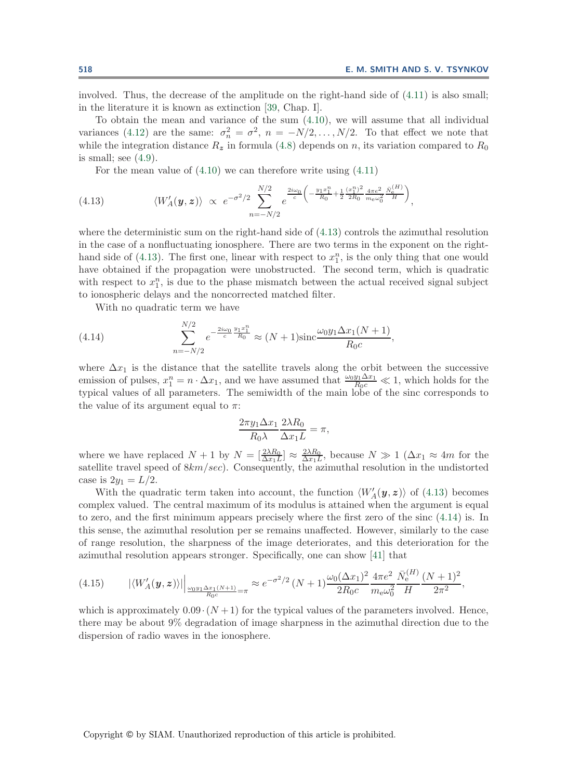involved. Thus, the decrease of the amplitude on the right-hand side of [\(4.11\)](#page-16-3) is also small; in the literature it is known as extinction [\[39,](#page-41-4) Chap. I].

To obtain the mean and variance of the sum [\(4.10\)](#page-16-1), we will assume that all individual variances [\(4.12\)](#page-16-2) are the same:  $\sigma_n^2 = \sigma^2$ ,  $n = -N/2, \ldots, N/2$ . To that effect we note that while the integration distance  $R_z$  in formula [\(4.8\)](#page-16-0) depends on n, its variation compared to  $R_0$ is small; see  $(4.9)$ .

<span id="page-17-0"></span>For the mean value of  $(4.10)$  we can therefore write using  $(4.11)$ 

$$
(4.13) \t\t \langle W'_{A}(\boldsymbol{y},\boldsymbol{z})\rangle \propto e^{-\sigma^2/2} \sum_{n=-N/2}^{N/2} e^{\frac{2i\omega_0}{c} \left(-\frac{y_1 x_1^n}{R_0} + \frac{1}{2}\frac{(x_1^n)^2}{2R_0}\frac{4\pi e^2}{m_e\omega_0^2}\frac{\bar{N}_e^{(H)}}{H}\right)},
$$

where the deterministic sum on the right-hand side of [\(4.13\)](#page-17-0) controls the azimuthal resolution in the case of a nonfluctuating ionosphere. There are two terms in the exponent on the right-hand side of [\(4.13\)](#page-17-0). The first one, linear with respect to  $x_1^n$ , is the only thing that one would have obtained if the propagation were unobstructed. The second term, which is quadratic with respect to  $x_1^n$ , is due to the phase mismatch between the actual received signal subject to ionospheric delays and the noncorrected matched filter.

With no quadratic term we have

(4.14) 
$$
\sum_{n=-N/2}^{N/2} e^{-\frac{2i\omega_0}{c}\frac{y_1x_1^n}{R_0}} \approx (N+1)\mathrm{sinc}\frac{\omega_0 y_1 \Delta x_1 (N+1)}{R_0 c},
$$

where  $\Delta x_1$  is the distance that the satellite travels along the orbit between the successive emission of pulses,  $x_1^n = n \cdot \Delta x_1$ , and we have assumed that  $\frac{\omega_0 y_1 \Delta x_1}{R_0 c} \ll 1$ , which holds for the typical values of all parameters. The semiwidth of the main lobe of the sing corresponds to typical values of all parameters. The semiwidth of the main lobe of the sinc corresponds to the value of its argument equal to  $\pi$ :

<span id="page-17-2"></span><span id="page-17-1"></span>
$$
\frac{2\pi y_1 \Delta x_1}{R_0 \lambda} \frac{2\lambda R_0}{\Delta x_1 L} = \pi,
$$

where we have replaced  $N + 1$  by  $N = \left[\frac{2\lambda R_0}{\Delta x_1 L}\right] \approx \frac{2\lambda R_0}{\Delta x_1 L}$ , because  $N \gg 1$   $(\Delta x_1 \approx 4m$  for the spinithal resolution in the undistorted satellite travel speed of  $8km/sec$ ). Consequently, the azimuthal resolution in the undistorted case is  $2y_1 = L/2$ .

With the quadratic term taken into account, the function  $\langle W'_{A}(\mathbf{y}, \mathbf{z})\rangle$  of [\(4.13\)](#page-17-0) becomes complex valued. The central maximum of its modulus is attained when the argument is equal to zero, and the first minimum appears precisely where the first zero of the sinc [\(4.14\)](#page-17-1) is. In this sense, the azimuthal resolution per se remains unaffected. However, similarly to the case of range resolution, the sharpness of the image deteriorates, and this deterioration for the azimuthal resolution appears stronger. Specifically, one can show [\[41\]](#page-41-0) that

$$
(4.15) \qquad |\langle W'_{A}(\mathbf{y}, \mathbf{z})\rangle| \Big|_{\frac{\omega_0 y_1 \Delta x_1 (N+1)}{R_0 c} = \pi} \approx e^{-\sigma^2/2} \left(N+1\right) \frac{\omega_0 (\Delta x_1)^2}{2R_0 c} \frac{4\pi e^2}{m_e \omega_0^2} \frac{\bar{N}_e^{(H)}}{H} \frac{(N+1)^2}{2\pi^2},
$$

which is approximately  $0.09 \cdot (N+1)$  for the typical values of the parameters involved. Hence, there may be about 9% degradation of image sharpness in the azimuthal direction due to the dispersion of radio waves in the ionosphere.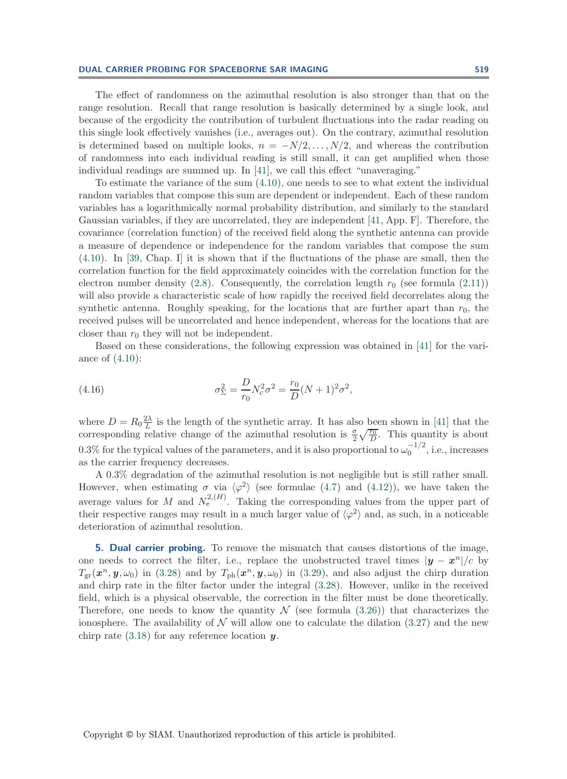## **DUAL CARRIER PROBING FOR SPACEBORNE SAR IMAGING 519** 519

The effect of randomness on the azimuthal resolution is also stronger than that on the range resolution. Recall that range resolution is basically determined by a single look, and because of the ergodicity the contribution of turbulent fluctuations into the radar reading on this single look effectively vanishes (i.e., averages out). On the contrary, azimuthal resolution is determined based on multiple looks,  $n = -N/2, \ldots, N/2$ , and whereas the contribution of randomness into each individual reading is still small, it can get amplified when those individual readings are summed up. In [\[41\]](#page-41-0), we call this effect "unaveraging."

To estimate the variance of the sum [\(4.10\)](#page-16-1), one needs to see to what extent the individual random variables that compose this sum are dependent or independent. Each of these random variables has a logarithmically normal probability distribution, and similarly to the standard Gaussian variables, if they are uncorrelated, they are independent [\[41,](#page-41-0) App. F]. Therefore, the covariance (correlation function) of the received field along the synthetic antenna can provide a measure of dependence or independence for the random variables that compose the sum [\(4.10\)](#page-16-1). In [\[39,](#page-41-4) Chap. I] it is shown that if the fluctuations of the phase are small, then the correlation function for the field approximately coincides with the correlation function for the electron number density [\(2.8\)](#page-4-1). Consequently, the correlation length  $r_0$  (see formula [\(2.11\)](#page-5-1)) will also provide a characteristic scale of how rapidly the received field decorrelates along the synthetic antenna. Roughly speaking, for the locations that are further apart than  $r_0$ , the received pulses will be uncorrelated and hence independent, whereas for the locations that are closer than  $r_0$  they will not be independent.

<span id="page-18-1"></span>Based on these considerations, the following expression was obtained in [\[41\]](#page-41-0) for the variance of [\(4.10\)](#page-16-1):

(4.16) 
$$
\sigma_{\Sigma}^2 = \frac{D}{r_0} N_c^2 \sigma^2 = \frac{r_0}{D} (N+1)^2 \sigma^2,
$$

where  $D = R_0 \frac{2\lambda}{L}$  is the length of the synthetic array. It has also been shown in [\[41\]](#page-41-0) that the corresponding relative change of the azimuthal resolution is  $\frac{\sigma}{2}\sqrt{\frac{r_0}{D}}$ . This quantity is about 0.3% for the typical values of the parameters, and it is also proportional to  $\omega_0^{-1/2}$ , i.e., increases as the carrier frequency decreases.

A 0.3% degradation of the azimuthal resolution is not negligible but is still rather small. However, when estimating  $\sigma$  via  $\langle \varphi^2 \rangle$  (see formulae [\(4.7\)](#page-15-2) and [\(4.12\)](#page-16-2)), we have taken the average values for M and  $N_e^{2,(H)}$ . Taking the corresponding values from the upper part of their respective ranges may result in a much larger value of  $\langle \varphi^2 \rangle$  and, as such, in a noticeable deterioration of azimuthal resolution.

<span id="page-18-0"></span>**5. Dual carrier probing.** To remove the mismatch that causes distortions of the image, one needs to correct the filter, i.e., replace the unobstructed travel times  $|\mathbf{y} - \mathbf{x}^n|/c$  by  $T_{\rm gr}(\bm{x}^n, \bm{y}, \omega_0)$  in [\(3.28\)](#page-13-3) and by  $T_{\rm ph}(\bm{x}^n, \bm{y}, \omega_0)$  in [\(3.29\)](#page-13-4), and also adjust the chirp duration and chirp rate in the filter factor under the integral [\(3.28\)](#page-13-3). However, unlike in the received field, which is a physical observable, the correction in the filter must be done theoretically. Therefore, one needs to know the quantity  $\mathcal N$  (see formula [\(3.26\)](#page-13-1)) that characterizes the ionosphere. The availability of  $\mathcal N$  will allow one to calculate the dilation [\(3.27\)](#page-13-2) and the new chirp rate [\(3.18\)](#page-10-2) for any reference location *y*.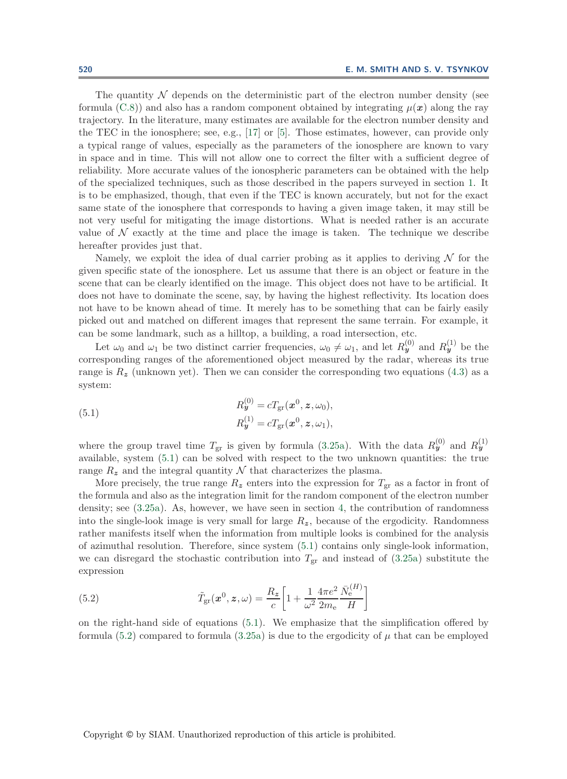The quantity  $\mathcal N$  depends on the deterministic part of the electron number density (see formula [\(C.8\)](#page-37-0)) and also has a random component obtained by integrating  $\mu(x)$  along the ray trajectory. In the literature, many estimates are available for the electron number density and the TEC in the ionosphere; see, e.g., [\[17\]](#page-40-11) or [\[5\]](#page-40-15). Those estimates, however, can provide only a typical range of values, especially as the parameters of the ionosphere are known to vary in space and in time. This will not allow one to correct the filter with a sufficient degree of reliability. More accurate values of the ionospheric parameters can be obtained with the help of the specialized techniques, such as those described in the papers surveyed in section [1.](#page-0-0) It is to be emphasized, though, that even if the TEC is known accurately, but not for the exact same state of the ionosphere that corresponds to having a given image taken, it may still be not very useful for mitigating the image distortions. What is needed rather is an accurate value of  $\mathcal N$  exactly at the time and place the image is taken. The technique we describe hereafter provides just that.

Namely, we exploit the idea of dual carrier probing as it applies to deriving  $\mathcal N$  for the given specific state of the ionosphere. Let us assume that there is an object or feature in the scene that can be clearly identified on the image. This object does not have to be artificial. It does not have to dominate the scene, say, by having the highest reflectivity. Its location does not have to be known ahead of time. It merely has to be something that can be fairly easily picked out and matched on different images that represent the same terrain. For example, it can be some landmark, such as a hilltop, a building, a road intersection, etc.

Let  $\omega_0$  and  $\omega_1$  be two distinct carrier frequencies,  $\omega_0 \neq \omega_1$ , and let  $R_y^{(0)}$  and  $R_y^{(1)}$  be the corresponding ranges of the aforementioned object measured by the radar, whereas its true range is  $R_z$  (unknown yet). Then we can consider the corresponding two equations [\(4.3\)](#page-14-1) as a system:

<span id="page-19-0"></span>(5.1) 
$$
R_{\mathbf{y}}^{(0)} = cT_{\text{gr}}(\mathbf{x}^0, \mathbf{z}, \omega_0),
$$

$$
R_{\mathbf{y}}^{(1)} = cT_{\text{gr}}(\mathbf{x}^0, \mathbf{z}, \omega_1),
$$

where the group travel time  $T_{\text{gr}}$  is given by formula [\(3.25a\)](#page-6-1). With the data  $R_{\mathbf{y}}^{(0)}$  and  $R_{\mathbf{y}}^{(1)}$ available, system [\(5.1\)](#page-19-0) can be solved with respect to the two unknown quantities: the true range  $R_z$  and the integral quantity  $\mathcal N$  that characterizes the plasma.

More precisely, the true range  $R_z$  enters into the expression for  $T_{gr}$  as a factor in front of the formula and also as the integration limit for the random component of the electron number density; see [\(3.25a\)](#page-6-1). As, however, we have seen in section [4,](#page-13-0) the contribution of randomness into the single-look image is very small for large  $R_z$ , because of the ergodicity. Randomness rather manifests itself when the information from multiple looks is combined for the analysis of azimuthal resolution. Therefore, since system [\(5.1\)](#page-19-0) contains only single-look information, we can disregard the stochastic contribution into  $T_{\rm gr}$  and instead of [\(3.25a\)](#page-6-1) substitute the expression

<span id="page-19-1"></span>(5.2) 
$$
\tilde{T}_{\rm gr}(\boldsymbol{x}^0, \boldsymbol{z}, \omega) = \frac{R_{\boldsymbol{z}}}{c} \left[ 1 + \frac{1}{\omega^2} \frac{4\pi e^2}{2m_{\rm e}} \frac{\bar{N}_{\rm e}^{(H)}}{H} \right]
$$

on the right-hand side of equations [\(5.1\)](#page-19-0). We emphasize that the simplification offered by formula [\(5.2\)](#page-19-1) compared to formula [\(3.25a\)](#page-6-1) is due to the ergodicity of  $\mu$  that can be employed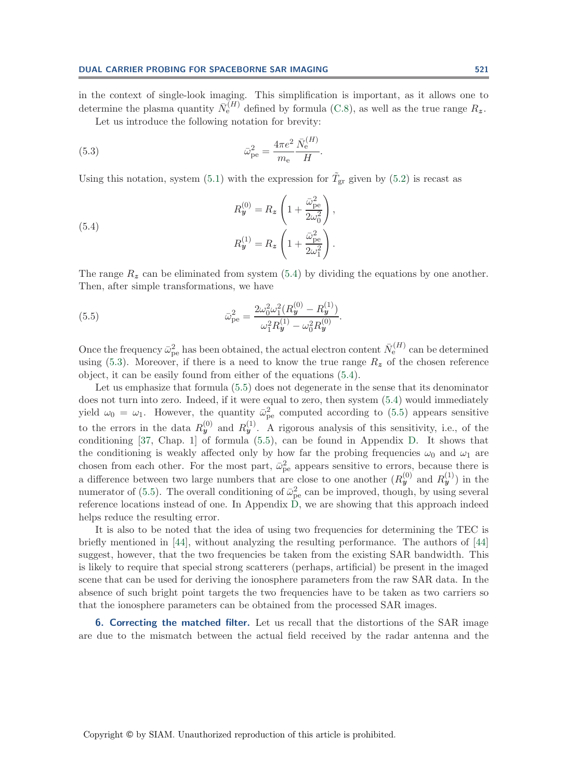in the context of single-look imaging. This simplification is important, as it allows one to determine the plasma quantity  $\bar{N}_{e}^{(H)}$  defined by formula [\(C.8\)](#page-37-0), as well as the true range  $R_{z}$ . Let us introduce the following notation for brevity:

<span id="page-20-2"></span><span id="page-20-1"></span>

(5.3) 
$$
\bar{\omega}_{\text{pe}}^2 = \frac{4\pi e^2}{m_{\text{e}}} \frac{\bar{N}_{\text{e}}^{(H)}}{H}.
$$

Using this notation, system [\(5.1\)](#page-19-0) with the expression for  $\tilde{T}_{gr}$  given by [\(5.2\)](#page-19-1) is recast as

(5.4) 
$$
R_{y}^{(0)} = R_{z} \left( 1 + \frac{\bar{\omega}_{pe}^{2}}{2\omega_{0}^{2}} \right),
$$

$$
R_{y}^{(1)} = R_{z} \left( 1 + \frac{\bar{\omega}_{pe}^{2}}{2\omega_{1}^{2}} \right).
$$

The range  $R_z$  can be eliminated from system  $(5.4)$  by dividing the equations by one another. Then, after simple transformations, we have

<span id="page-20-3"></span>(5.5) 
$$
\bar{\omega}_{\text{pe}}^2 = \frac{2\omega_0^2 \omega_1^2 (R_{\mathbf{y}}^{(0)} - R_{\mathbf{y}}^{(1)})}{\omega_1^2 R_{\mathbf{y}}^{(1)} - \omega_0^2 R_{\mathbf{y}}^{(0)}}.
$$

Once the frequency  $\bar{\omega}_{pe}^2$  has been obtained, the actual electron content  $\bar{N}_{e}^{(H)}$  can be determined using [\(5.3\)](#page-20-2). Moreover, if there is a need to know the true range  $R_z$  of the chosen reference object, it can be easily found from either of the equations [\(5.4\)](#page-20-1).

Let us emphasize that formula [\(5.5\)](#page-20-3) does not degenerate in the sense that its denominator does not turn into zero. Indeed, if it were equal to zero, then system [\(5.4\)](#page-20-1) would immediately yield  $\omega_0 = \omega_1$ . However, the quantity  $\bar{\omega}_{pe}^2$  computed according to [\(5.5\)](#page-20-3) appears sensitive to the errors in the data  $R_y^{(0)}$  and  $R_y^{(1)}$ . A rigorous analysis of this sensitivity, i.e., of the conditioning [\[37,](#page-41-19) Chap. 1] of formula [\(5.5\)](#page-20-3), can be found in Appendix [D.](#page-38-2) It shows that the conditioning is weakly affected only by how far the probing frequencies  $\omega_0$  and  $\omega_1$  are chosen from each other. For the most part,  $\bar{\omega}_{pe}^2$  appears sensitive to errors, because there is a difference between two large numbers that are close to one another  $(R_y^{(0)}$  and  $R_y^{(1)}$ ) in the numerator of [\(5.5\)](#page-20-3). The overall conditioning of  $\bar{\omega}_{pe}^2$  can be improved, though, by using several reference locations instead of one. In Appendix [D,](#page-38-2) we are showing that this approach indeed helps reduce the resulting error.

It is also to be noted that the idea of using two frequencies for determining the TEC is briefly mentioned in [\[44\]](#page-41-6), without analyzing the resulting performance. The authors of [\[44\]](#page-41-6) suggest, however, that the two frequencies be taken from the existing SAR bandwidth. This is likely to require that special strong scatterers (perhaps, artificial) be present in the imaged scene that can be used for deriving the ionosphere parameters from the raw SAR data. In the absence of such bright point targets the two frequencies have to be taken as two carriers so that the ionosphere parameters can be obtained from the processed SAR images.

<span id="page-20-0"></span>**6. Correcting the matched filter.** Let us recall that the distortions of the SAR image are due to the mismatch between the actual field received by the radar antenna and the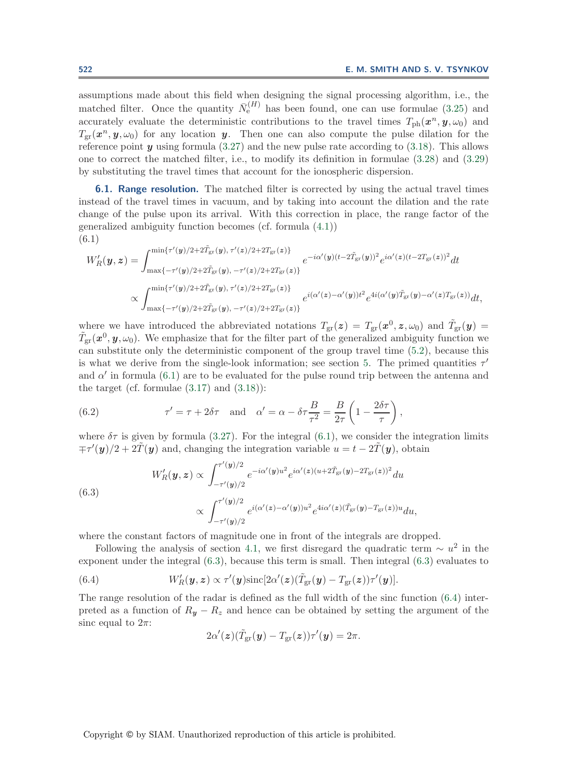assumptions made about this field when designing the signal processing algorithm, i.e., the matched filter. Once the quantity  $\bar{N}_{e}^{(H)}$  has been found, one can use formulae [\(3.25\)](#page-12-0) and accurately evaluate the deterministic contributions to the travel times  $T_{ph}(x^n, y, \omega_0)$  and  $T_{gr}(x^n, y, \omega_0)$  for any location y. Then one can also compute the pulse dilation for the reference point *y* using formula [\(3.27\)](#page-13-2) and the new pulse rate according to [\(3.18\)](#page-10-2). This allows one to correct the matched filter, i.e., to modify its definition in formulae [\(3.28\)](#page-13-3) and [\(3.29\)](#page-13-4) by substituting the travel times that account for the ionospheric dispersion.

**6.1. Range resolution.** The matched filter is corrected by using the actual travel times instead of the travel times in vacuum, and by taking into account the dilation and the rate change of the pulse upon its arrival. With this correction in place, the range factor of the generalized ambiguity function becomes (cf. formula [\(4.1\)](#page-13-5))

$$
(6.1)
$$

<span id="page-21-0"></span>
$$
W'_{R}(\boldsymbol{y},\boldsymbol{z}) = \int_{\max\{-\tau'(\boldsymbol{y})/2+2\tilde{T}_{gr}(\boldsymbol{y}),\tau'(\boldsymbol{z})/2+2T_{gr}(\boldsymbol{z})\}}^{\min\{\tau'(\boldsymbol{y})/2+2\tilde{T}_{gr}(\boldsymbol{y}),\tau'(\boldsymbol{z})/2+2T_{gr}(\boldsymbol{z})\}} e^{-i\alpha'(\boldsymbol{y})(t-2\tilde{T}_{gr}(\boldsymbol{y}))^{2}} e^{i\alpha'(\boldsymbol{z})(t-2T_{gr}(\boldsymbol{z}))^{2}} dt
$$
  

$$
\propto \int_{\max\{-\tau'(\boldsymbol{y})/2+2\tilde{T}_{gr}(\boldsymbol{y}),\tau'(\boldsymbol{z})/2+2T_{gr}(\boldsymbol{z})\}}^{\min\{\tau'(\boldsymbol{y})/2+2\tilde{T}_{gr}(\boldsymbol{y}),\tau'(\boldsymbol{z})/2+2T_{gr}(\boldsymbol{z})\}} e^{i(\alpha'(\boldsymbol{z})-\alpha'(\boldsymbol{y}))t^{2}} e^{4i(\alpha'(\boldsymbol{y})\tilde{T}_{gr}(\boldsymbol{y})-\alpha'(\boldsymbol{z})T_{gr}(\boldsymbol{z}))} dt,
$$

where we have introduced the abbreviated notations  $T_{\rm gr}(z) = T_{\rm gr}(x^0, z, \omega_0)$  and  $\tilde{T}_{\rm gr}(y) =$  $\tilde{T}_{\rm gr}(\bm{x}^0,\bm{y},\omega_0)$ . We emphasize that for the filter part of the generalized ambiguity function we can substitute only the deterministic component of the group travel time [\(5.2\)](#page-19-1), because this is what we derive from the single-look information; see section [5.](#page-18-0) The primed quantities  $\tau'$ and  $\alpha'$  in formula [\(6.1\)](#page-21-0) are to be evaluated for the pulse round trip between the antenna and the target (cf. formulae  $(3.17)$  and  $(3.18)$ ):

<span id="page-21-3"></span>(6.2) 
$$
\tau' = \tau + 2\delta\tau \quad \text{and} \quad \alpha' = \alpha - \delta\tau \frac{B}{\tau^2} = \frac{B}{2\tau} \left( 1 - \frac{2\delta\tau}{\tau} \right),
$$

where  $\delta\tau$  is given by formula [\(3.27\)](#page-13-2). For the integral [\(6.1\)](#page-21-0), we consider the integration limits  $\pm \tau'(\mathbf{y})/2+2\tilde{T}(\mathbf{y})$  and, changing the integration variable  $u = t - 2\tilde{T}(\mathbf{y})$ , obtain

(6.3)  

$$
W'_{R}(\mathbf{y}, \mathbf{z}) \propto \int_{-\tau'(\mathbf{y})/2}^{\tau'(\mathbf{y})/2} e^{-i\alpha'(\mathbf{y})u^{2}} e^{i\alpha'(\mathbf{z})(u+2\tilde{T}_{\text{gr}}(\mathbf{y})-2T_{\text{gr}}(\mathbf{z}))^{2}} du
$$

$$
\propto \int_{-\tau'(\mathbf{y})/2}^{\tau'(\mathbf{y})/2} e^{i(\alpha'(\mathbf{z})-\alpha'(\mathbf{y}))u^{2}} e^{4i\alpha'(\mathbf{z})(\tilde{T}_{\text{gr}}(\mathbf{y})-T_{\text{gr}}(\mathbf{z}))u} du,
$$

where the constant factors of magnitude one in front of the integrals are dropped.

Following the analysis of section [4.1,](#page-13-6) we first disregard the quadratic term  $\sim u^2$  in the exponent under the integral [\(6.3\)](#page-21-1), because this term is small. Then integral [\(6.3\)](#page-21-1) evaluates to

(6.4) 
$$
W'_{R}(\boldsymbol{y},\boldsymbol{z}) \propto \tau'(\boldsymbol{y}) \text{sinc}[2\alpha'(\boldsymbol{z})(\tilde{T}_{\text{gr}}(\boldsymbol{y}) - T_{\text{gr}}(\boldsymbol{z}))\tau'(\boldsymbol{y})].
$$

The range resolution of the radar is defined as the full width of the sinc function [\(6.4\)](#page-21-2) interpreted as a function of  $R_y - R_z$  and hence can be obtained by setting the argument of the sinc equal to  $2\pi$ :

<span id="page-21-2"></span><span id="page-21-1"></span>
$$
2\alpha'(\boldsymbol{z})(\tilde{T}_{\rm gr}(\boldsymbol{y})-T_{\rm gr}(\boldsymbol{z}))\tau'(\boldsymbol{y})=2\pi.
$$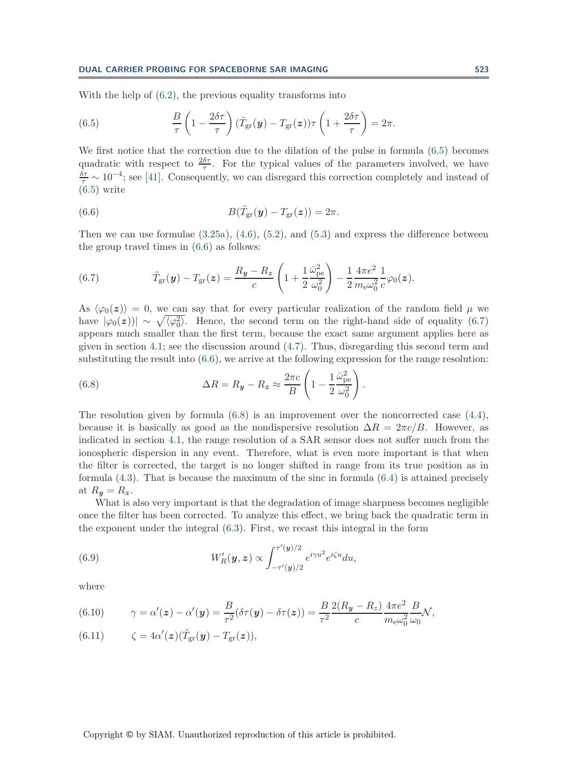With the help of  $(6.2)$ , the previous equality transforms into

<span id="page-22-0"></span>(6.5) 
$$
\frac{B}{\tau} \left( 1 - \frac{2\delta\tau}{\tau} \right) (\tilde{T}_{\rm gr}(\boldsymbol{y}) - T_{\rm gr}(\boldsymbol{z})) \tau \left( 1 + \frac{2\delta\tau}{\tau} \right) = 2\pi.
$$

We first notice that the correction due to the dilation of the pulse in formula [\(6.5\)](#page-22-0) becomes quadratic with respect to  $\frac{2\delta\tau}{\tau}$ . For the typical values of the parameters involved, we have  $\frac{\delta \tau}{\tau} \sim 10^{-4}$ ; see [\[41\]](#page-41-0). Consequently, we can disregard this correction completely and instead of  $(6.5)$  write

<span id="page-22-1"></span>(6.6) 
$$
B(\tilde{T}_{\rm gr}(\boldsymbol{y}) - T_{\rm gr}(\boldsymbol{z})) = 2\pi.
$$

<span id="page-22-2"></span>Then we can use formulae  $(3.25a)$ ,  $(4.6)$ ,  $(5.2)$ , and  $(5.3)$  and express the difference between the group travel times in [\(6.6\)](#page-22-1) as follows:

(6.7) 
$$
\tilde{T}_{\rm gr}(\mathbf{y}) - T_{\rm gr}(\mathbf{z}) = \frac{R_{\mathbf{y}} - R_{\mathbf{z}}}{c} \left( 1 + \frac{1}{2} \frac{\bar{\omega}_{\rm pe}^2}{\omega_0^2} \right) - \frac{1}{2} \frac{4\pi e^2}{m_{\rm e} \omega_0^2} \frac{1}{c} \varphi_0(\mathbf{z}).
$$

As  $\langle \varphi_0(z) \rangle = 0$ , we can say that for every particular realization of the random field  $\mu$  we have  $|\varphi_0(z)| \sim \sqrt{\langle \varphi_0^2 \rangle}$ . Hence, the second term on the right-hand side of equality [\(6.7\)](#page-22-2) appears much smaller than the first term, because the exact same argument applies here as given in section [4.1;](#page-13-6) see the discussion around [\(4.7\)](#page-15-2). Thus, disregarding this second term and substituting the result into [\(6.6\)](#page-22-1), we arrive at the following expression for the range resolution:

<span id="page-22-3"></span>(6.8) 
$$
\Delta R = R_{y} - R_{z} \approx \frac{2\pi c}{B} \left( 1 - \frac{1}{2} \frac{\bar{\omega}_{pe}^{2}}{\omega_{0}^{2}} \right).
$$

The resolution given by formula  $(6.8)$  is an improvement over the noncorrected case  $(4.4)$ , because it is basically as good as the nondispersive resolution  $\Delta R = 2\pi c/B$ . However, as indicated in section [4.1,](#page-13-6) the range resolution of a SAR sensor does not suffer much from the ionospheric dispersion in any event. Therefore, what is even more important is that when the filter is corrected, the target is no longer shifted in range from its true position as in formula [\(4.3\)](#page-14-1). That is because the maximum of the sinc in formula [\(6.4\)](#page-21-2) is attained precisely at  $R_{\mathbf{y}} = R_{\mathbf{z}}$ .

What is also very important is that the degradation of image sharpness becomes negligible once the filter has been corrected. To analyze this effect, we bring back the quadratic term in the exponent under the integral [\(6.3\)](#page-21-1). First, we recast this integral in the form

<span id="page-22-4"></span>(6.9) 
$$
W'_{R}(\boldsymbol{y},\boldsymbol{z}) \propto \int_{-\tau'(\boldsymbol{y})/2}^{\tau'(\boldsymbol{y})/2} e^{i\gamma u^2} e^{i\zeta u} du,
$$

where

<span id="page-22-5"></span>(6.10) 
$$
\gamma = \alpha'(z) - \alpha'(y) = \frac{B}{\tau^2} (\delta \tau(y) - \delta \tau(z)) = \frac{B}{\tau^2} \frac{2(R_y - R_z)}{c} \frac{4\pi e^2}{m_e \omega_0^2} \frac{B}{\omega_0} \mathcal{N},
$$

(6.11) 
$$
\zeta = 4\alpha'(z)(\tilde{T}_{\rm gr}(\boldsymbol{y}) - T_{\rm gr}(\boldsymbol{z})),
$$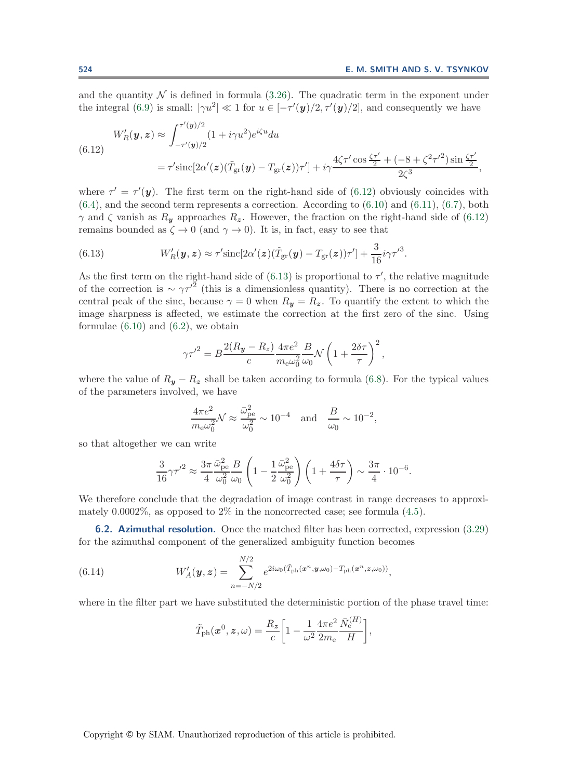and the quantity  $\mathcal N$  is defined in formula [\(3.26\)](#page-13-1). The quadratic term in the exponent under the integral [\(6.9\)](#page-22-4) is small:  $|\gamma u^2| \ll 1$  for  $u \in [-\tau'(y)/2, \tau'(y)/2]$ , and consequently we have

$$
W'_{R}(\mathbf{y}, \mathbf{z}) \approx \int_{-\tau'(\mathbf{y})/2}^{\tau'(\mathbf{y})/2} (1 + i\gamma u^{2}) e^{i\zeta u} du
$$
  
(6.12)  

$$
= \tau' \mathrm{sinc} [2\alpha'(\mathbf{z}) (\tilde{T}_{\mathrm{gr}}(\mathbf{y}) - T_{\mathrm{gr}}(\mathbf{z})) \tau'] + i\gamma \frac{4\zeta \tau' \cos \frac{\zeta \tau'}{2} + (-8 + \zeta^{2} \tau'^{2}) \sin \frac{\zeta \tau'}{2}}{2\zeta^{3}},
$$

where  $\tau' = \tau'(y)$ . The first term on the right-hand side of [\(6.12\)](#page-23-0) obviously coincides with  $(6.4)$ , and the second term represents a correction. According to  $(6.10)$  and  $(6.11)$ ,  $(6.7)$ , both  $\gamma$  and  $\zeta$  vanish as  $R_y$  approaches  $R_z$ . However, the fraction on the right-hand side of [\(6.12\)](#page-23-0) remains bounded as  $\zeta \to 0$  (and  $\gamma \to 0$ ). It is, in fact, easy to see that

(6.13) 
$$
W'_R(\boldsymbol{y}, \boldsymbol{z}) \approx \tau' \mathrm{sinc} [2\alpha'(\boldsymbol{z}) (\tilde{T}_{\mathrm{gr}}(\boldsymbol{y}) - T_{\mathrm{gr}}(\boldsymbol{z})) \tau'] + \frac{3}{16} i \gamma \tau'^3.
$$

As the first term on the right-hand side of  $(6.13)$  is proportional to  $\tau'$ , the relative magnitude of the correction is  $\sim \gamma \tau'^2$  (this is a dimensionless quantity). There is no correction at the central peak of the sinc, because  $\gamma = 0$  when  $R_y = R_z$ . To quantify the extent to which the image sharpness is affected, we estimate the correction at the first zero of the sinc. Using formulae  $(6.10)$  and  $(6.2)$ , we obtain

<span id="page-23-1"></span><span id="page-23-0"></span>
$$
\gamma {\tau'}^2 = B \frac{2(R_y - R_z)}{c} \frac{4\pi e^2}{m_e \omega_0^2} \frac{B}{\omega_0} \mathcal{N} \left( 1 + \frac{2\delta \tau}{\tau} \right)^2,
$$

where the value of  $R_y - R_z$  shall be taken according to formula [\(6.8\)](#page-22-3). For the typical values of the parameters involved, we have

$$
\frac{4\pi e^2}{m_{\rm e}\omega_0^2}\mathcal{N}\approx \frac{\bar{\omega}_{\rm pe}^2}{\omega_0^2}\sim 10^{-4}\quad{\rm and}\quad \frac{B}{\omega_0}\sim 10^{-2},
$$

so that altogether we can write

$$
\frac{3}{16}\gamma\tau'^2 \approx \frac{3\pi}{4}\frac{\bar{\omega}_{\rm pe}^2}{\omega_0^2}\frac{B}{\omega_0}\left(1 - \frac{1}{2}\frac{\bar{\omega}_{\rm pe}^2}{\omega_0^2}\right)\left(1 + \frac{4\delta\tau}{\tau}\right) \sim \frac{3\pi}{4} \cdot 10^{-6}.
$$

We therefore conclude that the degradation of image contrast in range decreases to approximately 0.0002%, as opposed to  $2\%$  in the noncorrected case; see formula [\(4.5\)](#page-15-0).

**6.2. Azimuthal resolution.** Once the matched filter has been corrected, expression [\(3.29\)](#page-13-4) for the azimuthal component of the generalized ambiguity function becomes

(6.14) 
$$
W'_{A}(\boldsymbol{y}, \boldsymbol{z}) = \sum_{n=-N/2}^{N/2} e^{2i\omega_0(\tilde{T}_{\rm ph}(\boldsymbol{x}^n, \boldsymbol{y}, \omega_0) - T_{\rm ph}(\boldsymbol{x}^n, \boldsymbol{z}, \omega_0))},
$$

where in the filter part we have substituted the deterministic portion of the phase travel time:

<span id="page-23-2"></span> $\sqrt{r}r$ 

$$
\tilde{T}_{\rm ph}(\boldsymbol{x}^0, \boldsymbol{z}, \omega) = \frac{R_{\boldsymbol{z}}}{c} \bigg[ 1 - \frac{1}{\omega^2} \frac{4\pi e^2}{2m_{\rm e}} \frac{\bar{N}_{\rm e}^{(H)}}{H} \bigg],
$$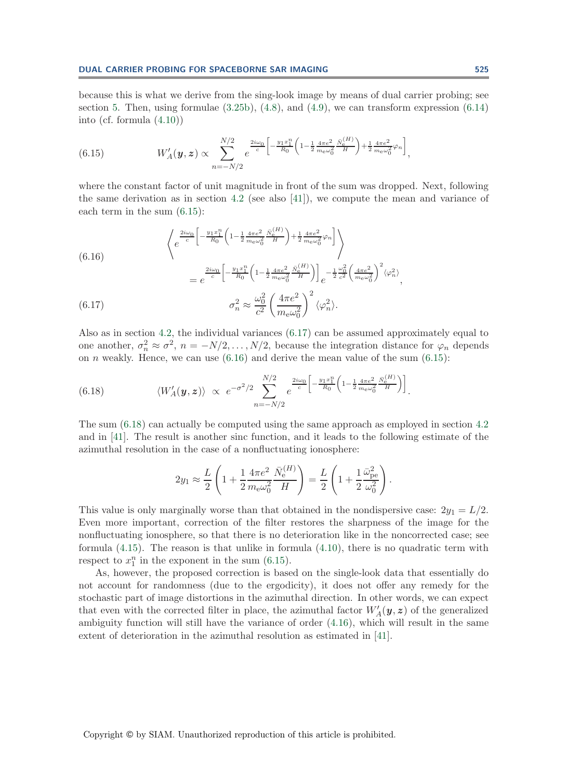because this is what we derive from the sing-look image by means of dual carrier probing; see section [5.](#page-18-0) Then, using formulae  $(3.25b)$ ,  $(4.8)$ , and  $(4.9)$ , we can transform expression  $(6.14)$ into (cf. formula [\(4.10\)](#page-16-1))

<span id="page-24-0"></span>(6.15) 
$$
W'_{A}(\boldsymbol{y}, \boldsymbol{z}) \propto \sum_{n=-N/2}^{N/2} e^{-\frac{2i\omega_{0}}{c} \left[-\frac{y_{1}x_{1}^{n}}{R_{0}} \left(1-\frac{1}{2}\frac{4\pi e^{2}}{m_{e}\omega_{0}^{2}}\frac{\bar{N}_{e}^{(H)}}{H}\right) + \frac{1}{2}\frac{4\pi e^{2}}{m_{e}\omega_{0}^{2}}\varphi_{n}\right]},
$$

where the constant factor of unit magnitude in front of the sum was dropped. Next, following the same derivation as in section [4.2](#page-16-5) (see also [\[41\]](#page-41-0)), we compute the mean and variance of each term in the sum [\(6.15\)](#page-24-0):

<span id="page-24-2"></span><span id="page-24-1"></span>(6.16)  

$$
\begin{aligned}\n\left\langle e^{\frac{2i\omega_0}{c}\left[-\frac{y_1x_1^n}{R_0}\left(1-\frac{1}{2}\frac{4\pi e^2}{m_e\omega_0^2}\frac{\bar{N}_e^{(H)}}{H}\right)+\frac{1}{2}\frac{4\pi e^2}{m_e\omega_0^2}\varphi_n\right] \right\rangle \\
&= e^{\frac{2i\omega_0}{c}\left[-\frac{y_1x_1^n}{R_0}\left(1-\frac{1}{2}\frac{4\pi e^2}{m_e\omega_0^2}\frac{\bar{N}_e^{(H)}}{H}\right)\right]}e^{-\frac{1}{2}\frac{\omega_0^2}{c^2}\left(\frac{4\pi e^2}{m_e\omega_0^2}\right)^2\langle\varphi_n^2\rangle} \\
&\sigma_n^2 \approx \frac{\omega_0^2}{c^2}\left(\frac{4\pi e^2}{m_e\omega_0^2}\right)^2\langle\varphi_n^2\rangle.\n\end{aligned}
$$

Also as in section [4.2,](#page-16-5) the individual variances [\(6.17\)](#page-24-1) can be assumed approximately equal to one another,  $\sigma_n^2 \approx \sigma^2$ ,  $n = -N/2, \ldots, N/2$ , because the integration distance for  $\varphi_n$  depends on *n* weakly. Hence, we can use  $(6.16)$  and derive the mean value of the sum  $(6.15)$ :

(6.18) 
$$
\langle W'_{A}(\bm{y}, \bm{z}) \rangle \propto e^{-\sigma^2/2} \sum_{n=-N/2}^{N/2} e^{\frac{2i\omega_0}{c} \left[ -\frac{y_1 x_1^n}{R_0} \left( 1 - \frac{1}{2} \frac{4\pi e^2}{m_e \omega_0^2} \frac{\bar{N}_e^{(H)}}{H} \right) \right]}
$$

The sum [\(6.18\)](#page-24-3) can actually be computed using the same approach as employed in section [4.2](#page-16-5) and in [\[41\]](#page-41-0). The result is another sinc function, and it leads to the following estimate of the azimuthal resolution in the case of a nonfluctuating ionosphere:

$$
2y_1 \approx \frac{L}{2}\left(1+\frac{1}{2}\frac{4\pi e^2}{m_{\rm e}\omega_0^2}\frac{\bar{N}_{\rm e}^{(H)}}{H}\right) = \frac{L}{2}\left(1+\frac{1}{2}\frac{\bar{\omega}_{\rm pe}^2}{\omega_0^2}\right).
$$

This value is only marginally worse than that obtained in the nondispersive case:  $2y_1 = L/2$ . Even more important, correction of the filter restores the sharpness of the image for the nonfluctuating ionosphere, so that there is no deterioration like in the noncorrected case; see formula  $(4.15)$ . The reason is that unlike in formula  $(4.10)$ , there is no quadratic term with respect to  $x_1^n$  in the exponent in the sum [\(6.15\)](#page-24-0).

As, however, the proposed correction is based on the single-look data that essentially do not account for randomness (due to the ergodicity), it does not offer any remedy for the stochastic part of image distortions in the azimuthal direction. In other words, we can expect that even with the corrected filter in place, the azimuthal factor  $W'_A(\bm{y}, \bm{z})$  of the generalized ambiguity function will still have the variance of order [\(4.16\)](#page-18-1), which will result in the same extent of deterioration in the azimuthal resolution as estimated in [\[41\]](#page-41-0).

<span id="page-24-3"></span>,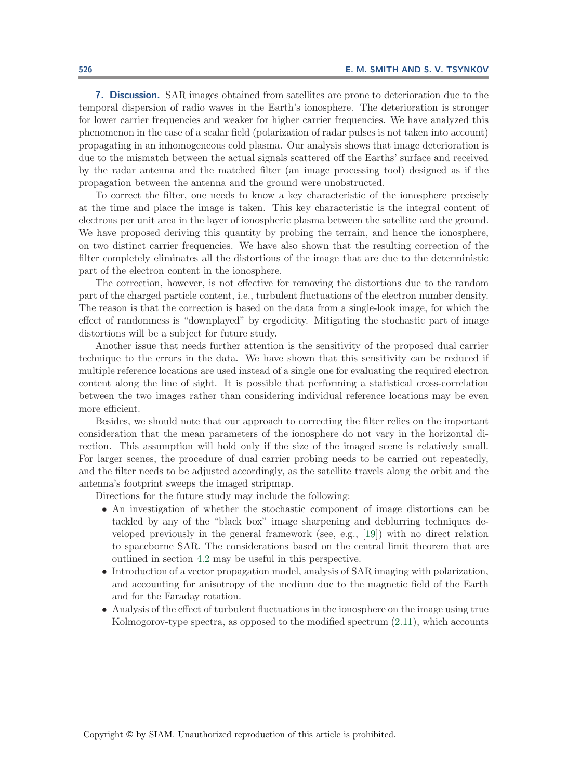<span id="page-25-0"></span>**7. Discussion.** SAR images obtained from satellites are prone to deterioration due to the temporal dispersion of radio waves in the Earth's ionosphere. The deterioration is stronger for lower carrier frequencies and weaker for higher carrier frequencies. We have analyzed this phenomenon in the case of a scalar field (polarization of radar pulses is not taken into account) propagating in an inhomogeneous cold plasma. Our analysis shows that image deterioration is due to the mismatch between the actual signals scattered off the Earths' surface and received by the radar antenna and the matched filter (an image processing tool) designed as if the propagation between the antenna and the ground were unobstructed.

To correct the filter, one needs to know a key characteristic of the ionosphere precisely at the time and place the image is taken. This key characteristic is the integral content of electrons per unit area in the layer of ionospheric plasma between the satellite and the ground. We have proposed deriving this quantity by probing the terrain, and hence the ionosphere, on two distinct carrier frequencies. We have also shown that the resulting correction of the filter completely eliminates all the distortions of the image that are due to the deterministic part of the electron content in the ionosphere.

The correction, however, is not effective for removing the distortions due to the random part of the charged particle content, i.e., turbulent fluctuations of the electron number density. The reason is that the correction is based on the data from a single-look image, for which the effect of randomness is "downplayed" by ergodicity. Mitigating the stochastic part of image distortions will be a subject for future study.

Another issue that needs further attention is the sensitivity of the proposed dual carrier technique to the errors in the data. We have shown that this sensitivity can be reduced if multiple reference locations are used instead of a single one for evaluating the required electron content along the line of sight. It is possible that performing a statistical cross-correlation between the two images rather than considering individual reference locations may be even more efficient.

Besides, we should note that our approach to correcting the filter relies on the important consideration that the mean parameters of the ionosphere do not vary in the horizontal direction. This assumption will hold only if the size of the imaged scene is relatively small. For larger scenes, the procedure of dual carrier probing needs to be carried out repeatedly, and the filter needs to be adjusted accordingly, as the satellite travels along the orbit and the antenna's footprint sweeps the imaged stripmap.

Directions for the future study may include the following:

- An investigation of whether the stochastic component of image distortions can be tackled by any of the "black box" image sharpening and deblurring techniques developed previously in the general framework (see, e.g., [\[19\]](#page-40-21)) with no direct relation to spaceborne SAR. The considerations based on the central limit theorem that are outlined in section [4.2](#page-16-5) may be useful in this perspective.
- Introduction of a vector propagation model, analysis of SAR imaging with polarization, and accounting for anisotropy of the medium due to the magnetic field of the Earth and for the Faraday rotation.
- Analysis of the effect of turbulent fluctuations in the ionosphere on the image using true Kolmogorov-type spectra, as opposed to the modified spectrum  $(2.11)$ , which accounts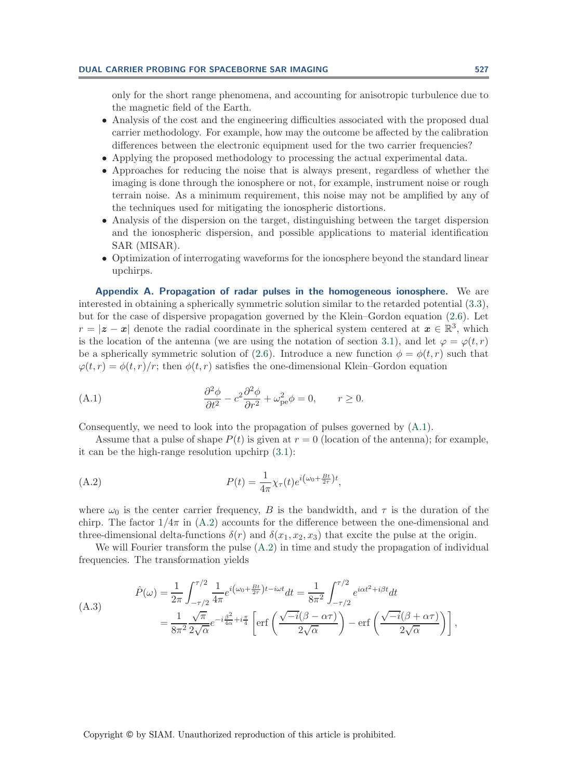## **DUAL CARRIER PROBING FOR SPACEBORNE SAR IMAGING 527**

only for the short range phenomena, and accounting for anisotropic turbulence due to the magnetic field of the Earth.

- Analysis of the cost and the engineering difficulties associated with the proposed dual carrier methodology. For example, how may the outcome be affected by the calibration differences between the electronic equipment used for the two carrier frequencies?
- Applying the proposed methodology to processing the actual experimental data.
- Approaches for reducing the noise that is always present, regardless of whether the imaging is done through the ionosphere or not, for example, instrument noise or rough terrain noise. As a minimum requirement, this noise may not be amplified by any of the techniques used for mitigating the ionospheric distortions.
- Analysis of the dispersion on the target, distinguishing between the target dispersion and the ionospheric dispersion, and possible applications to material identification SAR (MISAR).
- <span id="page-26-1"></span>• Optimization of interrogating waveforms for the ionosphere beyond the standard linear upchirps.

<span id="page-26-0"></span>**Appendix A. Propagation of radar pulses in the homogeneous ionosphere.** We are interested in obtaining a spherically symmetric solution similar to the retarded potential [\(3.3\)](#page-7-0), but for the case of dispersive propagation governed by the Klein–Gordon equation [\(2.6\)](#page-4-0). Let  $r = |z - x|$  denote the radial coordinate in the spherical system centered at  $x \in \mathbb{R}^3$ , which is the location of the antenna (we are using the notation of section [3.1\)](#page-6-4), and let  $\varphi = \varphi(t, r)$ be a spherically symmetric solution of [\(2.6\)](#page-4-0). Introduce a new function  $\phi = \phi(t, r)$  such that  $\varphi(t,r) = \varphi(t,r)/r$ ; then  $\varphi(t,r)$  satisfies the one-dimensional Klein–Gordon equation

(A.1) 
$$
\frac{\partial^2 \phi}{\partial t^2} - c^2 \frac{\partial^2 \phi}{\partial r^2} + \omega_{\rm pe}^2 \phi = 0, \qquad r \ge 0.
$$

Consequently, we need to look into the propagation of pulses governed by [\(A.1\)](#page-26-1).

<span id="page-26-2"></span>Assume that a pulse of shape  $P(t)$  is given at  $r = 0$  (location of the antenna); for example, it can be the high-range resolution upchirp [\(3.1\)](#page-6-1):

(A.2) 
$$
P(t) = \frac{1}{4\pi} \chi_{\tau}(t) e^{i(\omega_0 + \frac{Bt}{2\tau})t},
$$

where  $\omega_0$  is the center carrier frequency, B is the bandwidth, and  $\tau$  is the duration of the chirp. The factor  $1/4\pi$  in [\(A.2\)](#page-26-2) accounts for the difference between the one-dimensional and three-dimensional delta-functions  $\delta(r)$  and  $\delta(x_1, x_2, x_3)$  that excite the pulse at the origin.

We will Fourier transform the pulse  $(A.2)$  in time and study the propagation of individual frequencies. The transformation yields

<span id="page-26-3"></span>(A.3)  
\n
$$
\hat{P}(\omega) = \frac{1}{2\pi} \int_{-\tau/2}^{\tau/2} \frac{1}{4\pi} e^{i(\omega_0 + \frac{Bt}{2\tau})t - i\omega t} dt = \frac{1}{8\pi^2} \int_{-\tau/2}^{\tau/2} e^{i\alpha t^2 + i\beta t} dt
$$
\n
$$
= \frac{1}{8\pi^2} \frac{\sqrt{\pi}}{2\sqrt{\alpha}} e^{-i\frac{\beta^2}{4\alpha} + i\frac{\pi}{4}} \left[ \text{erf}\left( \frac{\sqrt{-i}(\beta - \alpha \tau)}{2\sqrt{\alpha}} \right) - \text{erf}\left( \frac{\sqrt{-i}(\beta + \alpha \tau)}{2\sqrt{\alpha}} \right) \right],
$$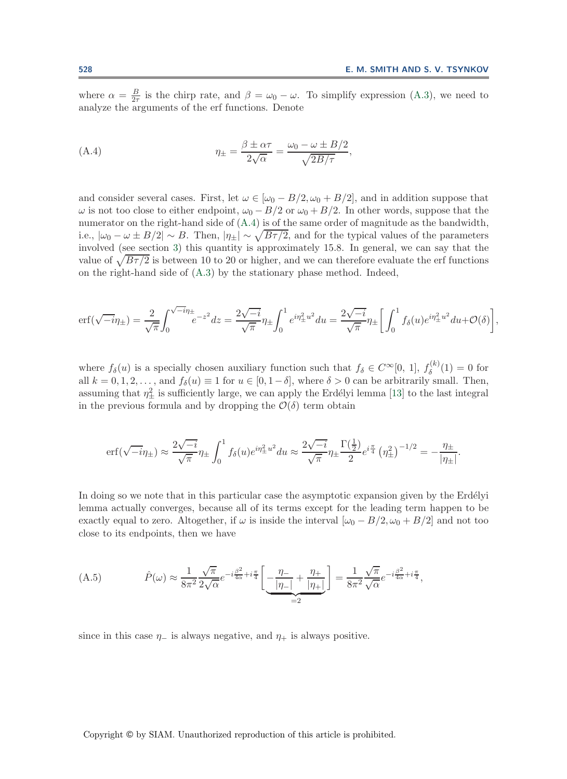.

<span id="page-27-0"></span>where  $\alpha = \frac{B}{2\tau}$  is the chirp rate, and  $\beta = \omega_0 - \omega$ . To simplify expression [\(A.3\)](#page-26-3), we need to analyze the arguments of the erf functions. Denote

(A.4) 
$$
\eta_{\pm} = \frac{\beta \pm \alpha \tau}{2\sqrt{\alpha}} = \frac{\omega_0 - \omega \pm B/2}{\sqrt{2B/\tau}},
$$

and consider several cases. First, let  $\omega \in [\omega_0 - B/2, \omega_0 + B/2]$ , and in addition suppose that  $ω$  is not too close to either endpoint,  $ω_0 - B/2$  or  $ω_0 + B/2$ . In other words, suppose that the numerator on the right-hand side of  $(A.4)$  is of the same order of magnitude as the bandwidth, i.e.,  $|\omega_0 - \omega \pm B/2| \sim B$ . Then,  $|\eta_{\pm}| \sim \sqrt{B\tau/2}$ , and for the typical values of the parameters involved (see section [3\)](#page-5-0) this quantity is approximately 15.8. In general, we can say that the value of  $\sqrt{B\tau/2}$  is between 10 to 20 or higher, and we can therefore evaluate the erf functions on the right-hand side of [\(A.3\)](#page-26-3) by the stationary phase method. Indeed,

$$
\mathrm{erf}(\sqrt{-i}\eta_{\pm}) = \frac{2}{\sqrt{\pi}} \int_0^{\sqrt{-i}\eta_{\pm}} e^{-z^2} dz = \frac{2\sqrt{-i}}{\sqrt{\pi}} \eta_{\pm} \int_0^1 e^{i\eta_{\pm}^2 u^2} du = \frac{2\sqrt{-i}}{\sqrt{\pi}} \eta_{\pm} \left[ \int_0^1 f_{\delta}(u) e^{i\eta_{\pm}^2 u^2} du + \mathcal{O}(\delta) \right],
$$

where  $f_{\delta}(u)$  is a specially chosen auxiliary function such that  $f_{\delta} \in C^{\infty}[0, 1], f_{\delta}^{(k)}(1) = 0$  for all  $k = 0, 1, 2, \ldots$ , and  $f_{\delta}(u) \equiv 1$  for  $u \in [0, 1-\delta]$ , where  $\delta > 0$  can be arbitrarily small. Then, assuming that  $\eta_{\pm}^2$  is sufficiently large, we can apply the Erdélyi lemma [\[13\]](#page-40-22) to the last integral in the previous formula and by dropping the  $\mathcal{O}(\delta)$  term obtain

<span id="page-27-1"></span>
$$
\mathrm{erf}(\sqrt{-i}\eta_{\pm})\approx\dfrac{2\sqrt{-i}}{\sqrt{\pi}}\eta_{\pm}\int_{0}^{1}f_{\delta}(u)e^{i\eta_{\pm}^2u^2}du\approx\dfrac{2\sqrt{-i}}{\sqrt{\pi}}\eta_{\pm}\dfrac{\Gamma(\frac{1}{2})}{2}e^{i\frac{\pi}{4}}\left(\eta_{\pm}^2\right)^{-1/2}=-\dfrac{\eta_{\pm}}{|\eta_{\pm}|}
$$

In doing so we note that in this particular case the asymptotic expansion given by the Erdélyi lemma actually converges, because all of its terms except for the leading term happen to be exactly equal to zero. Altogether, if  $\omega$  is inside the interval  $[\omega_0 - B/2, \omega_0 + B/2]$  and not too close to its endpoints, then we have

(A.5) 
$$
\hat{P}(\omega) \approx \frac{1}{8\pi^2} \frac{\sqrt{\pi}}{2\sqrt{\alpha}} e^{-i\frac{\beta^2}{4\alpha} + i\frac{\pi}{4}} \left[ \underbrace{-\frac{\eta}{|\eta_-|} + \frac{\eta_+}{|\eta_+|}}_{=2} \right] = \frac{1}{8\pi^2} \frac{\sqrt{\pi}}{\sqrt{\alpha}} e^{-i\frac{\beta^2}{4\alpha} + i\frac{\pi}{4}},
$$

since in this case  $\eta$ <sub>-</sub> is always negative, and  $\eta$ <sub>+</sub> is always positive.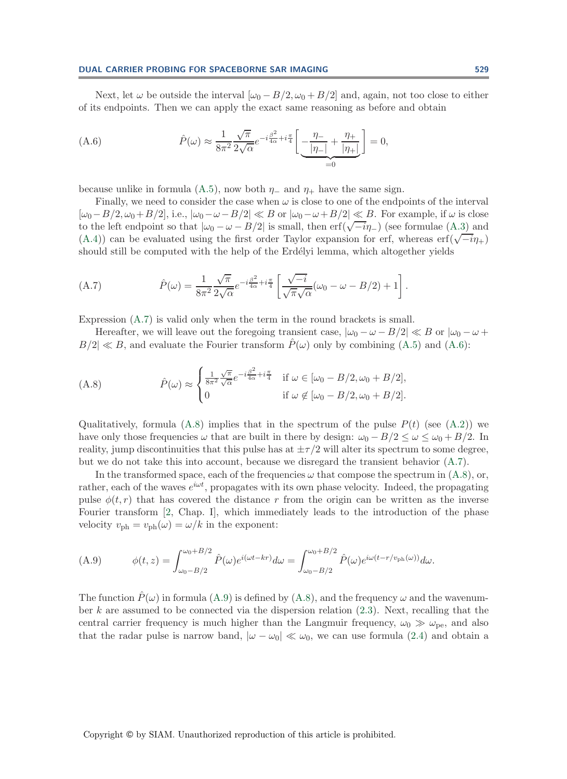<span id="page-28-1"></span>Next, let  $\omega$  be outside the interval  $[\omega_0 - B/2, \omega_0 + B/2]$  and, again, not too close to either of its endpoints. Then we can apply the exact same reasoning as before and obtain

(A.6) 
$$
\hat{P}(\omega) \approx \frac{1}{8\pi^2} \frac{\sqrt{\pi}}{2\sqrt{\alpha}} e^{-i\frac{\beta^2}{4\alpha} + i\frac{\pi}{4}} \left[ \underbrace{-\frac{\eta}{|\eta_-|} + \frac{\eta_+}{|\eta_+|}}_{=0} \right] = 0,
$$

because unlike in formula [\(A.5\)](#page-27-1), now both  $\eta_-$  and  $\eta_+$  have the same sign.

Finally, we need to consider the case when  $\omega$  is close to one of the endpoints of the interval  $[\omega_0-B/2,\omega_0+B/2]$ , i.e.,  $|\omega_0-\omega-B/2|\ll B$  or  $|\omega_0-\omega+B/2|\ll B$ . For example, if  $\omega$  is close to the left endpoint so that  $|\omega_0 - \omega - B/2|$  is small, then erf( $\sqrt{-i\eta_-}$ ) (see formulae [\(A.3\)](#page-26-3) and [\(A.4\)](#page-27-0)) can be evaluated using the first order Taylor expansion for erf, whereas erf $(\sqrt{-i\eta_+})$ should still be computed with the help of the Erdélyi lemma, which altogether yields

<span id="page-28-0"></span>(A.7) 
$$
\hat{P}(\omega) = \frac{1}{8\pi^2} \frac{\sqrt{\pi}}{2\sqrt{\alpha}} e^{-i\frac{\beta^2}{4\alpha} + i\frac{\pi}{4}} \left[ \frac{\sqrt{-i}}{\sqrt{\pi}\sqrt{\alpha}} (\omega_0 - \omega - B/2) + 1 \right].
$$

Expression [\(A.7\)](#page-28-0) is valid only when the term in the round brackets is small.

<span id="page-28-2"></span>Hereafter, we will leave out the foregoing transient case,  $|\omega_0 - \omega - B/2| \ll B$  or  $|\omega_0 - \omega +$  $B/2| \ll B$ , and evaluate the Fourier transform  $\hat{P}(\omega)$  only by combining [\(A.5\)](#page-27-1) and [\(A.6\)](#page-28-1):

(A.8) 
$$
\hat{P}(\omega) \approx \begin{cases} \frac{1}{8\pi^2} \frac{\sqrt{\pi}}{\sqrt{\alpha}} e^{-i\frac{\beta^2}{4\alpha} + i\frac{\pi}{4}} & \text{if } \omega \in [\omega_0 - B/2, \omega_0 + B/2], \\ 0 & \text{if } \omega \notin [\omega_0 - B/2, \omega_0 + B/2]. \end{cases}
$$

Qualitatively, formula  $(A.8)$  implies that in the spectrum of the pulse  $P(t)$  (see  $(A.2)$ ) we have only those frequencies  $\omega$  that are built in there by design:  $\omega_0 - B/2 \leq \omega \leq \omega_0 + B/2$ . In reality, jump discontinuities that this pulse has at  $\pm \tau/2$  will alter its spectrum to some degree, but we do not take this into account, because we disregard the transient behavior  $(A.7)$ .

In the transformed space, each of the frequencies  $\omega$  that compose the spectrum in  $(A.8)$ , or, rather, each of the waves  $e^{i\omega t}$ , propagates with its own phase velocity. Indeed, the propagating pulse  $\phi(t, r)$  that has covered the distance r from the origin can be written as the inverse Fourier transform [\[2,](#page-40-18) Chap. I], which immediately leads to the introduction of the phase velocity  $v_{\text{ph}} = v_{\text{ph}}(\omega) = \omega/k$  in the exponent:

<span id="page-28-3"></span>(A.9) 
$$
\phi(t,z) = \int_{\omega_0 - B/2}^{\omega_0 + B/2} \hat{P}(\omega) e^{i(\omega t - kr)} d\omega = \int_{\omega_0 - B/2}^{\omega_0 + B/2} \hat{P}(\omega) e^{i\omega(t - r/v_{\text{ph}}(\omega))} d\omega.
$$

The function  $\hat{P}(\omega)$  in formula [\(A.9\)](#page-28-3) is defined by [\(A.8\)](#page-28-2), and the frequency  $\omega$  and the wavenumber k are assumed to be connected via the dispersion relation  $(2.3)$ . Next, recalling that the central carrier frequency is much higher than the Langmuir frequency,  $\omega_0 \gg \omega_{\text{pe}}$ , and also that the radar pulse is narrow band,  $|\omega - \omega_0| \ll \omega_0$ , we can use formula [\(2.4\)](#page-4-6) and obtain a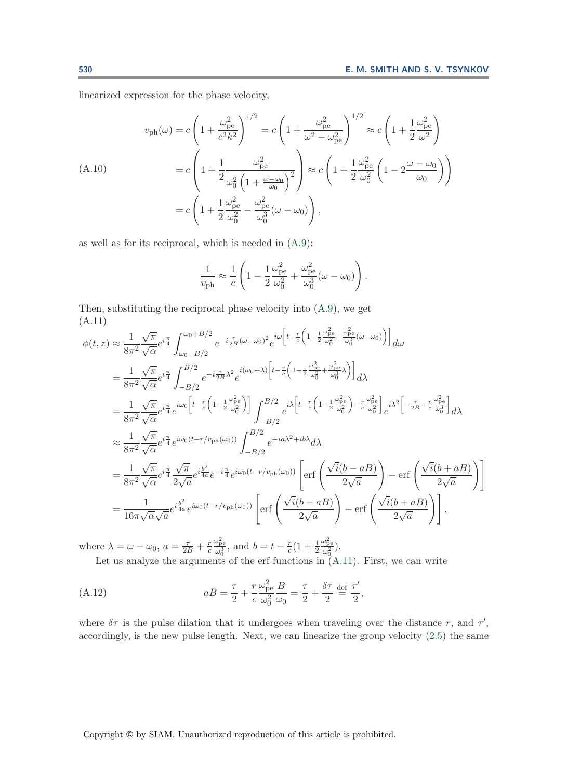linearized expression for the phase velocity,

$$
v_{\rm ph}(\omega) = c \left( 1 + \frac{\omega_{\rm pe}^2}{c^2 k^2} \right)^{1/2} = c \left( 1 + \frac{\omega_{\rm pe}^2}{\omega^2 - \omega_{\rm pe}^2} \right)^{1/2} \approx c \left( 1 + \frac{1}{2} \frac{\omega_{\rm pe}^2}{\omega^2} \right)
$$
  
\n(A.10)  
\n
$$
= c \left( 1 + \frac{1}{2} \frac{\omega_{\rm pe}^2}{\omega_0^2 \left( 1 + \frac{\omega - \omega_0}{\omega_0} \right)^2} \right) \approx c \left( 1 + \frac{1}{2} \frac{\omega_{\rm pe}^2}{\omega_0^2} \left( 1 - 2 \frac{\omega - \omega_0}{\omega_0} \right) \right)
$$
  
\n
$$
= c \left( 1 + \frac{1}{2} \frac{\omega_{\rm pe}^2}{\omega_0^2} - \frac{\omega_{\rm pe}^2}{\omega_0^3} (\omega - \omega_0) \right),
$$

as well as for its reciprocal, which is needed in [\(A.9\)](#page-28-3):

<span id="page-29-2"></span><span id="page-29-1"></span>
$$
\frac{1}{v_{\rm ph}} \approx \frac{1}{c} \left( 1 - \frac{1}{2} \frac{\omega_{\rm pe}^2}{\omega_0^2} + \frac{\omega_{\rm pe}^2}{\omega_0^3} (\omega - \omega_0) \right).
$$

Then, substituting the reciprocal phase velocity into [\(A.9\)](#page-28-3), we get (A.11)

$$
\phi(t,z) \approx \frac{1}{8\pi^2} \frac{\sqrt{\pi}}{\sqrt{\alpha}} e^{i\frac{\pi}{4}} \int_{\omega_0 - B/2}^{\omega_0 + B/2} e^{-i\frac{\tau}{2B}(\omega - \omega_0)^2} e^{i\omega \left[ t - \frac{\tau}{c} \left( 1 - \frac{1}{2} \frac{\omega_{\text{P}}^2}{\omega_0^2} + \frac{\omega_{\text{P}}^2}{\omega_0^3} (\omega - \omega_0) \right) \right]} d\omega
$$
\n
$$
= \frac{1}{8\pi^2} \frac{\sqrt{\pi}}{\sqrt{\alpha}} e^{i\frac{\pi}{4}} \int_{-B/2}^{B/2} e^{-i\frac{\tau}{2B} \lambda^2} e^{i(\omega_0 + \lambda)} \left[ t - \frac{r}{c} \left( 1 - \frac{1}{2} \frac{\omega_{\text{P}}^2}{\omega_0^2} + \frac{\omega_{\text{P}}^2}{\omega_0^3} \lambda \right) \right] d\lambda
$$
\n
$$
= \frac{1}{8\pi^2} \frac{\sqrt{\pi}}{\sqrt{\alpha}} e^{i\frac{\pi}{4}} e^{i\omega_0} \left[ t - \frac{r}{c} \left( 1 - \frac{1}{2} \frac{\omega_{\text{P}}^2}{\omega_0^2} \right) \right] \int_{-B/2}^{B/2} e^{-i\lambda \left[ t - \frac{r}{c} \left( 1 - \frac{1}{2} \frac{\omega_{\text{P}}^2}{\omega_0^2} \right) - \frac{r}{c} \frac{\omega_{\text{P}}^2}{\omega_0^3} \right]} e^{i\lambda^2 \left[ -\frac{\tau}{2B} - \frac{r}{c} \frac{\omega_{\text{P}}^2}{\omega_0^3} \right]} d\lambda
$$
\n
$$
\approx \frac{1}{8\pi^2} \frac{\sqrt{\pi}}{\sqrt{\alpha}} e^{i\frac{\pi}{4}} e^{i\omega_0 (t - r/v_{\text{ph}}(\omega_0))} \int_{-B/2}^{B/2} e^{-i a\lambda^2 + ib\lambda} d\lambda
$$
\n
$$
= \frac{1}{8\pi^2} \frac{\sqrt{\pi}}{\sqrt{\alpha}} e^{i\frac{\pi}{4}} \frac{\sqrt{\pi}}{2\sqrt{a}} e^{i\frac{b^2}{4a}} e^{-i\frac{\pi
$$

where  $\lambda = \omega - \omega_0$ ,  $a = \frac{\tau}{2B} + \frac{r}{c} \frac{\omega_{pe}^2}{\omega_0^3}$ , and  $b = t - \frac{r}{c} (1 + \frac{1}{2})$  $\frac{\omega_{\rm pe}^2}{\omega_0^2}$ ).

<span id="page-29-0"></span>Let us analyze the arguments of the erf functions in  $(A.11)$ . First, we can write

(A.12) 
$$
aB = \frac{\tau}{2} + \frac{r}{c} \frac{\omega_{\text{pe}}^2}{\omega_0^2} \frac{B}{\omega_0} = \frac{\tau}{2} + \frac{\delta \tau}{2} \stackrel{\text{def}}{=} \frac{\tau'}{2},
$$

where  $\delta\tau$  is the pulse dilation that it undergoes when traveling over the distance r, and  $\tau'$ , accordingly, is the new pulse length. Next, we can linearize the group velocity [\(2.5\)](#page-4-3) the same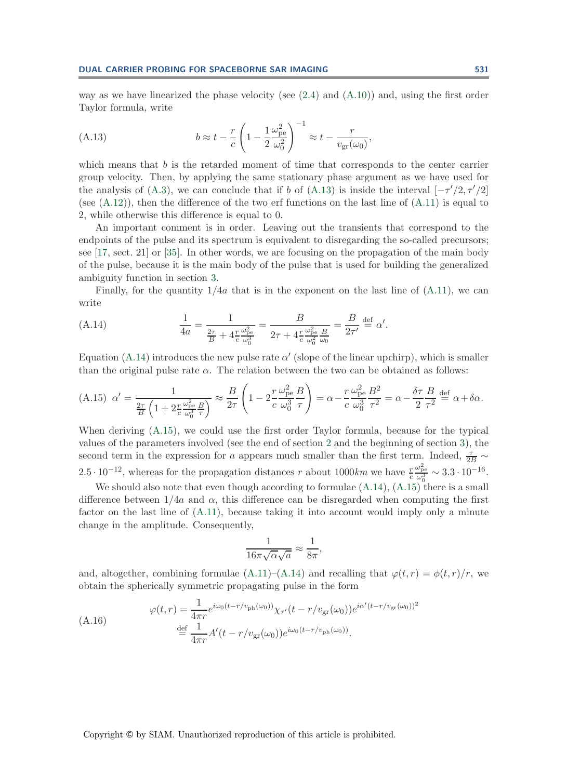<span id="page-30-2"></span>way as we have linearized the phase velocity (see  $(2.4)$  and  $(A.10)$ ) and, using the first order Taylor formula, write

(A.13) 
$$
b \approx t - \frac{r}{c} \left( 1 - \frac{1}{2} \frac{\omega_{\text{pe}}^2}{\omega_0^2} \right)^{-1} \approx t - \frac{r}{v_{\text{gr}}(\omega_0)},
$$

which means that  $b$  is the retarded moment of time that corresponds to the center carrier group velocity. Then, by applying the same stationary phase argument as we have used for the analysis of [\(A.3\)](#page-26-3), we can conclude that if b of [\(A.13\)](#page-30-2) is inside the interval  $[-\tau'/2, \tau'/2]$ (see  $(A.12)$ ), then the difference of the two erf functions on the last line of  $(A.11)$  is equal to 2, while otherwise this difference is equal to 0.

An important comment is in order. Leaving out the transients that correspond to the endpoints of the pulse and its spectrum is equivalent to disregarding the so-called precursors; see [\[17,](#page-40-11) sect. 21] or [\[35\]](#page-41-20). In other words, we are focusing on the propagation of the main body of the pulse, because it is the main body of the pulse that is used for building the generalized ambiguity function in section [3.](#page-5-0)

<span id="page-30-3"></span>Finally, for the quantity  $1/4a$  that is in the exponent on the last line of  $(A.11)$ , we can write

(A.14) 
$$
\frac{1}{4a} = \frac{1}{\frac{2\tau}{B} + 4\frac{r}{c} \frac{\omega_{pe}^2}{\omega_0^3}} = \frac{B}{2\tau + 4\frac{r}{c} \frac{\omega_{pe}^2}{\omega_0^2} \frac{B}{\omega_0}} = \frac{B}{2\tau'} \stackrel{\text{def}}{=} \alpha'.
$$

Equation [\(A.14\)](#page-30-3) introduces the new pulse rate  $\alpha'$  (slope of the linear upchirp), which is smaller than the original pulse rate  $\alpha$ . The relation between the two can be obtained as follows:

$$
(A.15) \ \alpha' = \frac{1}{\frac{2\tau}{B} \left(1 + 2\frac{r}{c} \frac{\omega_{\text{pe}}^2}{\omega_0^3} \frac{B}{\tau}\right)} \approx \frac{B}{2\tau} \left(1 - 2\frac{r}{c} \frac{\omega_{\text{pe}}^2}{\omega_0^3} \frac{B}{\tau}\right) = \alpha - \frac{r}{c} \frac{\omega_{\text{pe}}^2}{\omega_0^3} \frac{B^2}{\tau^2} = \alpha - \frac{\delta \tau}{2} \frac{B}{\tau^2} \stackrel{\text{def}}{=} \alpha + \delta \alpha.
$$

When deriving [\(A.15\)](#page-30-1), we could use the first order Taylor formula, because for the typical values of the parameters involved (see the end of section [2](#page-2-0) and the beginning of section [3\)](#page-5-0), the second term in the expression for a appears much smaller than the first term. Indeed,  $\frac{\tau}{2B} \sim$ 2.5 · 10<sup>-12</sup>, whereas for the propagation distances r about 1000*km* we have  $\frac{r}{c} \frac{\omega_{\rm pe}^2}{\omega_0^3}$  ∼ 3.3 · 10<sup>-16</sup>.

We should also note that even though according to formulae  $(A.14)$ ,  $(A.15)$  there is a small difference between  $1/4a$  and  $\alpha$ , this difference can be disregarded when computing the first factor on the last line of [\(A.11\)](#page-29-1), because taking it into account would imply only a minute change in the amplitude. Consequently,

<span id="page-30-1"></span><span id="page-30-0"></span>
$$
\frac{1}{16\pi\sqrt{\alpha}\sqrt{a}}\approx \frac{1}{8\pi},
$$

and, altogether, combining formulae  $(A.11)$ – $(A.14)$  and recalling that  $\varphi(t, r) = \varphi(t, r)/r$ , we obtain the spherically symmetric propagating pulse in the form

$$
\varphi(t,r) = \frac{1}{4\pi r} e^{i\omega_0 (t - r/v_{\rm ph}(\omega_0))} \chi_{\tau'}(t - r/v_{\rm gr}(\omega_0)) e^{i\alpha'(t - r/v_{\rm gr}(\omega_0))^{2}}
$$

$$
\stackrel{\text{def}}{=} \frac{1}{4\pi r} A'(t - r/v_{\rm gr}(\omega_0)) e^{i\omega_0 (t - r/v_{\rm ph}(\omega_0))}.
$$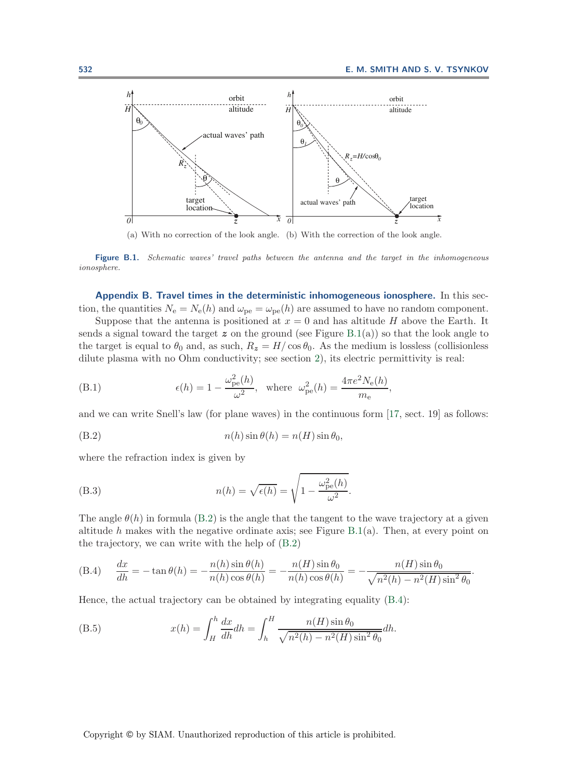<span id="page-31-4"></span><span id="page-31-3"></span><span id="page-31-2"></span><span id="page-31-1"></span>,



(a) With no correction of the look angle. (b) With the correction of the look angle.

**Figure B.1.** Schematic waves' travel paths between the antenna and the target in the inhomogeneous ionosphere.

<span id="page-31-0"></span>**Appendix B. Travel times in the deterministic inhomogeneous ionosphere.** In this section, the quantities  $N_e = N_e(h)$  and  $\omega_{pe} = \omega_{pe}(h)$  are assumed to have no random component. Suppose that the antenna is positioned at  $x = 0$  and has altitude H above the Earth. It sends a signal toward the target  $z$  on the ground (see Figure [B.1\(](#page-31-1)a)) so that the look angle to the target is equal to  $\theta_0$  and, as such,  $R_z = H/\cos\theta_0$ . As the medium is lossless (collisionless

dilute plasma with no Ohm conductivity; see section [2\)](#page-2-0), its electric permittivity is real:

(B.1) 
$$
\epsilon(h) = 1 - \frac{\omega_{\text{pe}}^2(h)}{\omega^2}, \text{ where } \omega_{\text{pe}}^2(h) = \frac{4\pi e^2 N_e(h)}{m_e}
$$

and we can write Snell's law (for plane waves) in the continuous form [\[17,](#page-40-11) sect. 19] as follows:

(B.2) 
$$
n(h)\sin\theta(h) = n(H)\sin\theta_0,
$$

where the refraction index is given by

(B.3) 
$$
n(h) = \sqrt{\epsilon(h)} = \sqrt{1 - \frac{\omega_{\rm pe}^2(h)}{\omega^2}}.
$$

The angle  $\theta(h)$  in formula [\(B.2\)](#page-31-2) is the angle that the tangent to the wave trajectory at a given altitude h makes with the negative ordinate axis; see Figure [B.1\(](#page-31-1)a). Then, at every point on the trajectory, we can write with the help of [\(B.2\)](#page-31-2)

(B.4) 
$$
\frac{dx}{dh} = -\tan \theta(h) = -\frac{n(h)\sin \theta(h)}{n(h)\cos \theta(h)} = -\frac{n(H)\sin \theta_0}{n(h)\cos \theta(h)} = -\frac{n(H)\sin \theta_0}{\sqrt{n^2(h) - n^2(H)\sin^2 \theta_0}}.
$$

Hence, the actual trajectory can be obtained by integrating equality [\(B.4\)](#page-31-3):

(B.5) 
$$
x(h) = \int_H^h \frac{dx}{dh} dh = \int_h^H \frac{n(H) \sin \theta_0}{\sqrt{n^2(h) - n^2(H) \sin^2 \theta_0}} dh.
$$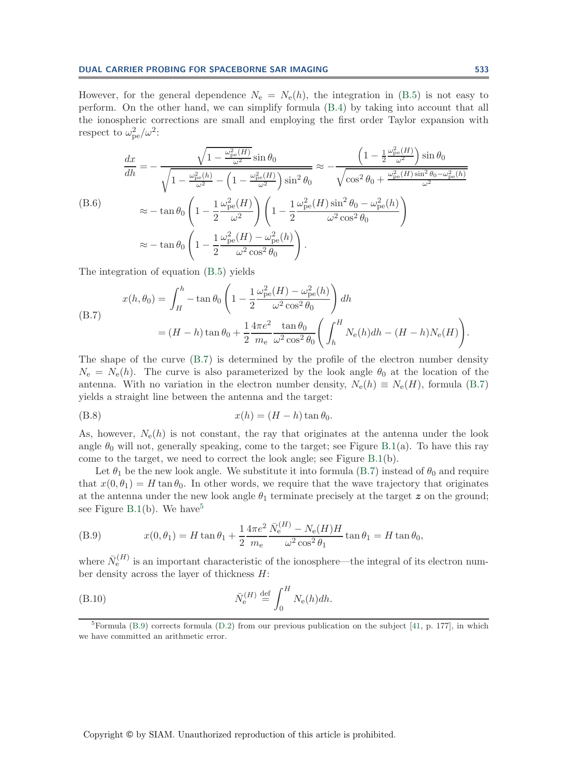However, for the general dependence  $N_e = N_e(h)$ , the integration in [\(B.5\)](#page-31-4) is not easy to perform. On the other hand, we can simplify formula [\(B.4\)](#page-31-3) by taking into account that all the ionospheric corrections are small and employing the first order Taylor expansion with respect to  $\omega_{\rm pe}^2/\omega^2$ :

<span id="page-32-3"></span>
$$
\frac{dx}{dh} = -\frac{\sqrt{1 - \frac{\omega_{pe}^2(H)}{\omega^2}} \sin \theta_0}{\sqrt{1 - \frac{\omega_{pe}^2(h)}{\omega^2} - \left(1 - \frac{\omega_{pe}^2(H)}{\omega^2}\right) \sin^2 \theta_0}} \approx -\frac{\left(1 - \frac{1}{2} \frac{\omega_{pe}^2(H)}{\omega^2}\right) \sin \theta_0}{\sqrt{\cos^2 \theta_0 + \frac{\omega_{pe}^2(H) \sin^2 \theta_0 - \omega_{pe}^2(h)}{\omega^2}}}
$$
\n(B.6)\n
$$
\approx -\tan \theta_0 \left(1 - \frac{1}{2} \frac{\omega_{pe}^2(H)}{\omega^2}\right) \left(1 - \frac{1}{2} \frac{\omega_{pe}^2(H) \sin^2 \theta_0 - \omega_{pe}^2(h)}{\omega^2 \cos^2 \theta_0}\right)
$$
\n
$$
\approx -\tan \theta_0 \left(1 - \frac{1}{2} \frac{\omega_{pe}^2(H) - \omega_{pe}^2(h)}{\omega^2 \cos^2 \theta_0}\right).
$$

The integration of equation [\(B.5\)](#page-31-4) yields

<span id="page-32-0"></span>
$$
x(h, \theta_0) = \int_H^h -\tan \theta_0 \left( 1 - \frac{1}{2} \frac{\omega_{\rm pe}^2(H) - \omega_{\rm pe}^2(h)}{\omega^2 \cos^2 \theta_0} \right) dh
$$
  
(B.7)  

$$
= (H - h) \tan \theta_0 + \frac{1}{2} \frac{4\pi e^2}{m_{\rm e}} \frac{\tan \theta_0}{\omega^2 \cos^2 \theta_0} \left( \int_h^H N_{\rm e}(h) dh - (H - h) N_{\rm e}(H) \right).
$$

The shape of the curve [\(B.7\)](#page-32-0) is determined by the profile of the electron number density  $N_e = N_e(h)$ . The curve is also parameterized by the look angle  $\theta_0$  at the location of the antenna. With no variation in the electron number density,  $N_e(h) \equiv N_e(H)$ , formula [\(B.7\)](#page-32-0) yields a straight line between the antenna and the target:

<span id="page-32-4"></span>(B.8) 
$$
x(h) = (H - h) \tan \theta_0.
$$

As, however,  $N_e(h)$  is not constant, the ray that originates at the antenna under the look angle  $\theta_0$  will not, generally speaking, come to the target; see Figure [B.1\(](#page-31-1)a). To have this ray come to the target, we need to correct the look angle; see Figure [B.1\(](#page-31-1)b).

Let  $\theta_1$  be the new look angle. We substitute it into formula [\(B.7\)](#page-32-0) instead of  $\theta_0$  and require that  $x(0, \theta_1) = H \tan \theta_0$ . In other words, we require that the wave trajectory that originates at the antenna under the new look angle  $\theta_1$  terminate precisely at the target z on the ground; see Figure [B.1\(](#page-31-1)b). We have  $5$ 

<span id="page-32-2"></span>(B.9) 
$$
x(0, \theta_1) = H \tan \theta_1 + \frac{1}{2} \frac{4\pi e^2}{m_e} \frac{\bar{N}_e^{(H)} - N_e(H)H}{\omega^2 \cos^2 \theta_1} \tan \theta_1 = H \tan \theta_0,
$$

where  $\bar{N}_{e}^{(H)}$  is an important characteristic of the ionosphere—the integral of its electron number density across the layer of thickness H:

<span id="page-32-5"></span>(B.10) 
$$
\bar{N}_e^{(H)} \stackrel{\text{def}}{=} \int_0^H N_e(h) dh.
$$

<span id="page-32-1"></span> ${}^{5}$ Formula [\(B.9\)](#page-32-2) corrects formula [\(D.2\)](#page-39-0) from our previous publication on the subject [\[41,](#page-41-0) p. 177], in which we have committed an arithmetic error.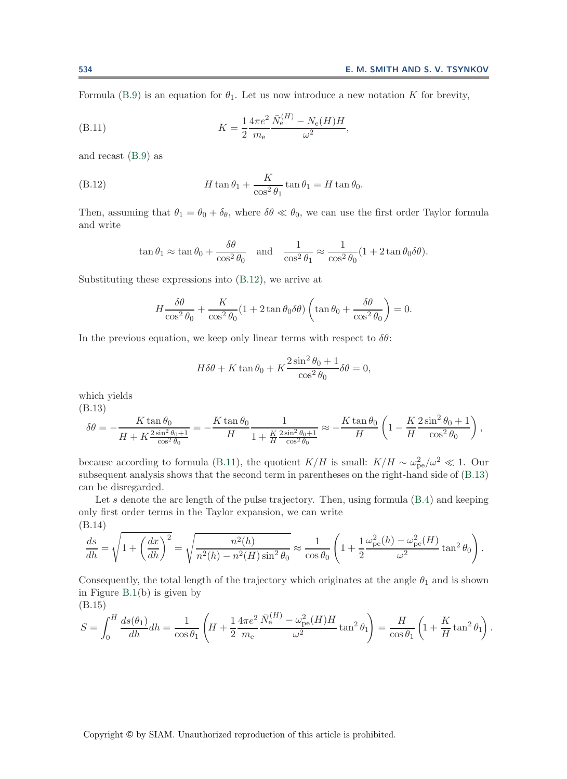Formula [\(B.9\)](#page-32-2) is an equation for  $\theta_1$ . Let us now introduce a new notation K for brevity,

(B.11) 
$$
K = \frac{1}{2} \frac{4\pi e^2}{m_e} \frac{\bar{N}_e^{(H)} - N_e(H)H}{\omega^2},
$$

<span id="page-33-0"></span>and recast [\(B.9\)](#page-32-2) as

(B.12) 
$$
H \tan \theta_1 + \frac{K}{\cos^2 \theta_1} \tan \theta_1 = H \tan \theta_0.
$$

Then, assuming that  $\theta_1 = \theta_0 + \delta_{\theta}$ , where  $\delta \theta \ll \theta_0$ , we can use the first order Taylor formula and write

<span id="page-33-1"></span>
$$
\tan \theta_1 \approx \tan \theta_0 + \frac{\delta \theta}{\cos^2 \theta_0} \quad \text{and} \quad \frac{1}{\cos^2 \theta_1} \approx \frac{1}{\cos^2 \theta_0} (1 + 2 \tan \theta_0 \delta \theta).
$$

Substituting these expressions into [\(B.12\)](#page-33-0), we arrive at

$$
H \frac{\delta \theta}{\cos^2 \theta_0} + \frac{K}{\cos^2 \theta_0} (1 + 2 \tan \theta_0 \delta \theta) \left( \tan \theta_0 + \frac{\delta \theta}{\cos^2 \theta_0} \right) = 0.
$$

In the previous equation, we keep only linear terms with respect to  $\delta\theta$ :

<span id="page-33-4"></span>
$$
H\delta\theta + K \tan \theta_0 + K \frac{2\sin^2 \theta_0 + 1}{\cos^2 \theta_0} \delta\theta = 0,
$$

<span id="page-33-2"></span>which yields

$$
(B.13) \quad \delta\theta = -\frac{K \tan \theta_0}{H + K \frac{2 \sin^2 \theta_0 + 1}{\cos^2 \theta_0}} = -\frac{K \tan \theta_0}{H} \frac{1}{1 + \frac{K}{H} \frac{2 \sin^2 \theta_0 + 1}{\cos^2 \theta_0}} \approx -\frac{K \tan \theta_0}{H} \left(1 - \frac{K}{H} \frac{2 \sin^2 \theta_0 + 1}{\cos^2 \theta_0}\right),
$$

because according to formula [\(B.11\)](#page-33-1), the quotient  $K/H$  is small:  $K/H \sim \omega_{\rm pe}^2/\omega^2 \ll 1$ . Our subsequent analysis shows that the second term in parentheses on the right-hand side of [\(B.13\)](#page-33-2) can be disregarded.

Let s denote the arc length of the pulse trajectory. Then, using formula  $(B.4)$  and keeping only first order terms in the Taylor expansion, we can write (B.14)

$$
\frac{ds}{dh} = \sqrt{1 + \left(\frac{dx}{dh}\right)^2} = \sqrt{\frac{n^2(h)}{n^2(h) - n^2(H)\sin^2\theta_0}} \approx \frac{1}{\cos\theta_0} \left(1 + \frac{1}{2} \frac{\omega_{\rm pe}^2(h) - \omega_{\rm pe}^2(H)}{\omega^2} \tan^2\theta_0\right).
$$

Consequently, the total length of the trajectory which originates at the angle  $\theta_1$  and is shown in Figure [B.1\(](#page-31-1)b) is given by

<span id="page-33-3"></span>
$$
(B.15)
$$

$$
S = \int_0^H \frac{ds(\theta_1)}{dh} dh = \frac{1}{\cos \theta_1} \left( H + \frac{1}{2} \frac{4\pi e^2}{m_e} \frac{\bar{N}_e^{(H)} - \omega_{pe}^2(H)H}{\omega^2} \tan^2 \theta_1 \right) = \frac{H}{\cos \theta_1} \left( 1 + \frac{K}{H} \tan^2 \theta_1 \right).
$$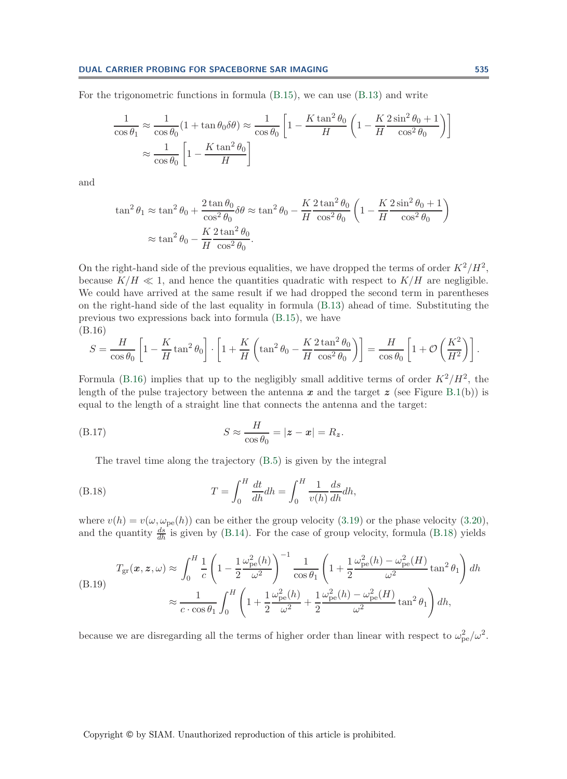For the trigonometric functions in formula [\(B.15\)](#page-33-3), we can use [\(B.13\)](#page-33-2) and write

$$
\frac{1}{\cos \theta_1} \approx \frac{1}{\cos \theta_0} (1 + \tan \theta_0 \delta \theta) \approx \frac{1}{\cos \theta_0} \left[ 1 - \frac{K \tan^2 \theta_0}{H} \left( 1 - \frac{K}{H} \frac{2 \sin^2 \theta_0 + 1}{\cos^2 \theta_0} \right) \right]
$$

$$
\approx \frac{1}{\cos \theta_0} \left[ 1 - \frac{K \tan^2 \theta_0}{H} \right]
$$

and

$$
\tan^2 \theta_1 \approx \tan^2 \theta_0 + \frac{2 \tan \theta_0}{\cos^2 \theta_0} \delta \theta \approx \tan^2 \theta_0 - \frac{K}{H} \frac{2 \tan^2 \theta_0}{\cos^2 \theta_0} \left( 1 - \frac{K}{H} \frac{2 \sin^2 \theta_0 + 1}{\cos^2 \theta_0} \right)
$$

$$
\approx \tan^2 \theta_0 - \frac{K}{H} \frac{2 \tan^2 \theta_0}{\cos^2 \theta_0}.
$$

On the right-hand side of the previous equalities, we have dropped the terms of order  $K^2/H^2$ , because  $K/H \ll 1$ , and hence the quantities quadratic with respect to  $K/H$  are negligible. We could have arrived at the same result if we had dropped the second term in parentheses on the right-hand side of the last equality in formula [\(B.13\)](#page-33-2) ahead of time. Substituting the previous two expressions back into formula [\(B.15\)](#page-33-3), we have (B.16)

<span id="page-34-0"></span>
$$
S = \frac{H}{\cos \theta_0} \left[ 1 - \frac{K}{H} \tan^2 \theta_0 \right] \cdot \left[ 1 + \frac{K}{H} \left( \tan^2 \theta_0 - \frac{K}{H} \frac{2 \tan^2 \theta_0}{\cos^2 \theta_0} \right) \right] = \frac{H}{\cos \theta_0} \left[ 1 + \mathcal{O}\left(\frac{K^2}{H^2}\right) \right].
$$

Formula [\(B.16\)](#page-34-0) implies that up to the negligibly small additive terms of order  $K^2/H^2$ , the length of the pulse trajectory between the antenna  $x$  and the target  $z$  (see Figure [B.1\(](#page-31-1)b)) is equal to the length of a straight line that connects the antenna and the target:

(B.17) 
$$
S \approx \frac{H}{\cos \theta_0} = |\mathbf{z} - \mathbf{x}| = R_{\mathbf{z}}.
$$

<span id="page-34-3"></span><span id="page-34-2"></span><span id="page-34-1"></span>The travel time along the trajectory [\(B.5\)](#page-31-4) is given by the integral

(B.18) 
$$
T = \int_0^H \frac{dt}{dh} dh = \int_0^H \frac{1}{v(h)} \frac{ds}{dh} dh,
$$

where  $v(h) = v(\omega, \omega_{pe}(h))$  can be either the group velocity [\(3.19\)](#page-11-0) or the phase velocity [\(3.20\)](#page-11-1), and the quantity  $\frac{ds}{dh}$  is given by [\(B.14\)](#page-33-4). For the case of group velocity, formula [\(B.18\)](#page-34-1) yields

$$
T_{\rm gr}(\boldsymbol{x}, \boldsymbol{z}, \omega) \approx \int_0^H \frac{1}{c} \left( 1 - \frac{1}{2} \frac{\omega_{\rm pe}^2(h)}{\omega^2} \right)^{-1} \frac{1}{\cos \theta_1} \left( 1 + \frac{1}{2} \frac{\omega_{\rm pe}^2(h) - \omega_{\rm pe}^2(H)}{\omega^2} \tan^2 \theta_1 \right) dh
$$
  

$$
\approx \frac{1}{c \cdot \cos \theta_1} \int_0^H \left( 1 + \frac{1}{2} \frac{\omega_{\rm pe}^2(h)}{\omega^2} + \frac{1}{2} \frac{\omega_{\rm pe}^2(h) - \omega_{\rm pe}^2(H)}{\omega^2} \tan^2 \theta_1 \right) dh,
$$

because we are disregarding all the terms of higher order than linear with respect to  $\omega_{\rm pe}^2/\omega^2$ .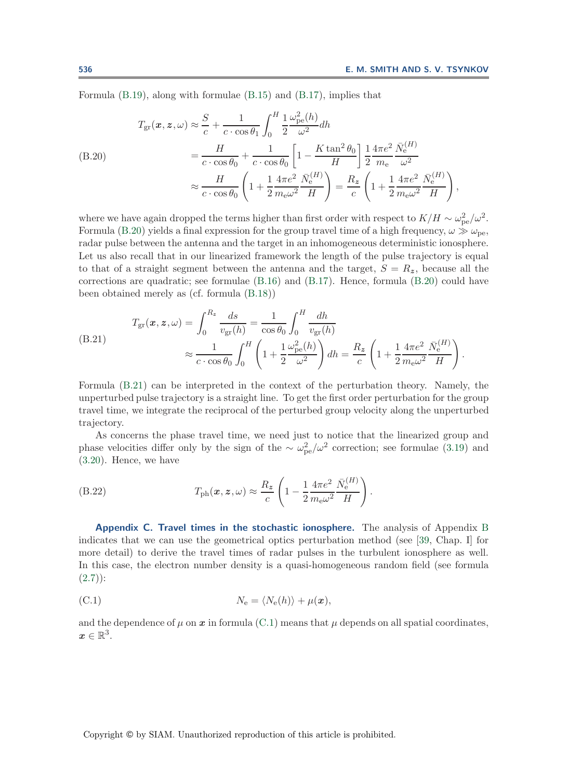<span id="page-35-3"></span>Formula [\(B.19\)](#page-34-2), along with formulae [\(B.15\)](#page-33-3) and [\(B.17\)](#page-34-3), implies that

$$
T_{\rm gr}(\mathbf{x}, \mathbf{z}, \omega) \approx \frac{S}{c} + \frac{1}{c \cdot \cos \theta_1} \int_0^H \frac{1}{2} \frac{\omega_{\rm pe}^2(h)}{\omega^2} dh
$$
  
\n(B.20)  
\n
$$
= \frac{H}{c \cdot \cos \theta_0} + \frac{1}{c \cdot \cos \theta_0} \left[ 1 - \frac{K \tan^2 \theta_0}{H} \right] \frac{1}{2} \frac{4\pi e^2}{m_{\rm e}} \frac{\bar{N}_{\rm e}^{(H)}}{\omega^2}
$$
  
\n
$$
\approx \frac{H}{c \cdot \cos \theta_0} \left( 1 + \frac{1}{2} \frac{4\pi e^2}{m_{\rm e} \omega^2} \frac{\bar{N}_{\rm e}^{(H)}}{H} \right) = \frac{R_z}{c} \left( 1 + \frac{1}{2} \frac{4\pi e^2}{m_{\rm e} \omega^2} \frac{\bar{N}_{\rm e}^{(H)}}{H} \right),
$$

where we have again dropped the terms higher than first order with respect to  $K/H \sim \omega_{\rm pe}^2/\omega^2$ . Formula [\(B.20\)](#page-35-3) yields a final expression for the group travel time of a high frequency,  $\omega \gg \omega_{\text{pe}}$ , radar pulse between the antenna and the target in an inhomogeneous deterministic ionosphere. Let us also recall that in our linearized framework the length of the pulse trajectory is equal to that of a straight segment between the antenna and the target,  $S = R<sub>z</sub>$ , because all the corrections are quadratic; see formulae [\(B.16\)](#page-34-0) and [\(B.17\)](#page-34-3). Hence, formula [\(B.20\)](#page-35-3) could have been obtained merely as (cf. formula [\(B.18\)](#page-34-1))

<span id="page-35-1"></span>
$$
T_{\rm gr}(\boldsymbol{x}, \boldsymbol{z}, \omega) = \int_0^{R_z} \frac{ds}{v_{\rm gr}(h)} = \frac{1}{\cos \theta_0} \int_0^H \frac{dh}{v_{\rm gr}(h)}
$$
  

$$
\approx \frac{1}{c \cdot \cos \theta_0} \int_0^H \left(1 + \frac{1}{2} \frac{\omega_{\rm pe}^2(h)}{\omega^2}\right) dh = \frac{R_z}{c} \left(1 + \frac{1}{2} \frac{4\pi e^2}{m_{\rm e} \omega^2} \frac{\bar{N}_{\rm e}^{(H)}}{H}\right).
$$

Formula [\(B.21\)](#page-35-1) can be interpreted in the context of the perturbation theory. Namely, the unperturbed pulse trajectory is a straight line. To get the first order perturbation for the group travel time, we integrate the reciprocal of the perturbed group velocity along the unperturbed trajectory.

As concerns the phase travel time, we need just to notice that the linearized group and phase velocities differ only by the sign of the  $\sim \omega_{\rm pe}^2/\omega^2$  correction; see formulae [\(3.19\)](#page-11-0) and [\(3.20\)](#page-11-1). Hence, we have

<span id="page-35-2"></span>(B.22) 
$$
T_{\rm ph}(\mathbf{x}, \mathbf{z}, \omega) \approx \frac{R_z}{c} \left( 1 - \frac{1}{2} \frac{4\pi e^2}{m_{\rm e}\omega^2} \frac{\bar{N}_{\rm e}^{(H)}}{H} \right).
$$

<span id="page-35-0"></span>**Appendix C. Travel times in the stochastic ionosphere.** The analysis of Appendix [B](#page-31-0) indicates that we can use the geometrical optics perturbation method (see [\[39,](#page-41-4) Chap. I] for more detail) to derive the travel times of radar pulses in the turbulent ionosphere as well. In this case, the electron number density is a quasi-homogeneous random field (see formula  $(2.7)$ :

<span id="page-35-4"></span>(C.1) 
$$
N_{e} = \langle N_{e}(h) \rangle + \mu(\boldsymbol{x}),
$$

and the dependence of  $\mu$  on  $\boldsymbol{x}$  in formula [\(C.1\)](#page-35-4) means that  $\mu$  depends on all spatial coordinates,  $x \in \mathbb{R}^3$ .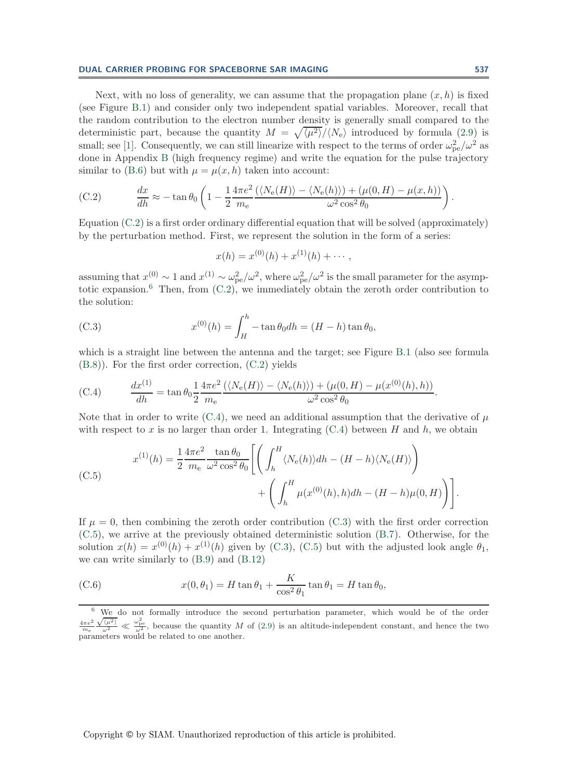#### **DUAL CARRIER PROBING FOR SPACEBORNE SAR IMAGING 537**

Next, with no loss of generality, we can assume that the propagation plane  $(x, h)$  is fixed (see Figure [B.1\)](#page-31-1) and consider only two independent spatial variables. Moreover, recall that the random contribution to the electron number density is generally small compared to the deterministic part, because the quantity  $M = \sqrt{\langle \mu^2 \rangle} / \langle N_e \rangle$  introduced by formula [\(2.9\)](#page-4-5) is small; see [\[1\]](#page-40-2). Consequently, we can still linearize with respect to the terms of order  $\omega_{\rm pe}^2/\omega^2$  as done in Appendix [B](#page-31-0) (high frequency regime) and write the equation for the pulse trajectory similar to [\(B.6\)](#page-32-3) but with  $\mu = \mu(x, h)$  taken into account:

(C.2) 
$$
\frac{dx}{dh} \approx -\tan \theta_0 \left( 1 - \frac{1}{2} \frac{4\pi e^2}{m_e} \frac{\left( \langle N_e(H) \rangle - \langle N_e(h) \rangle \right) + \left( \mu(0, H) - \mu(x, h) \right)}{\omega^2 \cos^2 \theta_0} \right).
$$

Equation  $(C.2)$  is a first order ordinary differential equation that will be solved (approximately) by the perturbation method. First, we represent the solution in the form of a series:

<span id="page-36-0"></span>
$$
x(h) = x^{(0)}(h) + x^{(1)}(h) + \cdots,
$$

assuming that  $x^{(0)} \sim 1$  and  $x^{(1)} \sim \omega_{\rm pe}^2/\omega^2$ , where  $\omega_{\rm pe}^2/\omega^2$  is the small parameter for the asymp-totic expansion.<sup>[6](#page-36-1)</sup> Then, from  $(C.2)$ , we immediately obtain the zeroth order contribution to the solution:

<span id="page-36-3"></span>(C.3) 
$$
x^{(0)}(h) = \int_H^h -\tan \theta_0 dh = (H - h) \tan \theta_0,
$$

which is a straight line between the antenna and the target; see Figure [B.1](#page-31-1) (also see formula [\(B.8\)](#page-32-4)). For the first order correction, [\(C.2\)](#page-36-0) yields

(C.4) 
$$
\frac{dx^{(1)}}{dh} = \tan \theta_0 \frac{1}{2} \frac{4\pi e^2}{m_e} \frac{(\langle N_e(H) \rangle - \langle N_e(h) \rangle) + (\mu(0, H) - \mu(x^{(0)}(h), h))}{\omega^2 \cos^2 \theta_0}
$$

Note that in order to write [\(C.4\)](#page-36-2), we need an additional assumption that the derivative of  $\mu$ with respect to x is no larger than order 1. Integrating  $(C.4)$  between H and h, we obtain

(C.5)  

$$
x^{(1)}(h) = \frac{1}{2} \frac{4\pi e^2}{m_e} \frac{\tan \theta_0}{\omega^2 \cos^2 \theta_0} \left[ \left( \int_h^H \langle N_e(h) \rangle dh - (H - h) \langle N_e(H) \rangle \right) + \left( \int_h^H \mu(x^{(0)}(h), h) dh - (H - h) \mu(0, H) \right) \right].
$$

If  $\mu = 0$ , then combining the zeroth order contribution [\(C.3\)](#page-36-3) with the first order correction [\(C.5\)](#page-36-4), we arrive at the previously obtained deterministic solution [\(B.7\)](#page-32-0). Otherwise, for the solution  $x(h) = x^{(0)}(h) + x^{(1)}(h)$  given by [\(C.3\)](#page-36-3), [\(C.5\)](#page-36-4) but with the adjusted look angle  $\theta_1$ , we can write similarly to [\(B.9\)](#page-32-2) and [\(B.12\)](#page-33-0)

<span id="page-36-5"></span>(C.6) 
$$
x(0, \theta_1) = H \tan \theta_1 + \frac{K}{\cos^2 \theta_1} \tan \theta_1 = H \tan \theta_0,
$$

<span id="page-36-1"></span>We do not formally introduce the second perturbation parameter, which would be of the order  $\frac{4\pi e^2}{m_e} \frac{\sqrt{\mu^2}}{\omega^2} \ll \frac{\omega_{\rm pe}^2}{\omega^2}$ , because the quantity *M* of [\(2.9\)](#page-4-5) is an altitude-independent constant, and hence the two parameters would be related to one another.

Copyright © by SIAM. Unauthorized reproduction of this article is prohibited.

<span id="page-36-4"></span><span id="page-36-2"></span>.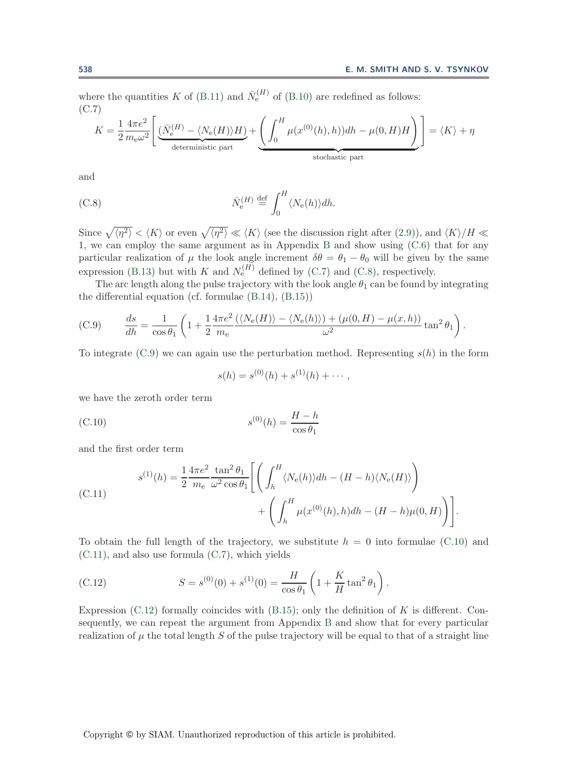where the quantities K of [\(B.11\)](#page-33-1) and  $\bar{N}_{\rm e}^{(H)}$  of [\(B.10\)](#page-32-5) are redefined as follows:  $(C.7)$ 

<span id="page-37-1"></span>
$$
K = \frac{1}{2} \frac{4\pi e^2}{m_e \omega^2} \left[ \underbrace{(\bar{N}_e^{(H)} - \langle N_e(H) \rangle H)}_{\text{deterministic part}} + \underbrace{\left( \int_0^H \mu(x^{(0)}(h), h)) dh - \mu(0, H) H}_{\text{stochastic part}} \right) \right] = \langle K \rangle + \eta
$$

<span id="page-37-0"></span>and

(C.8) 
$$
\bar{N}_{\rm e}^{(H)} \stackrel{\text{def}}{=} \int_0^H \langle N_{\rm e}(h) \rangle dh.
$$

Since  $\sqrt{\langle \eta^2 \rangle}$  <  $\langle K \rangle$  or even  $\sqrt{\langle \eta^2 \rangle} \ll \langle K \rangle$  (see the discussion right after [\(2.9\)](#page-4-5)), and  $\langle K \rangle / H \ll$ 1, we can employ the same argument as in Appendix [B](#page-31-0) and show using [\(C.6\)](#page-36-5) that for any particular realization of  $\mu$  the look angle increment  $\delta\theta = \theta_1 - \theta_0$  will be given by the same expression [\(B.13\)](#page-33-2) but with K and  $N_{\rm e}^{(\vec{H})}$  defined by [\(C.7\)](#page-37-1) and [\(C.8\)](#page-37-0), respectively.

The arc length along the pulse trajectory with the look angle  $\theta_1$  can be found by integrating the differential equation (cf. formulae [\(B.14\)](#page-33-4), [\(B.15\)](#page-33-3))

(C.9) 
$$
\frac{ds}{dh} = \frac{1}{\cos \theta_1} \left( 1 + \frac{1}{2} \frac{4\pi e^2}{m_e} \frac{\langle \langle N_e(H) \rangle - \langle N_e(h) \rangle \rangle + (\mu(0, H) - \mu(x, h))}{\omega^2} \tan^2 \theta_1 \right).
$$

To integrate [\(C.9\)](#page-37-2) we can again use the perturbation method. Representing  $s(h)$  in the form

<span id="page-37-5"></span><span id="page-37-4"></span><span id="page-37-3"></span><span id="page-37-2"></span>
$$
s(h) = s^{(0)}(h) + s^{(1)}(h) + \cdots,
$$

we have the zeroth order term

(C.10) 
$$
s^{(0)}(h) = \frac{H - h}{\cos \theta_1}
$$

and the first order term

$$
s^{(1)}(h) = \frac{1}{2} \frac{4\pi e^2}{m_e} \frac{\tan^2 \theta_1}{\omega^2 \cos \theta_1} \left[ \left( \int_h^H \langle N_e(h) \rangle dh - (H - h) \langle N_e(H) \rangle \right) + \left( \int_h^H \mu(x^{(0)}(h), h) dh - (H - h)\mu(0, H) \right) \right].
$$

To obtain the full length of the trajectory, we substitute  $h = 0$  into formulae [\(C.10\)](#page-37-3) and [\(C.11\)](#page-37-4), and also use formula [\(C.7\)](#page-37-1), which yields

(C.12) 
$$
S = s^{(0)}(0) + s^{(1)}(0) = \frac{H}{\cos \theta_1} \left( 1 + \frac{K}{H} \tan^2 \theta_1 \right).
$$

Expression  $(C.12)$  formally coincides with  $(B.15)$ ; only the definition of K is different. Consequently, we can repeat the argument from Appendix [B](#page-31-0) and show that for every particular realization of  $\mu$  the total length S of the pulse trajectory will be equal to that of a straight line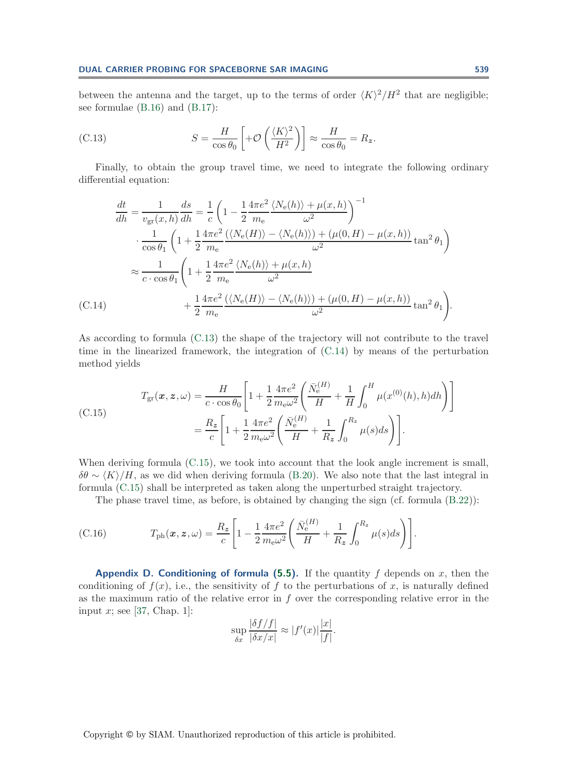<span id="page-38-3"></span>between the antenna and the target, up to the terms of order  $\langle K \rangle^2 / H^2$  that are negligible; see formulae [\(B.16\)](#page-34-0) and [\(B.17\)](#page-34-3):

(C.13) 
$$
S = \frac{H}{\cos \theta_0} \left[ +\mathcal{O}\left(\frac{\langle K \rangle^2}{H^2}\right) \right] \approx \frac{H}{\cos \theta_0} = R_z.
$$

Finally, to obtain the group travel time, we need to integrate the following ordinary differential equation:

$$
\frac{dt}{dh} = \frac{1}{v_{\text{gr}}(x,h)} \frac{ds}{dh} = \frac{1}{c} \left( 1 - \frac{1}{2} \frac{4\pi e^2}{m_e} \frac{\langle N_e(h) \rangle + \mu(x,h)}{\omega^2} \right)^{-1}
$$

$$
\cdot \frac{1}{\cos \theta_1} \left( 1 + \frac{1}{2} \frac{4\pi e^2}{m_e} \frac{(\langle N_e(H) \rangle - \langle N_e(h) \rangle) + (\mu(0,H) - \mu(x,h))}{\omega^2} \tan^2 \theta_1 \right)
$$

$$
\approx \frac{1}{c \cdot \cos \theta_1} \left( 1 + \frac{1}{2} \frac{4\pi e^2}{m_e} \frac{\langle N_e(h) \rangle + \mu(x,h)}{\omega^2} + \frac{1}{2} \frac{4\pi e^2}{m_e} \frac{(\langle N_e(H) \rangle - \langle N_e(h) \rangle) + (\mu(0,H) - \mu(x,h))}{\omega^2} \tan^2 \theta_1 \right).
$$
(C.14)

<span id="page-38-4"></span>As according to formula [\(C.13\)](#page-38-3) the shape of the trajectory will not contribute to the travel time in the linearized framework, the integration of [\(C.14\)](#page-38-4) by means of the perturbation method yields

<span id="page-38-0"></span>
$$
T_{\rm gr}(\mathbf{x}, \mathbf{z}, \omega) = \frac{H}{c \cdot \cos \theta_0} \left[ 1 + \frac{1}{2} \frac{4\pi e^2}{m_{\rm e} \omega^2} \left( \frac{\bar{N}_{\rm e}^{(H)}}{H} + \frac{1}{H} \int_0^H \mu(x^{(0)}(h), h) dh \right) \right]
$$
  

$$
= \frac{R_z}{c} \left[ 1 + \frac{1}{2} \frac{4\pi e^2}{m_{\rm e} \omega^2} \left( \frac{\bar{N}_{\rm e}^{(H)}}{H} + \frac{1}{R_z} \int_0^{R_z} \mu(s) ds \right) \right].
$$

When deriving formula [\(C.15\)](#page-38-0), we took into account that the look angle increment is small,  $\delta\theta \sim \langle K \rangle / H$ , as we did when deriving formula [\(B.20\)](#page-35-3). We also note that the last integral in formula [\(C.15\)](#page-38-0) shall be interpreted as taken along the unperturbed straight trajectory.

The phase travel time, as before, is obtained by changing the sign (cf. formula [\(B.22\)](#page-35-2)):

(C.16) 
$$
T_{\rm ph}(x, z, \omega) = \frac{R_z}{c} \left[ 1 - \frac{1}{2} \frac{4\pi e^2}{m_{\rm e} \omega^2} \left( \frac{\bar{N}_{\rm e}^{(H)}}{H} + \frac{1}{R_z} \int_0^{R_z} \mu(s) ds \right) \right].
$$

<span id="page-38-2"></span>**Appendix D. Conditioning of formula**  $(5.5)$ **. If the quantity f depends on x, then the** conditioning of  $f(x)$ , i.e., the sensitivity of f to the perturbations of x, is naturally defined as the maximum ratio of the relative error in  $f$  over the corresponding relative error in the input x; see [\[37,](#page-41-19) Chap. 1]:

<span id="page-38-1"></span>
$$
\sup_{\delta x} \frac{|\delta f/f|}{|\delta x/x|} \approx |f'(x)| \frac{|x|}{|f|}.
$$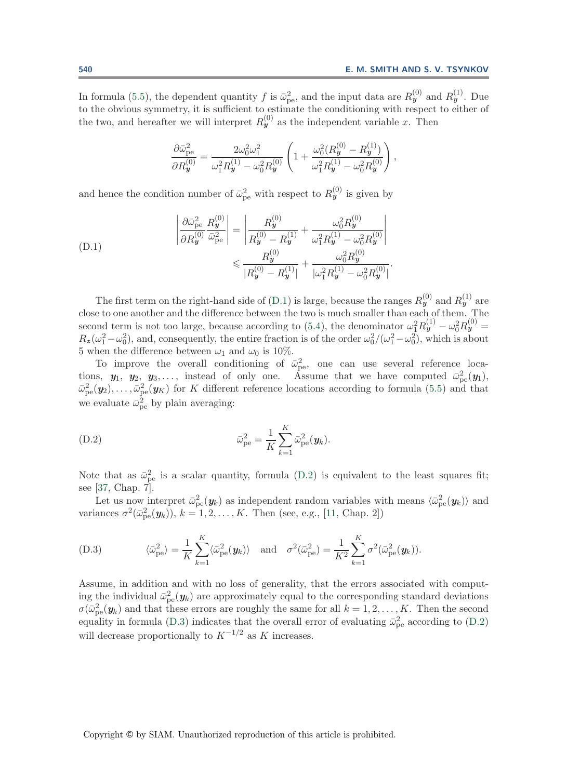In formula [\(5.5\)](#page-20-3), the dependent quantity f is  $\bar{\omega}_{\rm pe}^2$ , and the input data are  $R_y^{(0)}$  and  $R_y^{(1)}$ . Due to the obvious symmetry, it is sufficient to estimate the conditioning with respect to either of the two, and hereafter we will interpret  $R_{y}^{(0)}$  as the independent variable x. Then

<span id="page-39-1"></span>
$$
\frac{\partial \bar{\omega}_{\rm pe}^2}{\partial R_y^{(0)}} = \frac{2\omega_0^2 \omega_1^2}{\omega_1^2 R_y^{(1)} - \omega_0^2 R_y^{(0)}} \left( 1 + \frac{\omega_0^2 (R_y^{(0)} - R_y^{(1)})}{\omega_1^2 R_y^{(1)} - \omega_0^2 R_y^{(0)}} \right),
$$

and hence the condition number of  $\bar{\omega}_{pe}^2$  with respect to  $R_y^{(0)}$  is given by

(D.1)  
\n
$$
\left| \frac{\partial \bar{\omega}_{pe}^2}{\partial R_y^{(0)}} \frac{R_y^{(0)}}{\bar{\omega}_{pe}^2} \right| = \left| \frac{R_y^{(0)}}{R_y^{(0)} - R_y^{(1)}} + \frac{\omega_0^2 R_y^{(0)}}{\omega_1^2 R_y^{(1)} - \omega_0^2 R_y^{(0)}} \right|
$$
\n
$$
\leq \frac{R_y^{(0)}}{|R_y^{(0)} - R_y^{(1)}|} + \frac{\omega_0^2 R_y^{(0)}}{|\omega_1^2 R_y^{(1)} - \omega_0^2 R_y^{(0)}|}.
$$

The first term on the right-hand side of  $(D.1)$  is large, because the ranges  $R_{\bm{y}}^{(0)}$  and  $R_{\bm{y}}^{(1)}$  are close to one another and the difference between the two is much smaller than each of them. The second term is not too large, because according to [\(5.4\)](#page-20-1), the denominator  $\omega_1^2 R_y^{(1)} - \omega_0^2 R_y^{(0)} =$  $R_z(\omega_1^2-\omega_0^2)$ , and, consequently, the entire fraction is of the order  $\omega_0^2/(\omega_1^2-\omega_0^2)$ , which is about 5 when the difference between  $\omega_1$  and  $\omega_0$  is 10%.

To improve the overall conditioning of  $\bar{\omega}_{pe}^2$ , one can use several reference locations,  $y_1, y_2, y_3,...$ , instead of only one. Assume that we have computed  $\bar{\omega}_{pe}^2(y_1)$ ,  $\bar{\omega}_{pe}^2(\mathbf{y}_2),\ldots,\bar{\omega}_{pe}^2(\mathbf{y}_K)$  for K different reference locations according to formula [\(5.5\)](#page-20-3) and that we evaluate  $\bar{\omega}_{\rm pe}^2$  by plain averaging:

<span id="page-39-0"></span>(D.2) 
$$
\bar{\omega}_{\rm pe}^2 = \frac{1}{K} \sum_{k=1}^K \bar{\omega}_{\rm pe}^2(\mathbf{y}_k).
$$

Note that as  $\bar{\omega}_{pe}^2$  is a scalar quantity, formula [\(D.2\)](#page-39-0) is equivalent to the least squares fit; see [\[37,](#page-41-19) Chap. 7].

<span id="page-39-2"></span>Let us now interpret  $\bar{\omega}_{pe}^2(y_k)$  as independent random variables with means  $\langle \bar{\omega}_{pe}^2(y_k) \rangle$  and variances  $\sigma^2(\bar{\omega}_{pe}^2(y_k))$ ,  $k = 1, 2, ..., K$ . Then (see, e.g., [\[11,](#page-40-23) Chap. 2])

(D.3) 
$$
\langle \bar{\omega}_{\text{pe}}^2 \rangle = \frac{1}{K} \sum_{k=1}^K \langle \bar{\omega}_{\text{pe}}^2(\mathbf{y}_k) \rangle
$$
 and  $\sigma^2(\bar{\omega}_{\text{pe}}^2) = \frac{1}{K^2} \sum_{k=1}^K \sigma^2(\bar{\omega}_{\text{pe}}^2(\mathbf{y}_k)).$ 

Assume, in addition and with no loss of generality, that the errors associated with computing the individual  $\bar{\omega}_{pe}^2(y_k)$  are approximately equal to the corresponding standard deviations  $\sigma(\bar{\omega}_{pe}^2(\mathbf{y}_k))$  and that these errors are roughly the same for all  $k = 1, 2, \ldots, K$ . Then the second equality in formula [\(D.3\)](#page-39-2) indicates that the overall error of evaluating  $\bar{\omega}_{pe}^2$  according to [\(D.2\)](#page-39-0) will decrease proportionally to  $K^{-1/2}$  as K increases.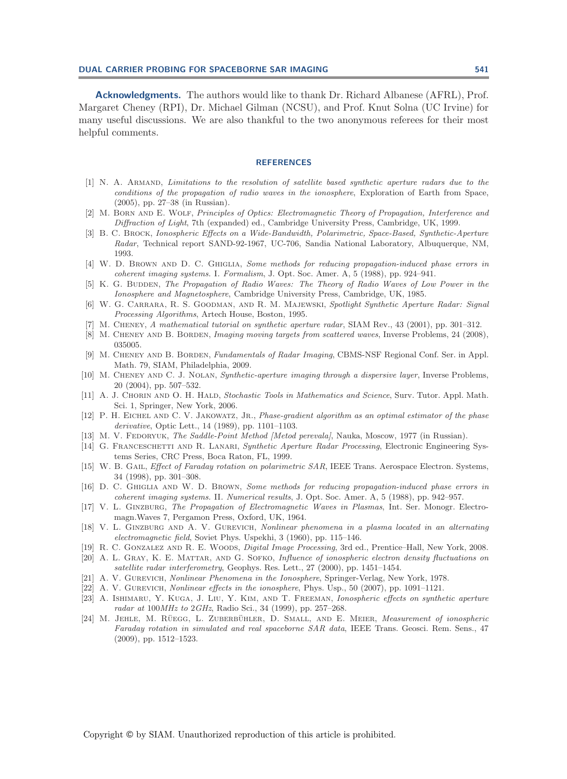**Acknowledgments.** The authors would like to thank Dr. Richard Albanese (AFRL), Prof. Margaret Cheney (RPI), Dr. Michael Gilman (NCSU), and Prof. Knut Solna (UC Irvine) for many useful discussions. We are also thankful to the two anonymous referees for their most helpful comments.

#### **REFERENCES**

- <span id="page-40-2"></span>[1] N. A. Armand, Limitations to the resolution of satellite based synthetic aperture radars due to the conditions of the propagation of radio waves in the ionosphere, Exploration of Earth from Space, (2005), pp. 27–38 (in Russian).
- <span id="page-40-18"></span>[2] M. Born and E. Wolf, Principles of Optics: Electromagnetic Theory of Propagation, Interference and Diffraction of Light, 7th (expanded) ed., Cambridge University Press, Cambridge, UK, 1999.
- <span id="page-40-16"></span>[3] B. C. Brock, Ionospheric Effects on a Wide-Bandwidth, Polarimetric, Space-Based, Synthetic-Aperture Radar, Technical report SAND-92-1967, UC-706, Sandia National Laboratory, Albuquerque, NM, 1993.
- <span id="page-40-4"></span>[4] W. D. BROWN AND D. C. GHIGLIA, Some methods for reducing propagation-induced phase errors in coherent imaging systems. I. Formalism, J. Opt. Soc. Amer. A, 5 (1988), pp. 924–941.
- <span id="page-40-15"></span>[5] K. G. BUDDEN, The Propagation of Radio Waves: The Theory of Radio Waves of Low Power in the Ionosphere and Magnetosphere, Cambridge University Press, Cambridge, UK, 1985.
- <span id="page-40-17"></span>[6] W. G. Carrara, R. S. Goodman, and R. M. Majewski, Spotlight Synthetic Aperture Radar: Signal Processing Algorithms, Artech House, Boston, 1995.
- <span id="page-40-19"></span><span id="page-40-0"></span>[7] M. Cheney, A mathematical tutorial on synthetic aperture radar, SIAM Rev., 43 (2001), pp. 301–312.
- <span id="page-40-1"></span>[8] M. CHENEY AND B. BORDEN, *Imaging moving targets from scattered waves*, Inverse Problems, 24 (2008), 035005.
- [9] M. CHENEY AND B. BORDEN, Fundamentals of Radar Imaging, CBMS-NSF Regional Conf. Ser. in Appl. Math. 79, SIAM, Philadelphia, 2009.
- <span id="page-40-20"></span>[10] M. CHENEY AND C. J. NOLAN, Synthetic-aperture imaging through a dispersive layer, Inverse Problems, 20 (2004), pp. 507–532.
- <span id="page-40-23"></span>[11] A. J. CHORIN AND O. H. HALD, Stochastic Tools in Mathematics and Science, Surv. Tutor. Appl. Math. Sci. 1, Springer, New York, 2006.
- <span id="page-40-9"></span>[12] P. H. EICHEL AND C. V. JAKOWATZ, JR., *Phase-gradient algorithm as an optimal estimator of the phase* derivative, Optic Lett., 14 (1989), pp. 1101–1103.
- <span id="page-40-22"></span><span id="page-40-8"></span>[13] M. V. FEDORYUK, The Saddle-Point Method [Metod perevala], Nauka, Moscow, 1977 (in Russian).
- [14] G. FRANCESCHETTI AND R. LANARI, Synthetic Aperture Radar Processing, Electronic Engineering Systems Series, CRC Press, Boca Raton, FL, 1999.
- <span id="page-40-7"></span>[15] W. B. GAIL, *Effect of Faraday rotation on polarimetric SAR*, IEEE Trans. Aerospace Electron. Systems, 34 (1998), pp. 301–308.
- <span id="page-40-5"></span>[16] D. C. Ghiglia and W. D. Brown, Some methods for reducing propagation-induced phase errors in coherent imaging systems. II. Numerical results, J. Opt. Soc. Amer. A, 5 (1988), pp. 942–957.
- <span id="page-40-11"></span>[17] V. L. Ginzburg, The Propagation of Electromagnetic Waves in Plasmas, Int. Ser. Monogr. Electromagn.Waves 7, Pergamon Press, Oxford, UK, 1964.
- <span id="page-40-12"></span>[18] V. L. GINZBURG AND A. V. GUREVICH, Nonlinear phenomena in a plasma located in an alternating electromagnetic field, Soviet Phys. Uspekhi, 3 (1960), pp. 115–146.
- <span id="page-40-21"></span><span id="page-40-10"></span>[19] R. C. Gonzalez and R. E. Woods, Digital Image Processing, 3rd ed., Prentice–Hall, New York, 2008.
- [20] A. L. GRAY, K. E. MATTAR, AND G. SOFKO, Influence of ionospheric electron density fluctuations on satellite radar interferometry, Geophys. Res. Lett., 27 (2000), pp. 1451–1454.
- <span id="page-40-14"></span><span id="page-40-13"></span>[21] A. V. GUREVICH, Nonlinear Phenomena in the Ionosphere, Springer-Verlag, New York, 1978.
- <span id="page-40-3"></span>[22] A. V. GUREVICH, *Nonlinear effects in the ionosphere*, Phys. Usp., 50 (2007), pp. 1091–1121.
- [23] A. ISHIMARU, Y. KUGA, J. LIU, Y. KIM, AND T. FREEMAN, *Ionospheric effects on synthetic aperture* radar at 100MHz to 2GHz, Radio Sci., 34 (1999), pp. 257–268.
- <span id="page-40-6"></span>[24] M. JEHLE, M. RÜEGG, L. ZUBERBÜHLER, D. SMALL, AND E. MEIER, Measurement of ionospheric Faraday rotation in simulated and real spaceborne SAR data, IEEE Trans. Geosci. Rem. Sens., 47 (2009), pp. 1512–1523.